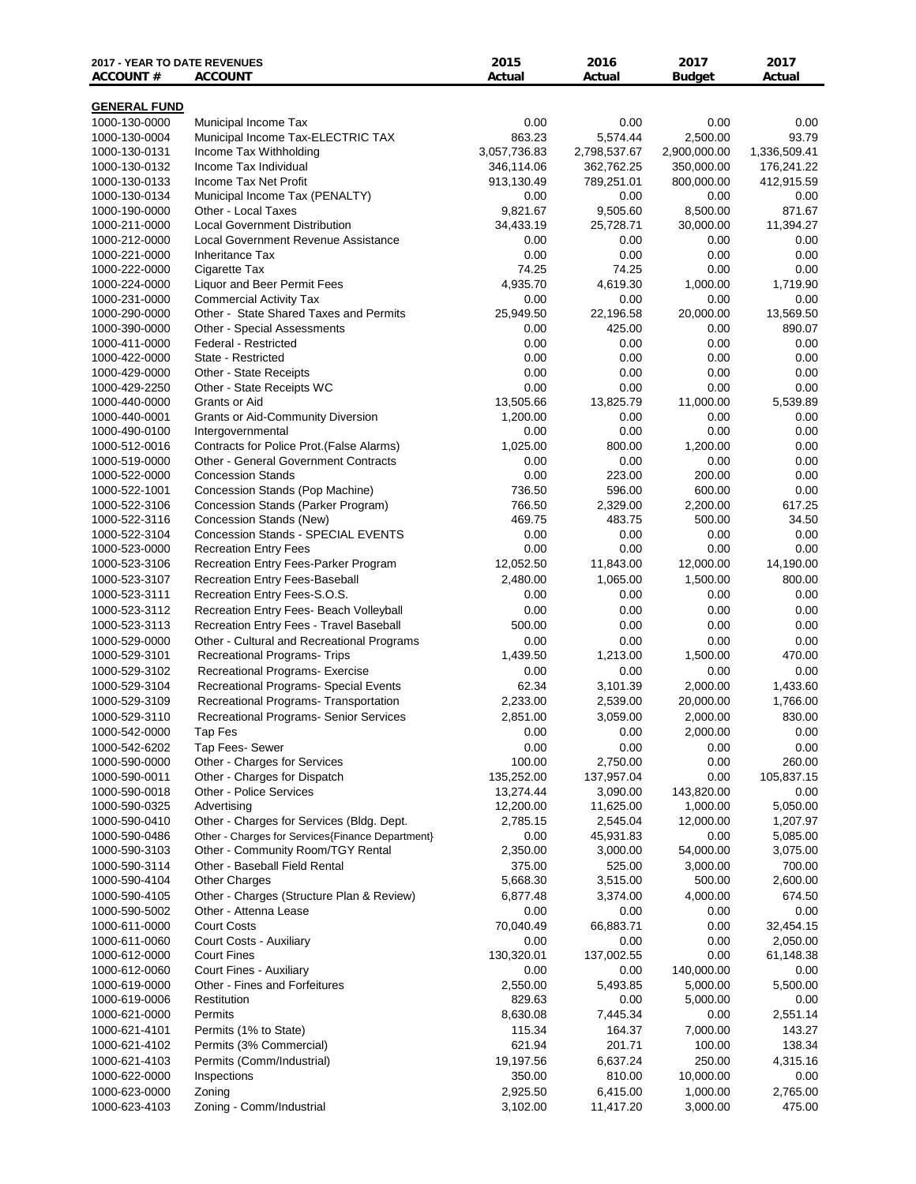| <b>2017 - YEAR TO DATE REVENUES</b><br><b>ACCOUNT#</b> | <b>ACCOUNT</b>                                                          | 2015<br>Actual         | 2016<br>Actual        | 2017<br><b>Budget</b>  | 2017<br>Actual   |
|--------------------------------------------------------|-------------------------------------------------------------------------|------------------------|-----------------------|------------------------|------------------|
| <b>GENERAL FUND</b>                                    |                                                                         |                        |                       |                        |                  |
| 1000-130-0000                                          | Municipal Income Tax                                                    | 0.00                   | 0.00                  | 0.00                   | 0.00             |
| 1000-130-0004                                          | Municipal Income Tax-ELECTRIC TAX                                       | 863.23                 | 5,574.44              | 2,500.00               | 93.79            |
| 1000-130-0131                                          | Income Tax Withholding                                                  | 3,057,736.83           | 2,798,537.67          | 2,900,000.00           | 1,336,509.41     |
| 1000-130-0132                                          | Income Tax Individual                                                   | 346,114.06             | 362,762.25            | 350,000.00             | 176,241.22       |
| 1000-130-0133                                          | Income Tax Net Profit                                                   | 913,130.49             | 789,251.01            | 800,000.00             | 412,915.59       |
| 1000-130-0134                                          | Municipal Income Tax (PENALTY)                                          | 0.00                   | 0.00                  | 0.00                   | 0.00             |
| 1000-190-0000                                          | Other - Local Taxes                                                     | 9,821.67               | 9,505.60              | 8,500.00               | 871.67           |
| 1000-211-0000                                          | <b>Local Government Distribution</b>                                    | 34,433.19              | 25,728.71             | 30,000.00              | 11,394.27        |
| 1000-212-0000                                          | <b>Local Government Revenue Assistance</b>                              | 0.00                   | 0.00                  | 0.00                   | $0.00\,$         |
| 1000-221-0000<br>1000-222-0000                         | <b>Inheritance Tax</b><br>Cigarette Tax                                 | 0.00<br>74.25          | 0.00<br>74.25         | 0.00<br>0.00           | 0.00<br>0.00     |
| 1000-224-0000                                          | Liquor and Beer Permit Fees                                             | 4,935.70               | 4,619.30              | 1,000.00               | 1,719.90         |
| 1000-231-0000                                          | <b>Commercial Activity Tax</b>                                          | 0.00                   | 0.00                  | 0.00                   | 0.00             |
| 1000-290-0000                                          | Other - State Shared Taxes and Permits                                  | 25,949.50              | 22,196.58             | 20,000.00              | 13,569.50        |
| 1000-390-0000                                          | Other - Special Assessments                                             | 0.00                   | 425.00                | 0.00                   | 890.07           |
| 1000-411-0000                                          | Federal - Restricted                                                    | 0.00                   | 0.00                  | 0.00                   | 0.00             |
| 1000-422-0000                                          | State - Restricted                                                      | 0.00                   | 0.00                  | 0.00                   | 0.00             |
| 1000-429-0000                                          | Other - State Receipts                                                  | 0.00                   | 0.00                  | 0.00                   | 0.00             |
| 1000-429-2250                                          | Other - State Receipts WC                                               | 0.00                   | 0.00                  | 0.00                   | 0.00             |
| 1000-440-0000                                          | Grants or Aid                                                           | 13,505.66              | 13,825.79             | 11,000.00              | 5,539.89         |
| 1000-440-0001<br>1000-490-0100                         | <b>Grants or Aid-Community Diversion</b><br>Intergovernmental           | 1,200.00<br>0.00       | 0.00<br>0.00          | 0.00<br>0.00           | 0.00<br>0.00     |
| 1000-512-0016                                          | Contracts for Police Prot.(False Alarms)                                | 1,025.00               | 800.00                | 1,200.00               | 0.00             |
| 1000-519-0000                                          | <b>Other - General Government Contracts</b>                             | 0.00                   | 0.00                  | 0.00                   | 0.00             |
| 1000-522-0000                                          | <b>Concession Stands</b>                                                | 0.00                   | 223.00                | 200.00                 | 0.00             |
| 1000-522-1001                                          | Concession Stands (Pop Machine)                                         | 736.50                 | 596.00                | 600.00                 | 0.00             |
| 1000-522-3106                                          | Concession Stands (Parker Program)                                      | 766.50                 | 2,329.00              | 2,200.00               | 617.25           |
| 1000-522-3116                                          | Concession Stands (New)                                                 | 469.75                 | 483.75                | 500.00                 | 34.50            |
| 1000-522-3104                                          | Concession Stands - SPECIAL EVENTS                                      | 0.00                   | 0.00                  | 0.00                   | 0.00             |
| 1000-523-0000                                          | <b>Recreation Entry Fees</b>                                            | 0.00                   | 0.00                  | 0.00                   | 0.00             |
| 1000-523-3106                                          | Recreation Entry Fees-Parker Program                                    | 12,052.50              | 11,843.00             | 12,000.00              | 14,190.00        |
| 1000-523-3107                                          | Recreation Entry Fees-Baseball                                          | 2,480.00               | 1,065.00              | 1,500.00               | 800.00           |
| 1000-523-3111<br>1000-523-3112                         | Recreation Entry Fees-S.O.S.<br>Recreation Entry Fees- Beach Volleyball | 0.00<br>0.00           | 0.00<br>0.00          | 0.00<br>0.00           | 0.00<br>0.00     |
| 1000-523-3113                                          | Recreation Entry Fees - Travel Baseball                                 | 500.00                 | 0.00                  | 0.00                   | 0.00             |
| 1000-529-0000                                          | Other - Cultural and Recreational Programs                              | 0.00                   | 0.00                  | 0.00                   | $0.00\,$         |
| 1000-529-3101                                          | <b>Recreational Programs- Trips</b>                                     | 1,439.50               | 1,213.00              | 1,500.00               | 470.00           |
| 1000-529-3102                                          | Recreational Programs- Exercise                                         | 0.00                   | 0.00                  | 0.00                   | 0.00             |
| 1000-529-3104                                          | Recreational Programs- Special Events                                   | 62.34                  | 3,101.39              | 2,000.00               | 1,433.60         |
| 1000-529-3109                                          | Recreational Programs- Transportation                                   | 2,233.00               | 2,539.00              | 20,000.00              | 1,766.00         |
| 1000-529-3110                                          | Recreational Programs- Senior Services                                  | 2,851.00               | 3,059.00              | 2,000.00               | 830.00           |
| 1000-542-0000                                          | Tap Fes                                                                 | 0.00                   | 0.00                  | 2,000.00               | $0.00\,$         |
| 1000-542-6202                                          | Tap Fees- Sewer                                                         | 0.00                   | 0.00                  | 0.00                   | 0.00             |
| 1000-590-0000                                          | Other - Charges for Services                                            | 100.00                 | 2,750.00              | 0.00                   | 260.00           |
| 1000-590-0011                                          | Other - Charges for Dispatch                                            | 135,252.00             | 137,957.04            | 0.00                   | 105,837.15       |
| 1000-590-0018                                          | <b>Other - Police Services</b><br>Advertising                           | 13,274.44<br>12,200.00 | 3,090.00<br>11,625.00 | 143,820.00<br>1,000.00 | 0.00<br>5,050.00 |
| 1000-590-0325<br>1000-590-0410                         | Other - Charges for Services (Bldg. Dept.                               | 2,785.15               | 2,545.04              | 12,000.00              | 1,207.97         |
| 1000-590-0486                                          | Other - Charges for Services{Finance Department}                        | 0.00                   | 45,931.83             | 0.00                   | 5,085.00         |
| 1000-590-3103                                          | Other - Community Room/TGY Rental                                       | 2,350.00               | 3,000.00              | 54,000.00              | 3,075.00         |
| 1000-590-3114                                          | Other - Baseball Field Rental                                           | 375.00                 | 525.00                | 3,000.00               | 700.00           |
| 1000-590-4104                                          | <b>Other Charges</b>                                                    | 5,668.30               | 3,515.00              | 500.00                 | 2,600.00         |
| 1000-590-4105                                          | Other - Charges (Structure Plan & Review)                               | 6,877.48               | 3,374.00              | 4,000.00               | 674.50           |
| 1000-590-5002                                          | Other - Attenna Lease                                                   | 0.00                   | 0.00                  | 0.00                   | 0.00             |
| 1000-611-0000                                          | <b>Court Costs</b>                                                      | 70,040.49              | 66,883.71             | 0.00                   | 32,454.15        |
| 1000-611-0060                                          | Court Costs - Auxiliary                                                 | 0.00                   | 0.00                  | 0.00                   | 2,050.00         |
| 1000-612-0000                                          | <b>Court Fines</b>                                                      | 130,320.01             | 137,002.55            | 0.00                   | 61,148.38        |
| 1000-612-0060                                          | Court Fines - Auxiliary<br>Other - Fines and Forfeitures                | 0.00                   | 0.00                  | 140,000.00             | 0.00             |
| 1000-619-0000<br>1000-619-0006                         | Restitution                                                             | 2,550.00<br>829.63     | 5,493.85<br>0.00      | 5,000.00<br>5,000.00   | 5,500.00<br>0.00 |
| 1000-621-0000                                          | Permits                                                                 | 8,630.08               | 7,445.34              | 0.00                   | 2,551.14         |
| 1000-621-4101                                          | Permits (1% to State)                                                   | 115.34                 | 164.37                | 7,000.00               | 143.27           |
| 1000-621-4102                                          | Permits (3% Commercial)                                                 | 621.94                 | 201.71                | 100.00                 | 138.34           |
| 1000-621-4103                                          | Permits (Comm/Industrial)                                               | 19,197.56              | 6,637.24              | 250.00                 | 4,315.16         |
| 1000-622-0000                                          | Inspections                                                             | 350.00                 | 810.00                | 10,000.00              | 0.00             |
| 1000-623-0000                                          | Zoning                                                                  | 2,925.50               | 6,415.00              | 1,000.00               | 2,765.00         |
| 1000-623-4103                                          | Zoning - Comm/Industrial                                                | 3,102.00               | 11,417.20             | 3,000.00               | 475.00           |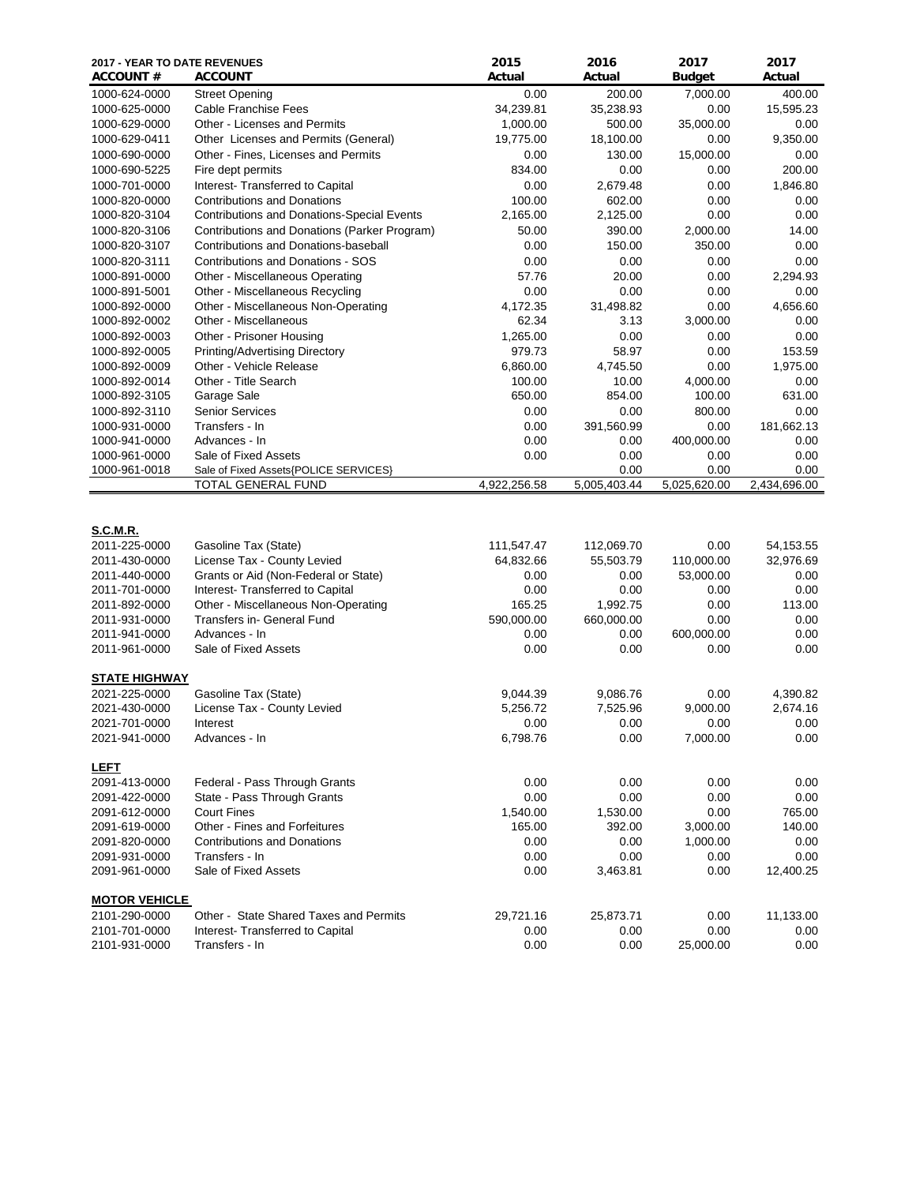| <b>2017 - YEAR TO DATE REVENUES</b><br><b>ACCOUNT #</b> | <b>ACCOUNT</b>                                              | 2015<br>Actual | 2016<br>Actual       | 2017<br><b>Budget</b> | 2017<br>Actual       |
|---------------------------------------------------------|-------------------------------------------------------------|----------------|----------------------|-----------------------|----------------------|
| 1000-624-0000                                           | <b>Street Opening</b>                                       | 0.00           | 200.00               | 7,000.00              | 400.00               |
| 1000-625-0000                                           | <b>Cable Franchise Fees</b>                                 | 34,239.81      | 35,238.93            | 0.00                  | 15,595.23            |
| 1000-629-0000                                           | Other - Licenses and Permits                                | 1,000.00       | 500.00               | 35,000.00             | 0.00                 |
| 1000-629-0411                                           | Other Licenses and Permits (General)                        | 19,775.00      | 18,100.00            | 0.00                  | 9,350.00             |
| 1000-690-0000                                           | Other - Fines, Licenses and Permits                         | 0.00           | 130.00               | 15,000.00             | 0.00                 |
| 1000-690-5225                                           | Fire dept permits                                           | 834.00         | 0.00                 | 0.00                  | 200.00               |
| 1000-701-0000                                           | Interest- Transferred to Capital                            | 0.00           | 2,679.48             | 0.00                  | 1,846.80             |
| 1000-820-0000                                           | <b>Contributions and Donations</b>                          | 100.00         | 602.00               | 0.00                  | 0.00                 |
| 1000-820-3104                                           | Contributions and Donations-Special Events                  | 2,165.00       | 2,125.00             | 0.00                  | 0.00                 |
| 1000-820-3106                                           | Contributions and Donations (Parker Program)                | 50.00          | 390.00               | 2,000.00              | 14.00                |
| 1000-820-3107                                           | Contributions and Donations-baseball                        | 0.00           | 150.00               | 350.00                | 0.00                 |
| 1000-820-3111                                           | <b>Contributions and Donations - SOS</b>                    | 0.00           | 0.00                 | 0.00                  | 0.00                 |
| 1000-891-0000                                           | Other - Miscellaneous Operating                             | 57.76          | 20.00                | 0.00                  | 2,294.93             |
| 1000-891-5001                                           | Other - Miscellaneous Recycling                             | 0.00           | 0.00                 | 0.00                  | 0.00                 |
| 1000-892-0000                                           | Other - Miscellaneous Non-Operating                         | 4,172.35       | 31,498.82            | 0.00                  | 4,656.60             |
| 1000-892-0002                                           | Other - Miscellaneous                                       | 62.34          | 3.13                 | 3,000.00              | 0.00                 |
| 1000-892-0003                                           | Other - Prisoner Housing                                    | 1,265.00       | 0.00                 | 0.00                  | 0.00                 |
| 1000-892-0005                                           | Printing/Advertising Directory                              | 979.73         | 58.97                | 0.00                  | 153.59               |
| 1000-892-0009                                           | Other - Vehicle Release                                     | 6,860.00       | 4,745.50             | 0.00                  | 1,975.00             |
| 1000-892-0014                                           | Other - Title Search                                        | 100.00         | 10.00                | 4,000.00              | 0.00                 |
| 1000-892-3105                                           | Garage Sale                                                 | 650.00         | 854.00               | 100.00                | 631.00               |
| 1000-892-3110                                           | <b>Senior Services</b>                                      | 0.00           | 0.00                 | 800.00                | 0.00                 |
| 1000-931-0000                                           | Transfers - In                                              | 0.00           | 391,560.99           | 0.00                  | 181,662.13           |
| 1000-941-0000                                           | Advances - In                                               | 0.00           | 0.00                 | 400,000.00            | 0.00                 |
| 1000-961-0000                                           | Sale of Fixed Assets                                        | 0.00           | 0.00                 | 0.00                  | 0.00                 |
| 1000-961-0018                                           | Sale of Fixed Assets{POLICE SERVICES}<br>TOTAL GENERAL FUND | 4,922,256.58   | 0.00<br>5,005,403.44 | 0.00<br>5,025,620.00  | 0.00<br>2,434,696.00 |
| <b>S.C.M.R.</b>                                         |                                                             |                |                      |                       |                      |
| 2011-225-0000                                           | Gasoline Tax (State)                                        | 111,547.47     | 112,069.70           | 0.00                  | 54,153.55            |
| 2011-430-0000                                           | License Tax - County Levied                                 | 64,832.66      | 55,503.79            | 110,000.00            | 32,976.69            |
| 2011-440-0000                                           | Grants or Aid (Non-Federal or State)                        | 0.00           | 0.00                 | 53,000.00             | 0.00                 |
| 2011-701-0000                                           | Interest- Transferred to Capital                            | 0.00           | 0.00                 | 0.00                  | 0.00                 |
| 2011-892-0000                                           | Other - Miscellaneous Non-Operating                         | 165.25         | 1,992.75             | 0.00                  | 113.00               |
| 2011-931-0000                                           | Transfers in- General Fund                                  | 590,000.00     | 660,000.00           | 0.00                  | 0.00                 |
| 2011-941-0000                                           | Advances - In                                               | 0.00           | 0.00                 | 600,000.00            | 0.00                 |
| 2011-961-0000                                           | Sale of Fixed Assets                                        | 0.00           | 0.00                 | 0.00                  | 0.00                 |
| <b>STATE HIGHWAY</b>                                    |                                                             |                |                      |                       |                      |
| 2021-225-0000                                           | Gasoline Tax (State)                                        | 9,044.39       | 9,086.76             | 0.00                  | 4,390.82             |
| 2021-430-0000                                           | License Tax - County Levied                                 | 5,256.72       | 7,525.96             | 9,000.00              | 2,674.16             |
| 2021-701-0000                                           | Interest                                                    | 0.00           | 0.00                 | 0.00                  | $0.00\,$             |
| 2021-941-0000                                           | Advances - In                                               | 6,798.76       | 0.00                 | 7,000.00              | 0.00                 |
| <b>LEFT</b>                                             |                                                             |                |                      |                       |                      |
| 2091-413-0000                                           | Federal - Pass Through Grants                               | 0.00           | 0.00                 | 0.00                  | 0.00                 |
| 2091-422-0000                                           | State - Pass Through Grants                                 | 0.00           | 0.00                 | 0.00                  | 0.00                 |
| 2091-612-0000                                           | <b>Court Fines</b>                                          | 1,540.00       | 1,530.00             | 0.00                  | 765.00               |
| 2091-619-0000                                           | Other - Fines and Forfeitures                               | 165.00         | 392.00               | 3,000.00              | 140.00               |
| 2091-820-0000                                           | <b>Contributions and Donations</b>                          | 0.00           | 0.00                 | 1,000.00              | 0.00                 |
| 2091-931-0000                                           | Transfers - In                                              | 0.00           | 0.00                 | 0.00                  | 0.00                 |
| 2091-961-0000                                           | Sale of Fixed Assets                                        | 0.00           | 3,463.81             | 0.00                  | 12,400.25            |
| <b>MOTOR VEHICLE</b>                                    |                                                             |                |                      |                       |                      |
| 2101-290-0000                                           | Other - State Shared Taxes and Permits                      | 29,721.16      | 25,873.71            | 0.00                  | 11,133.00            |
| 2101-701-0000                                           | Interest- Transferred to Capital                            | 0.00           | 0.00                 | 0.00                  | 0.00                 |
| 2101-931-0000                                           | Transfers - In                                              | 0.00           | 0.00                 | 25,000.00             | 0.00                 |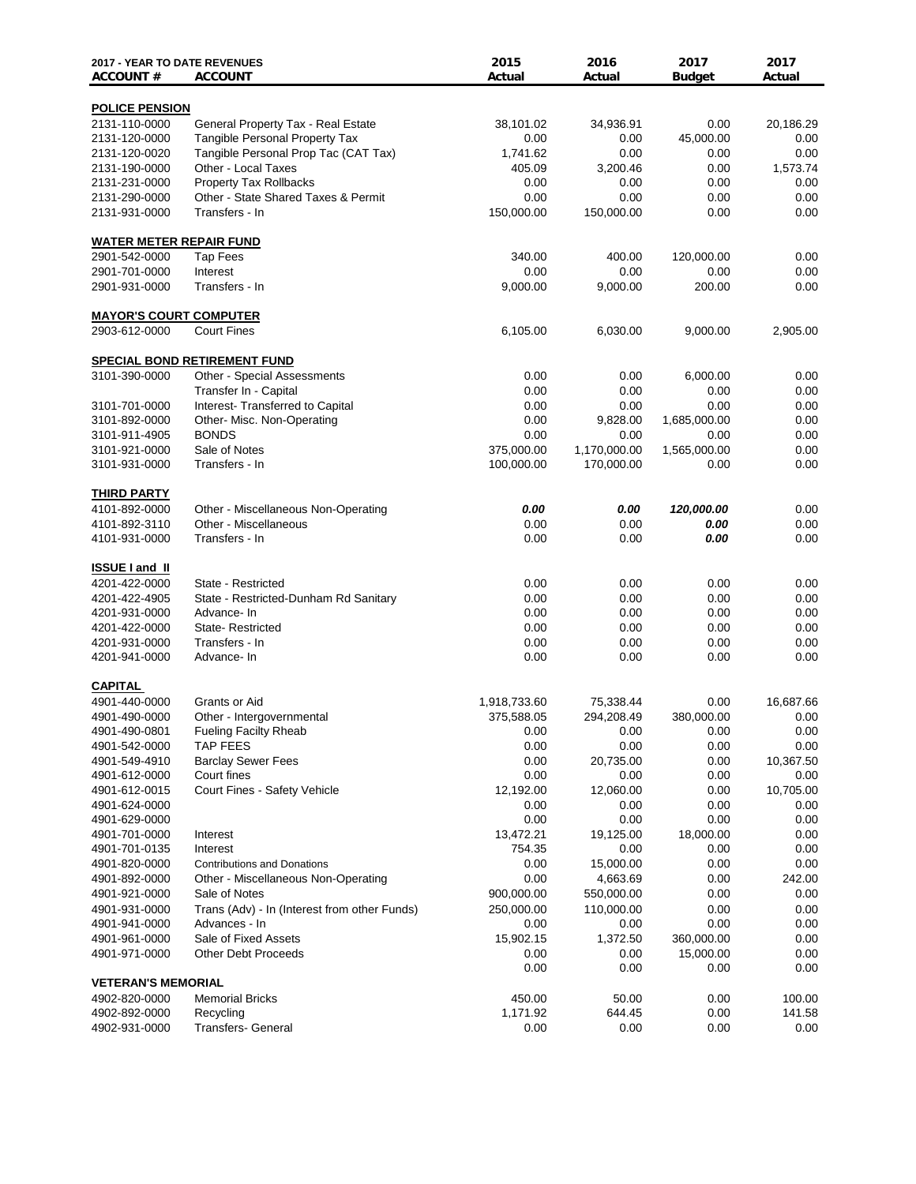| <b>2017 - YEAR TO DATE REVENUES</b><br><b>ACCOUNT#</b> | <b>ACCOUNT</b>                                  | 2015<br>Actual     | 2016<br>Actual             | 2017<br><b>Budget</b> | 2017<br>Actual |
|--------------------------------------------------------|-------------------------------------------------|--------------------|----------------------------|-----------------------|----------------|
| <b>POLICE PENSION</b>                                  |                                                 |                    |                            |                       |                |
| 2131-110-0000                                          | General Property Tax - Real Estate              | 38,101.02          | 34,936.91                  | 0.00                  | 20,186.29      |
| 2131-120-0000                                          | <b>Tangible Personal Property Tax</b>           | 0.00               | 0.00                       | 45,000.00             | $0.00\,$       |
| 2131-120-0020                                          | Tangible Personal Prop Tac (CAT Tax)            | 1,741.62           | 0.00                       | 0.00                  | 0.00           |
| 2131-190-0000                                          | Other - Local Taxes                             | 405.09             | 3,200.46                   | 0.00                  | 1,573.74       |
| 2131-231-0000                                          | <b>Property Tax Rollbacks</b>                   | 0.00               | 0.00                       | 0.00                  | 0.00           |
| 2131-290-0000                                          | Other - State Shared Taxes & Permit             | 0.00               | 0.00                       | 0.00                  | 0.00           |
| 2131-931-0000                                          | Transfers - In                                  | 150,000.00         | 150,000.00                 | 0.00                  | 0.00           |
| <b>WATER METER REPAIR FUND</b>                         |                                                 |                    |                            |                       |                |
| 2901-542-0000                                          | <b>Tap Fees</b>                                 | 340.00             | 400.00                     | 120,000.00            | $0.00\,$       |
| 2901-701-0000                                          | Interest                                        | 0.00               | 0.00                       | 0.00                  | 0.00           |
| 2901-931-0000                                          | Transfers - In                                  | 9,000.00           | 9,000.00                   | 200.00                | 0.00           |
| <b>MAYOR'S COURT COMPUTER</b>                          |                                                 |                    |                            |                       |                |
| 2903-612-0000                                          | <b>Court Fines</b>                              | 6,105.00           | 6,030.00                   | 9,000.00              | 2,905.00       |
|                                                        | <b>SPECIAL BOND RETIREMENT FUND</b>             |                    |                            |                       |                |
| 3101-390-0000                                          | <b>Other - Special Assessments</b>              | 0.00               | 0.00                       | 6,000.00              | 0.00           |
|                                                        | Transfer In - Capital                           | 0.00               | 0.00                       | 0.00                  | 0.00           |
| 3101-701-0000                                          | Interest- Transferred to Capital                | 0.00               | 0.00                       | 0.00                  | 0.00           |
| 3101-892-0000                                          | Other- Misc. Non-Operating                      | 0.00               | 9,828.00                   | 1,685,000.00          | 0.00           |
| 3101-911-4905                                          | <b>BONDS</b>                                    | 0.00<br>375,000.00 | 0.00                       | 0.00                  | 0.00           |
| 3101-921-0000<br>3101-931-0000                         | Sale of Notes<br>Transfers - In                 | 100,000.00         | 1,170,000.00<br>170,000.00 | 1,565,000.00          | 0.00<br>0.00   |
|                                                        |                                                 |                    |                            | 0.00                  |                |
| <b>THIRD PARTY</b>                                     |                                                 |                    |                            |                       |                |
| 4101-892-0000                                          | Other - Miscellaneous Non-Operating             | 0.00               | 0.00                       | 120,000.00            | 0.00           |
| 4101-892-3110                                          | Other - Miscellaneous                           | 0.00               | 0.00                       | 0.00                  | 0.00           |
| 4101-931-0000                                          | Transfers - In                                  | 0.00               | 0.00                       | 0.00                  | 0.00           |
| <b>ISSUE I and II</b>                                  |                                                 |                    |                            |                       |                |
| 4201-422-0000                                          | State - Restricted                              | 0.00               | 0.00                       | 0.00                  | 0.00           |
| 4201-422-4905                                          | State - Restricted-Dunham Rd Sanitary           | 0.00               | 0.00                       | 0.00                  | 0.00           |
| 4201-931-0000                                          | Advance- In                                     | 0.00               | 0.00                       | 0.00                  | 0.00           |
| 4201-422-0000                                          | State-Restricted                                | 0.00               | 0.00                       | 0.00                  | 0.00           |
| 4201-931-0000                                          | Transfers - In                                  | 0.00               | 0.00                       | 0.00                  | 0.00           |
| 4201-941-0000                                          | Advance-In                                      | 0.00               | 0.00                       | 0.00                  | 0.00           |
| <b>CAPITAL</b>                                         |                                                 |                    |                            |                       |                |
| 4901-440-0000                                          | Grants or Aid                                   | 1,918,733.60       | 75,338.44                  | 0.00                  | 16,687.66      |
| 4901-490-0000                                          | Other - Intergovernmental                       | 375,588.05         | 294,208.49                 | 380.000.00            | $0.00\,$       |
| 4901-490-0801                                          | <b>Fueling Facilty Rheab</b><br><b>TAP FEES</b> | 0.00               | 0.00                       | 0.00<br>0.00          | 0.00<br>0.00   |
| 4901-542-0000<br>4901-549-4910                         | <b>Barclay Sewer Fees</b>                       | 0.00<br>0.00       | 0.00<br>20,735.00          | 0.00                  | 10,367.50      |
| 4901-612-0000                                          | Court fines                                     | 0.00               | 0.00                       | 0.00                  | $0.00\,$       |
| 4901-612-0015                                          | Court Fines - Safety Vehicle                    | 12,192.00          | 12,060.00                  | 0.00                  | 10,705.00      |
| 4901-624-0000                                          |                                                 | 0.00               | 0.00                       | 0.00                  | 0.00           |
| 4901-629-0000                                          |                                                 | 0.00               | 0.00                       | 0.00                  | 0.00           |
| 4901-701-0000                                          | Interest                                        | 13,472.21          | 19,125.00                  | 18,000.00             | $0.00\,$       |
| 4901-701-0135                                          | Interest                                        | 754.35             | 0.00                       | 0.00                  | 0.00           |
| 4901-820-0000                                          | <b>Contributions and Donations</b>              | 0.00               | 15,000.00                  | 0.00                  | 0.00           |
| 4901-892-0000                                          | Other - Miscellaneous Non-Operating             | 0.00               | 4,663.69                   | 0.00                  | 242.00         |
| 4901-921-0000                                          | Sale of Notes                                   | 900,000.00         | 550,000.00                 | 0.00                  | 0.00           |
| 4901-931-0000                                          | Trans (Adv) - In (Interest from other Funds)    | 250,000.00         | 110,000.00                 | 0.00                  | 0.00           |
| 4901-941-0000                                          | Advances - In                                   | 0.00               | 0.00                       | 0.00                  | 0.00           |
| 4901-961-0000                                          | Sale of Fixed Assets                            | 15,902.15          | 1,372.50                   | 360,000.00            | 0.00           |
| 4901-971-0000                                          | <b>Other Debt Proceeds</b>                      | 0.00               | 0.00                       | 15,000.00             | 0.00           |
|                                                        |                                                 | 0.00               | 0.00                       | 0.00                  | 0.00           |
| <b>VETERAN'S MEMORIAL</b>                              |                                                 |                    |                            |                       |                |
| 4902-820-0000                                          | <b>Memorial Bricks</b>                          | 450.00             | 50.00                      | 0.00                  | 100.00         |
| 4902-892-0000                                          | Recycling                                       | 1,171.92           | 644.45                     | 0.00                  | 141.58         |
| 4902-931-0000                                          | <b>Transfers- General</b>                       | 0.00               | 0.00                       | 0.00                  | 0.00           |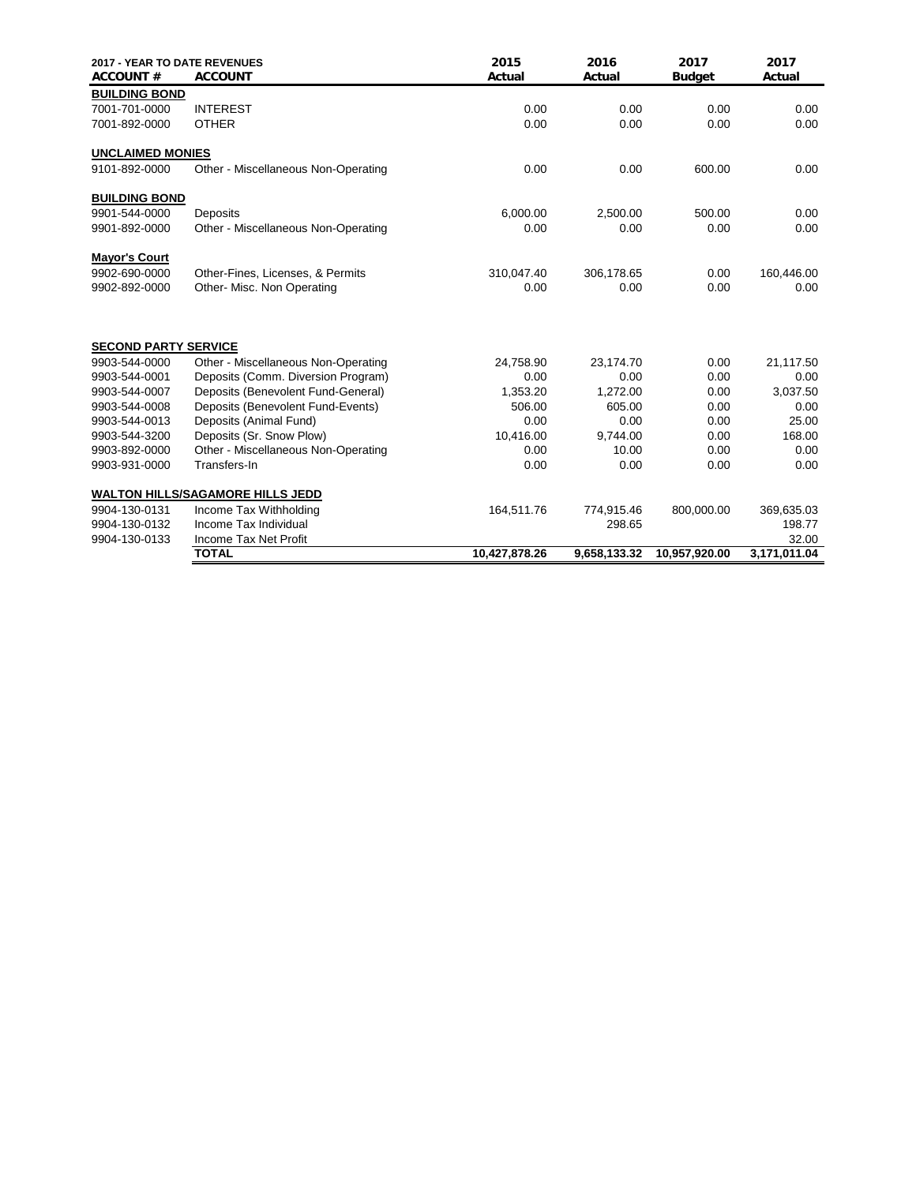| <b>2017 - YEAR TO DATE REVENUES</b><br><b>ACCOUNT#</b> | <b>ACCOUNT</b>                          | 2015<br>Actual | 2016<br>Actual | 2017<br><b>Budget</b> | 2017<br>Actual |
|--------------------------------------------------------|-----------------------------------------|----------------|----------------|-----------------------|----------------|
| <b>BUILDING BOND</b>                                   |                                         |                |                |                       |                |
| 7001-701-0000                                          | <b>INTEREST</b>                         | 0.00           | 0.00           | 0.00                  | 0.00           |
| 7001-892-0000                                          | <b>OTHER</b>                            | 0.00           | 0.00           | 0.00                  | 0.00           |
| <b>UNCLAIMED MONIES</b>                                |                                         |                |                |                       |                |
| 9101-892-0000                                          | Other - Miscellaneous Non-Operating     | 0.00           | 0.00           | 600.00                | 0.00           |
| <b>BUILDING BOND</b>                                   |                                         |                |                |                       |                |
| 9901-544-0000                                          | Deposits                                | 6,000.00       | 2,500.00       | 500.00                | 0.00           |
| 9901-892-0000                                          | Other - Miscellaneous Non-Operating     | 0.00           | 0.00           | 0.00                  | 0.00           |
| <b>Mayor's Court</b>                                   |                                         |                |                |                       |                |
| 9902-690-0000                                          | Other-Fines, Licenses, & Permits        | 310,047.40     | 306,178.65     | 0.00                  | 160,446.00     |
| 9902-892-0000                                          | Other- Misc. Non Operating              | 0.00           | 0.00           | 0.00                  | 0.00           |
| <b>SECOND PARTY SERVICE</b>                            |                                         |                |                |                       |                |
| 9903-544-0000                                          | Other - Miscellaneous Non-Operating     | 24,758.90      | 23,174.70      | 0.00                  | 21,117.50      |
| 9903-544-0001                                          | Deposits (Comm. Diversion Program)      | 0.00           | 0.00           | 0.00                  | 0.00           |
| 9903-544-0007                                          | Deposits (Benevolent Fund-General)      | 1,353.20       | 1,272.00       | 0.00                  | 3,037.50       |
| 9903-544-0008                                          | Deposits (Benevolent Fund-Events)       | 506.00         | 605.00         | 0.00                  | 0.00           |
| 9903-544-0013                                          | Deposits (Animal Fund)                  | 0.00           | 0.00           | 0.00                  | 25.00          |
| 9903-544-3200                                          | Deposits (Sr. Snow Plow)                | 10,416.00      | 9.744.00       | 0.00                  | 168.00         |
| 9903-892-0000                                          | Other - Miscellaneous Non-Operating     | 0.00           | 10.00          | 0.00                  | 0.00           |
| 9903-931-0000                                          | Transfers-In                            | 0.00           | 0.00           | 0.00                  | 0.00           |
|                                                        | <b>WALTON HILLS/SAGAMORE HILLS JEDD</b> |                |                |                       |                |
| 9904-130-0131                                          | Income Tax Withholding                  | 164,511.76     | 774,915.46     | 800,000.00            | 369,635.03     |
| 9904-130-0132                                          | Income Tax Individual                   |                | 298.65         |                       | 198.77         |
| 9904-130-0133                                          | Income Tax Net Profit                   |                |                |                       | 32.00          |
|                                                        | <b>TOTAL</b>                            | 10,427,878.26  | 9,658,133.32   | 10.957.920.00         | 3,171,011.04   |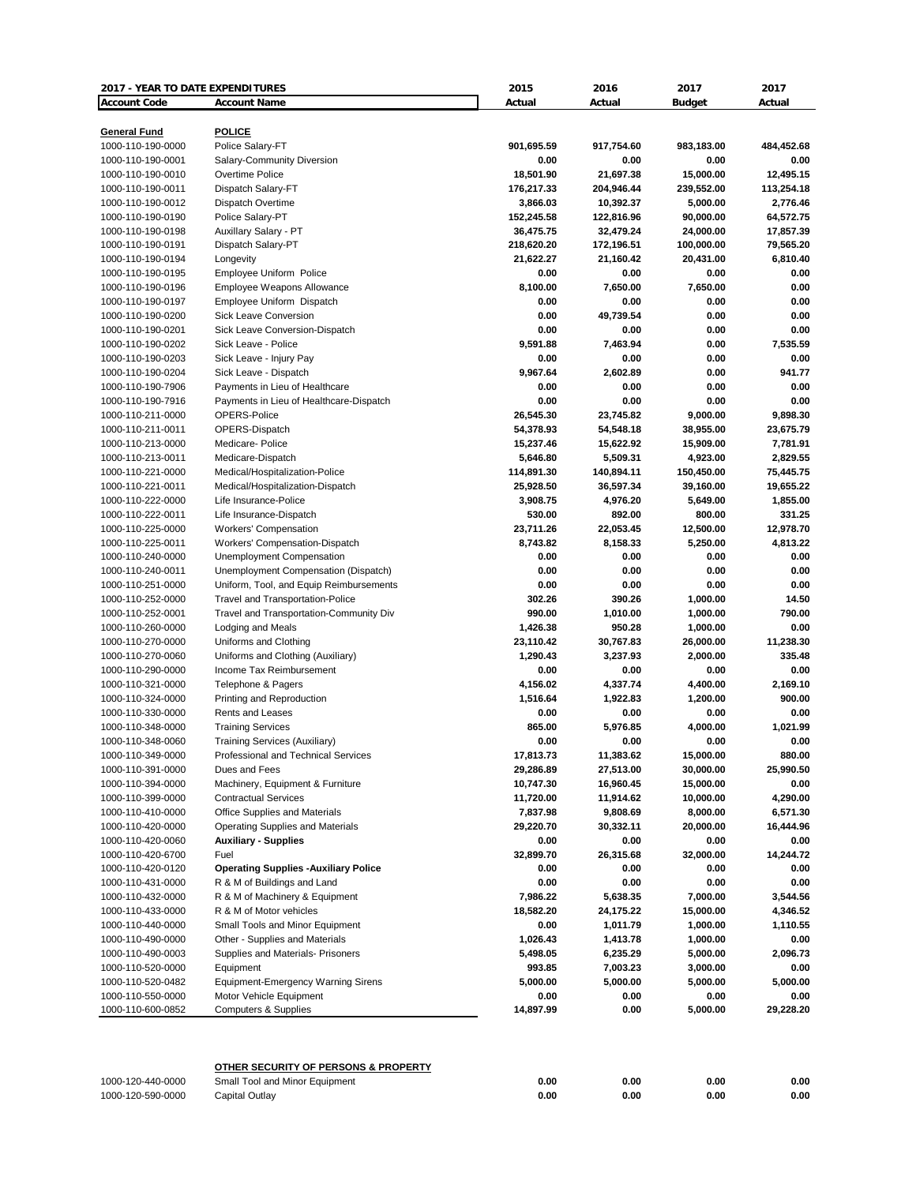| <b>2017 - YEAR TO DATE EXPENDITURES</b> |                                              | 2015       | 2016       | 2017          | 2017       |
|-----------------------------------------|----------------------------------------------|------------|------------|---------------|------------|
| <b>Account Code</b>                     | <b>Account Name</b>                          | Actual     | Actual     | <b>Budget</b> | Actual     |
|                                         |                                              |            |            |               |            |
| <b>General Fund</b>                     | <b>POLICE</b>                                |            |            |               |            |
| 1000-110-190-0000                       | Police Salary-FT                             | 901,695.59 | 917,754.60 | 983,183.00    | 484,452.68 |
| 1000-110-190-0001                       | Salary-Community Diversion                   | 0.00       | 0.00       | 0.00          | 0.00       |
| 1000-110-190-0010                       | Overtime Police                              | 18,501.90  | 21,697.38  | 15,000.00     | 12,495.15  |
| 1000-110-190-0011                       | Dispatch Salary-FT                           | 176,217.33 | 204,946.44 | 239,552.00    | 113,254.18 |
| 1000-110-190-0012                       | Dispatch Overtime                            | 3,866.03   | 10,392.37  | 5,000.00      | 2,776.46   |
| 1000-110-190-0190                       | Police Salary-PT                             | 152,245.58 | 122,816.96 | 90,000.00     | 64,572.75  |
| 1000-110-190-0198                       | Auxillary Salary - PT                        | 36,475.75  | 32,479.24  | 24,000.00     | 17,857.39  |
| 1000-110-190-0191                       | Dispatch Salary-PT                           | 218,620.20 | 172,196.51 | 100,000.00    | 79,565.20  |
| 1000-110-190-0194                       | Longevity                                    | 21,622.27  | 21,160.42  | 20,431.00     | 6,810.40   |
| 1000-110-190-0195                       | Employee Uniform Police                      | 0.00       | 0.00       | 0.00          | 0.00       |
| 1000-110-190-0196                       | Employee Weapons Allowance                   | 8,100.00   | 7,650.00   | 7,650.00      | 0.00       |
| 1000-110-190-0197                       | Employee Uniform Dispatch                    | 0.00       | 0.00       | 0.00          | 0.00       |
| 1000-110-190-0200                       | Sick Leave Conversion                        | 0.00       | 49,739.54  | 0.00          | 0.00       |
| 1000-110-190-0201                       | Sick Leave Conversion-Dispatch               | 0.00       | 0.00       | 0.00          | 0.00       |
| 1000-110-190-0202                       | Sick Leave - Police                          | 9,591.88   | 7,463.94   | 0.00          | 7,535.59   |
| 1000-110-190-0203                       | Sick Leave - Injury Pay                      | 0.00       | 0.00       | 0.00          | 0.00       |
| 1000-110-190-0204                       | Sick Leave - Dispatch                        | 9,967.64   | 2.602.89   | 0.00          | 941.77     |
| 1000-110-190-7906                       | Payments in Lieu of Healthcare               | 0.00       | 0.00       | 0.00          | 0.00       |
| 1000-110-190-7916                       | Payments in Lieu of Healthcare-Dispatch      | 0.00       | 0.00       | 0.00          | 0.00       |
| 1000-110-211-0000                       | OPERS-Police                                 | 26,545.30  | 23,745.82  | 9,000.00      | 9,898.30   |
| 1000-110-211-0011                       | OPERS-Dispatch                               | 54,378.93  | 54,548.18  | 38,955.00     | 23,675.79  |
| 1000-110-213-0000                       | Medicare-Police                              | 15,237.46  | 15,622.92  | 15,909.00     | 7,781.91   |
| 1000-110-213-0011                       | Medicare-Dispatch                            | 5,646.80   | 5,509.31   | 4,923.00      | 2,829.55   |
| 1000-110-221-0000                       | Medical/Hospitalization-Police               | 114,891.30 | 140,894.11 | 150,450.00    | 75,445.75  |
| 1000-110-221-0011                       | Medical/Hospitalization-Dispatch             | 25,928.50  | 36,597.34  | 39,160.00     | 19,655.22  |
| 1000-110-222-0000                       | Life Insurance-Police                        | 3,908.75   | 4,976.20   | 5,649.00      | 1,855.00   |
| 1000-110-222-0011                       | Life Insurance-Dispatch                      | 530.00     | 892.00     | 800.00        | 331.25     |
| 1000-110-225-0000                       | <b>Workers' Compensation</b>                 | 23,711.26  | 22,053.45  | 12,500.00     | 12,978.70  |
| 1000-110-225-0011                       | Workers' Compensation-Dispatch               | 8,743.82   | 8,158.33   | 5,250.00      | 4,813.22   |
| 1000-110-240-0000                       | Unemployment Compensation                    | 0.00       | 0.00       | 0.00          | 0.00       |
| 1000-110-240-0011                       | Unemployment Compensation (Dispatch)         | 0.00       | 0.00       | 0.00          | 0.00       |
| 1000-110-251-0000                       | Uniform, Tool, and Equip Reimbursements      | 0.00       | 0.00       | 0.00          | 0.00       |
| 1000-110-252-0000                       | Travel and Transportation-Police             | 302.26     | 390.26     | 1,000.00      | 14.50      |
| 1000-110-252-0001                       | Travel and Transportation-Community Div      | 990.00     | 1,010.00   | 1,000.00      | 790.00     |
| 1000-110-260-0000                       | Lodging and Meals                            | 1,426.38   | 950.28     | 1,000.00      | 0.00       |
| 1000-110-270-0000                       | Uniforms and Clothing                        | 23,110.42  | 30,767.83  | 26,000.00     | 11,238.30  |
| 1000-110-270-0060                       | Uniforms and Clothing (Auxiliary)            | 1,290.43   | 3,237.93   | 2,000.00      | 335.48     |
| 1000-110-290-0000                       | Income Tax Reimbursement                     | 0.00       | 0.00       | 0.00          | 0.00       |
| 1000-110-321-0000                       | Telephone & Pagers                           | 4,156.02   | 4,337.74   | 4,400.00      | 2,169.10   |
| 1000-110-324-0000                       | Printing and Reproduction                    | 1,516.64   | 1,922.83   | 1,200.00      | 900.00     |
| 1000-110-330-0000                       | Rents and Leases                             | 0.00       | 0.00       | 0.00          | 0.00       |
| 1000-110-348-0000                       | <b>Training Services</b>                     | 865.00     | 5,976.85   | 4,000.00      | 1,021.99   |
| 1000-110-348-0060                       | Training Services (Auxiliary)                | 0.00       | 0.00       | 0.00          | 0.00       |
| 1000-110-349-0000                       | Professional and Technical Services          | 17,813.73  | 11,383.62  | 15,000.00     | 880.00     |
| 1000-110-391-0000                       | Dues and Fees                                | 29,286.89  | 27,513.00  | 30,000.00     | 25,990.50  |
| 1000-110-394-0000                       | Machinery, Equipment & Furniture             | 10,747.30  | 16,960.45  | 15,000.00     | 0.00       |
| 1000-110-399-0000                       | <b>Contractual Services</b>                  | 11,720.00  | 11,914.62  | 10,000.00     | 4,290.00   |
| 1000-110-410-0000                       | Office Supplies and Materials                | 7,837.98   | 9,808.69   | 8,000.00      | 6,571.30   |
| 1000-110-420-0000                       | <b>Operating Supplies and Materials</b>      | 29,220.70  | 30,332.11  | 20,000.00     | 16,444.96  |
| 1000-110-420-0060                       | <b>Auxiliary - Supplies</b>                  | 0.00       | 0.00       | 0.00          | 0.00       |
| 1000-110-420-6700                       | Fuel                                         | 32,899.70  | 26,315.68  | 32,000.00     | 14,244.72  |
| 1000-110-420-0120                       | <b>Operating Supplies - Auxiliary Police</b> | 0.00       | 0.00       | 0.00          | 0.00       |
| 1000-110-431-0000                       | R & M of Buildings and Land                  | 0.00       | 0.00       | 0.00          | 0.00       |
| 1000-110-432-0000                       | R & M of Machinery & Equipment               | 7,986.22   | 5,638.35   | 7,000.00      | 3,544.56   |
| 1000-110-433-0000                       | R & M of Motor vehicles                      | 18,582.20  | 24,175.22  | 15,000.00     | 4,346.52   |
| 1000-110-440-0000                       | Small Tools and Minor Equipment              | 0.00       | 1,011.79   | 1,000.00      | 1,110.55   |
| 1000-110-490-0000                       | Other - Supplies and Materials               | 1,026.43   | 1,413.78   | 1,000.00      | 0.00       |
| 1000-110-490-0003                       | Supplies and Materials- Prisoners            | 5,498.05   | 6,235.29   | 5,000.00      | 2,096.73   |
| 1000-110-520-0000                       | Equipment                                    | 993.85     | 7,003.23   | 3,000.00      | 0.00       |
| 1000-110-520-0482                       | <b>Equipment-Emergency Warning Sirens</b>    | 5,000.00   | 5,000.00   | 5,000.00      | 5,000.00   |
|                                         | Motor Vehicle Equipment                      | 0.00       | 0.00       | 0.00          | 0.00       |
|                                         |                                              |            |            |               |            |
| 1000-110-550-0000<br>1000-110-600-0852  | <b>Computers &amp; Supplies</b>              | 14,897.99  | 0.00       | 5,000.00      | 29,228.20  |

|                   | OTHER SECURITY OF PERSONS & PROPERTY |      |      |      |      |  |  |  |
|-------------------|--------------------------------------|------|------|------|------|--|--|--|
| 1000-120-440-0000 | Small Tool and Minor Equipment       | 0.00 | 0.00 | 0.00 | 0.00 |  |  |  |
| 1000-120-590-0000 | Capital Outlav                       | 0.00 | 0.00 | 0.00 | 0.00 |  |  |  |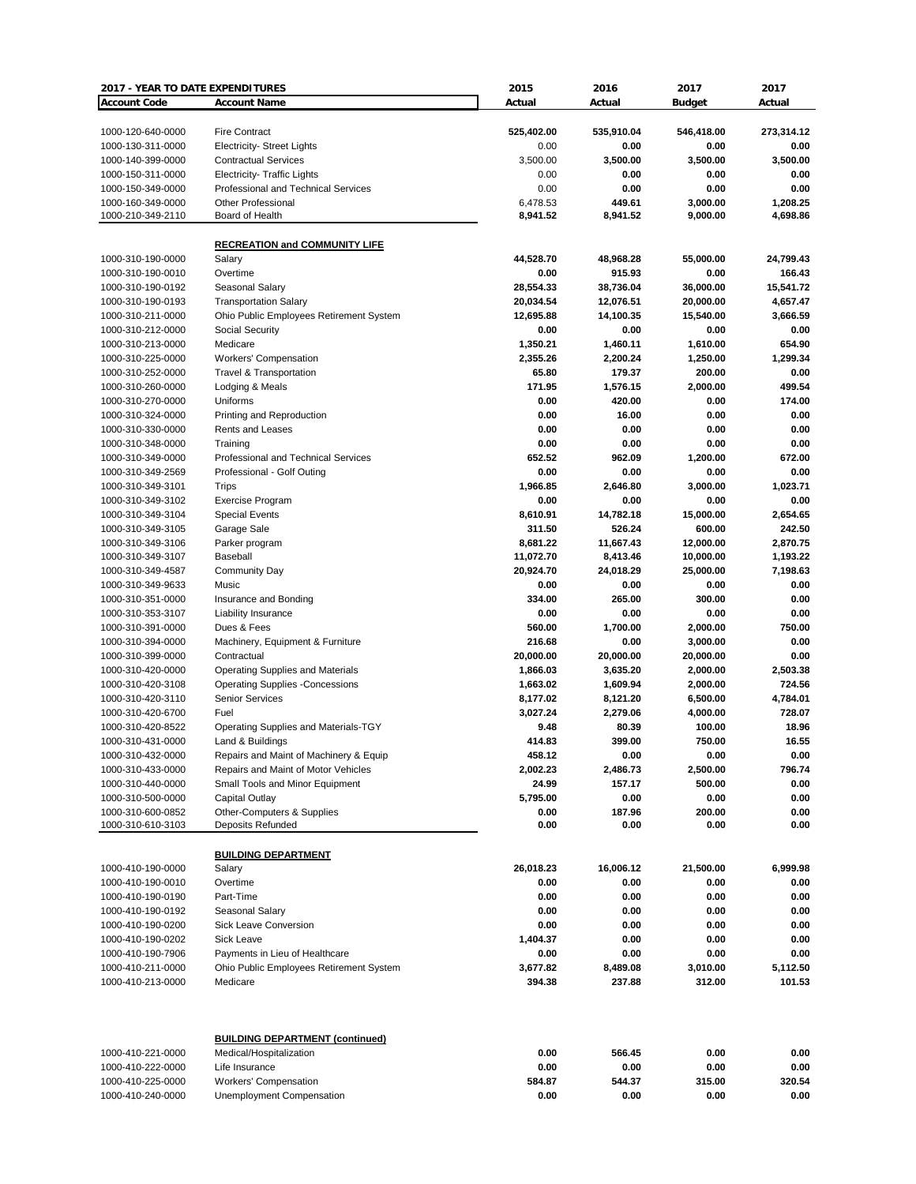| 2017 - YEAR TO DATE EXPENDITURES |                                         | 2015       | 2016       | 2017          | 2017       |
|----------------------------------|-----------------------------------------|------------|------------|---------------|------------|
| <b>Account Code</b>              | <b>Account Name</b>                     | Actual     | Actual     | <b>Budget</b> | Actual     |
|                                  |                                         |            |            |               |            |
| 1000-120-640-0000                | <b>Fire Contract</b>                    | 525,402.00 | 535,910.04 | 546,418.00    | 273,314.12 |
| 1000-130-311-0000                | <b>Electricity- Street Lights</b>       | 0.00       | 0.00       | 0.00          | 0.00       |
| 1000-140-399-0000                | <b>Contractual Services</b>             | 3.500.00   | 3,500.00   | 3,500.00      | 3,500.00   |
|                                  |                                         |            |            |               |            |
| 1000-150-311-0000                | <b>Electricity- Traffic Lights</b>      | 0.00       | 0.00       | 0.00          | 0.00       |
| 1000-150-349-0000                | Professional and Technical Services     | 0.00       | 0.00       | 0.00          | 0.00       |
| 1000-160-349-0000                | <b>Other Professional</b>               | 6,478.53   | 449.61     | 3,000.00      | 1,208.25   |
| 1000-210-349-2110                | Board of Health                         | 8,941.52   | 8,941.52   | 9,000.00      | 4,698.86   |
|                                  |                                         |            |            |               |            |
|                                  | <b>RECREATION and COMMUNITY LIFE</b>    |            |            |               |            |
| 1000-310-190-0000                | Salary                                  | 44,528.70  | 48,968.28  | 55,000.00     | 24,799.43  |
| 1000-310-190-0010                | Overtime                                | 0.00       | 915.93     | 0.00          | 166.43     |
| 1000-310-190-0192                | Seasonal Salary                         | 28,554.33  | 38,736.04  | 36,000.00     | 15,541.72  |
| 1000-310-190-0193                | <b>Transportation Salary</b>            | 20,034.54  | 12,076.51  | 20,000.00     | 4,657.47   |
| 1000-310-211-0000                | Ohio Public Employees Retirement System | 12,695.88  | 14,100.35  | 15,540.00     | 3,666.59   |
| 1000-310-212-0000                |                                         | 0.00       | 0.00       | 0.00          | 0.00       |
|                                  | <b>Social Security</b>                  |            |            |               |            |
| 1000-310-213-0000                | Medicare                                | 1,350.21   | 1,460.11   | 1,610.00      | 654.90     |
| 1000-310-225-0000                | Workers' Compensation                   | 2,355.26   | 2,200.24   | 1,250.00      | 1,299.34   |
| 1000-310-252-0000                | Travel & Transportation                 | 65.80      | 179.37     | 200.00        | 0.00       |
| 1000-310-260-0000                | Lodging & Meals                         | 171.95     | 1,576.15   | 2,000.00      | 499.54     |
| 1000-310-270-0000                | Uniforms                                | 0.00       | 420.00     | 0.00          | 174.00     |
| 1000-310-324-0000                | Printing and Reproduction               | 0.00       | 16.00      | 0.00          | 0.00       |
| 1000-310-330-0000                | Rents and Leases                        | 0.00       | 0.00       | 0.00          | 0.00       |
| 1000-310-348-0000                | Training                                | 0.00       | 0.00       | 0.00          | 0.00       |
| 1000-310-349-0000                | Professional and Technical Services     | 652.52     | 962.09     | 1,200.00      | 672.00     |
|                                  |                                         |            |            |               |            |
| 1000-310-349-2569                | Professional - Golf Outing              | 0.00       | 0.00       | 0.00          | 0.00       |
| 1000-310-349-3101                | Trips                                   | 1,966.85   | 2,646.80   | 3,000.00      | 1.023.71   |
| 1000-310-349-3102                | Exercise Program                        | 0.00       | 0.00       | 0.00          | 0.00       |
| 1000-310-349-3104                | <b>Special Events</b>                   | 8,610.91   | 14,782.18  | 15,000.00     | 2,654.65   |
| 1000-310-349-3105                | Garage Sale                             | 311.50     | 526.24     | 600.00        | 242.50     |
| 1000-310-349-3106                | Parker program                          | 8,681.22   | 11,667.43  | 12,000.00     | 2,870.75   |
| 1000-310-349-3107                | Baseball                                | 11,072.70  | 8,413.46   | 10,000.00     | 1,193.22   |
| 1000-310-349-4587                | <b>Community Day</b>                    | 20,924.70  | 24,018.29  | 25,000.00     | 7,198.63   |
|                                  | Music                                   | 0.00       | 0.00       | 0.00          |            |
| 1000-310-349-9633                |                                         |            |            |               | 0.00       |
| 1000-310-351-0000                | Insurance and Bonding                   | 334.00     | 265.00     | 300.00        | 0.00       |
| 1000-310-353-3107                | Liability Insurance                     | 0.00       | 0.00       | 0.00          | 0.00       |
| 1000-310-391-0000                | Dues & Fees                             | 560.00     | 1,700.00   | 2,000.00      | 750.00     |
| 1000-310-394-0000                | Machinery, Equipment & Furniture        | 216.68     | 0.00       | 3,000.00      | 0.00       |
| 1000-310-399-0000                | Contractual                             | 20,000.00  | 20,000.00  | 20,000.00     | 0.00       |
| 1000-310-420-0000                | Operating Supplies and Materials        | 1,866.03   | 3,635.20   | 2,000.00      | 2,503.38   |
| 1000-310-420-3108                | <b>Operating Supplies -Concessions</b>  | 1,663.02   | 1,609.94   | 2,000.00      | 724.56     |
| 1000-310-420-3110                | <b>Senior Services</b>                  | 8,177.02   | 8,121.20   | 6,500.00      | 4,784.01   |
| 1000-310-420-6700                | Fuel                                    | 3,027.24   | 2,279.06   | 4,000.00      | 728.07     |
| 1000-310-420-8522                |                                         | 9.48       | 80.39      |               | 18.96      |
|                                  | Operating Supplies and Materials-TGY    |            |            | 100.00        |            |
| 1000-310-431-0000                | Land & Buildings                        | 414.83     | 399.00     | 750.00        | 16.55      |
| 1000-310-432-0000                | Repairs and Maint of Machinery & Equip  | 458.12     | 0.00       | 0.00          | 0.00       |
| 1000-310-433-0000                | Repairs and Maint of Motor Vehicles     | 2,002.23   | 2,486.73   | 2,500.00      | 796.74     |
| 1000-310-440-0000                | Small Tools and Minor Equipment         | 24.99      | 157.17     | 500.00        | 0.00       |
| 1000-310-500-0000                | Capital Outlay                          | 5,795.00   | 0.00       | 0.00          | 0.00       |
| 1000-310-600-0852                | Other-Computers & Supplies              | 0.00       | 187.96     | 200.00        | 0.00       |
| 1000-310-610-3103                | Deposits Refunded                       | 0.00       | 0.00       | 0.00          | 0.00       |
|                                  |                                         |            |            |               |            |
|                                  | <b>BUILDING DEPARTMENT</b>              |            |            |               |            |
| 1000-410-190-0000                | Salary                                  | 26,018.23  | 16,006.12  | 21,500.00     | 6,999.98   |
|                                  |                                         |            |            |               |            |
| 1000-410-190-0010                | Overtime                                | 0.00       | 0.00       | 0.00          | 0.00       |
| 1000-410-190-0190                | Part-Time                               | 0.00       | 0.00       | 0.00          | 0.00       |
| 1000-410-190-0192                | Seasonal Salary                         | 0.00       | 0.00       | 0.00          | 0.00       |
| 1000-410-190-0200                | Sick Leave Conversion                   | 0.00       | 0.00       | 0.00          | 0.00       |
| 1000-410-190-0202                | Sick Leave                              | 1,404.37   | 0.00       | 0.00          | 0.00       |
| 1000-410-190-7906                | Payments in Lieu of Healthcare          | 0.00       | 0.00       | 0.00          | 0.00       |
| 1000-410-211-0000                | Ohio Public Employees Retirement System | 3,677.82   | 8,489.08   | 3,010.00      | 5,112.50   |
| 1000-410-213-0000                | Medicare                                | 394.38     | 237.88     | 312.00        | 101.53     |
|                                  |                                         |            |            |               |            |
|                                  |                                         |            |            |               |            |
|                                  | <b>BUILDING DEPARTMENT (continued)</b>  |            |            |               |            |
| 1000-410-221-0000                | Medical/Hospitalization                 | 0.00       | 566.45     | 0.00          | 0.00       |
| 1000-410-222-0000                | Life Insurance                          | 0.00       | 0.00       | 0.00          | 0.00       |
| 1000-410-225-0000                | Workers' Compensation                   | 584.87     | 544.37     | 315.00        | 320.54     |
| 1000-410-240-0000                | Unemployment Compensation               | 0.00       | 0.00       | 0.00          | 0.00       |
|                                  |                                         |            |            |               |            |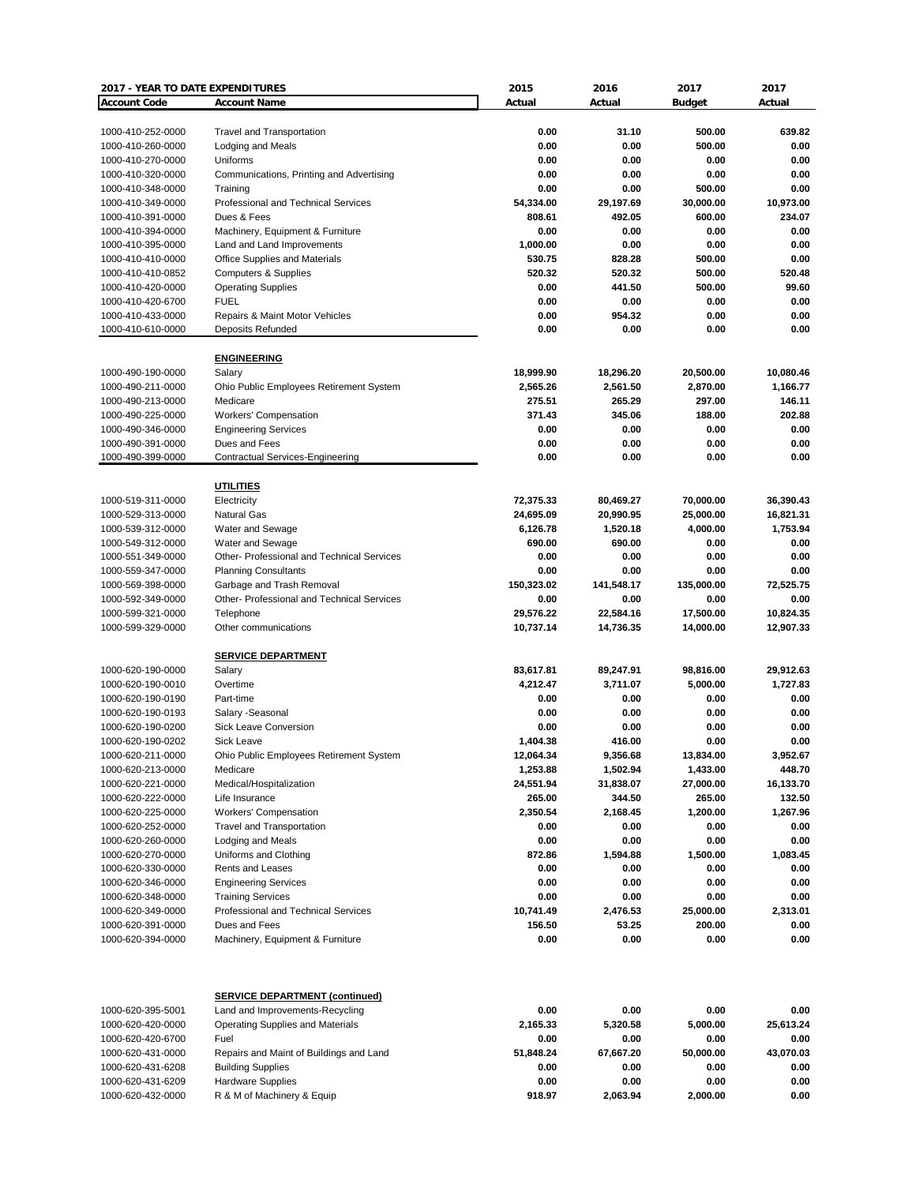| 2017 - YEAR TO DATE EXPENDITURES |                                                   | 2015       | 2016       | 2017          | 2017      |
|----------------------------------|---------------------------------------------------|------------|------------|---------------|-----------|
| <b>Account Code</b>              | <b>Account Name</b>                               | Actual     | Actual     | <b>Budget</b> | Actual    |
|                                  |                                                   |            |            |               |           |
| 1000-410-252-0000                | <b>Travel and Transportation</b>                  | 0.00       | 31.10      | 500.00        | 639.82    |
|                                  |                                                   | 0.00       | 0.00       | 500.00        | 0.00      |
| 1000-410-260-0000                | Lodging and Meals                                 |            |            |               |           |
| 1000-410-270-0000                | Uniforms                                          | 0.00       | 0.00       | 0.00          | 0.00      |
| 1000-410-320-0000                | Communications, Printing and Advertising          | 0.00       | 0.00       | 0.00          | 0.00      |
| 1000-410-348-0000                | Training                                          | 0.00       | 0.00       | 500.00        | 0.00      |
| 1000-410-349-0000                | Professional and Technical Services               | 54,334.00  | 29,197.69  | 30,000.00     | 10,973.00 |
| 1000-410-391-0000                | Dues & Fees                                       | 808.61     | 492.05     | 600.00        | 234.07    |
| 1000-410-394-0000                | Machinery, Equipment & Furniture                  | 0.00       | 0.00       | 0.00          | 0.00      |
| 1000-410-395-0000                | Land and Land Improvements                        | 1.000.00   | 0.00       | 0.00          | 0.00      |
| 1000-410-410-0000                | Office Supplies and Materials                     | 530.75     | 828.28     | 500.00        | 0.00      |
| 1000-410-410-0852                | <b>Computers &amp; Supplies</b>                   | 520.32     | 520.32     | 500.00        | 520.48    |
| 1000-410-420-0000                | <b>Operating Supplies</b>                         | 0.00       | 441.50     | 500.00        | 99.60     |
| 1000-410-420-6700                | <b>FUEL</b>                                       | 0.00       | 0.00       | 0.00          | 0.00      |
|                                  |                                                   |            |            |               |           |
| 1000-410-433-0000                | Repairs & Maint Motor Vehicles                    | 0.00       | 954.32     | 0.00          | 0.00      |
| 1000-410-610-0000                | <b>Deposits Refunded</b>                          | 0.00       | 0.00       | 0.00          | 0.00      |
|                                  |                                                   |            |            |               |           |
|                                  | <b>ENGINEERING</b>                                |            |            |               |           |
| 1000-490-190-0000                | Salary                                            | 18,999.90  | 18,296.20  | 20,500.00     | 10,080.46 |
| 1000-490-211-0000                | Ohio Public Employees Retirement System           | 2,565.26   | 2,561.50   | 2,870.00      | 1,166.77  |
| 1000-490-213-0000                | Medicare                                          | 275.51     | 265.29     | 297.00        | 146.11    |
| 1000-490-225-0000                | Workers' Compensation                             | 371.43     | 345.06     | 188.00        | 202.88    |
|                                  |                                                   |            |            |               |           |
| 1000-490-346-0000                | <b>Engineering Services</b>                       | 0.00       | 0.00       | 0.00          | 0.00      |
| 1000-490-391-0000                | Dues and Fees                                     | 0.00       | 0.00       | 0.00          | 0.00      |
| 1000-490-399-0000                | <b>Contractual Services-Engineering</b>           | 0.00       | 0.00       | 0.00          | 0.00      |
|                                  |                                                   |            |            |               |           |
|                                  | <b>UTILITIES</b>                                  |            |            |               |           |
| 1000-519-311-0000                | Electricity                                       | 72,375.33  | 80,469.27  | 70,000.00     | 36,390.43 |
| 1000-529-313-0000                | <b>Natural Gas</b>                                | 24,695.09  | 20,990.95  | 25,000.00     | 16,821.31 |
| 1000-539-312-0000                | Water and Sewage                                  | 6,126.78   | 1,520.18   | 4,000.00      | 1,753.94  |
| 1000-549-312-0000                | Water and Sewage                                  | 690.00     | 690.00     | 0.00          | 0.00      |
| 1000-551-349-0000                | Other- Professional and Technical Services        | 0.00       | 0.00       | 0.00          | 0.00      |
|                                  |                                                   |            |            |               |           |
| 1000-559-347-0000                | <b>Planning Consultants</b>                       | 0.00       | 0.00       | 0.00          | 0.00      |
| 1000-569-398-0000                | Garbage and Trash Removal                         | 150,323.02 | 141,548.17 | 135,000.00    | 72,525.75 |
| 1000-592-349-0000                | <b>Other- Professional and Technical Services</b> | 0.00       | 0.00       | 0.00          | 0.00      |
| 1000-599-321-0000                | Telephone                                         | 29,576.22  | 22,584.16  | 17,500.00     | 10,824.35 |
| 1000-599-329-0000                | Other communications                              | 10,737.14  | 14,736.35  | 14,000.00     | 12,907.33 |
|                                  |                                                   |            |            |               |           |
|                                  | <b>SERVICE DEPARTMENT</b>                         |            |            |               |           |
| 1000-620-190-0000                | Salary                                            | 83,617.81  | 89,247.91  | 98,816.00     | 29.912.63 |
| 1000-620-190-0010                | Overtime                                          | 4,212.47   | 3.711.07   | 5,000.00      | 1.727.83  |
| 1000-620-190-0190                | Part-time                                         | 0.00       | 0.00       | 0.00          | 0.00      |
| 1000-620-190-0193                | Salary -Seasonal                                  | 0.00       | 0.00       | 0.00          | 0.00      |
|                                  |                                                   |            |            |               |           |
| 1000-620-190-0200                | <b>Sick Leave Conversion</b>                      | 0.00       | 0.00       | 0.00          | 0.00      |
| 1000-620-190-0202                | <b>Sick Leave</b>                                 | 1,404.38   | 416.00     | 0.00          | 0.00      |
| 1000-620-211-0000                | Ohio Public Employees Retirement System           | 12,064.34  | 9,356.68   | 13,834.00     | 3,952.67  |
| 1000-620-213-0000                | Medicare                                          | 1,253.88   | 1,502.94   | 1,433.00      | 448.70    |
| 1000-620-221-0000                | Medical/Hospitalization                           | 24,551.94  | 31,838.07  | 27,000.00     | 16,133.70 |
| 1000-620-222-0000                | Life Insurance                                    | 265.00     | 344.50     | 265.00        | 132.50    |
| 1000-620-225-0000                | <b>Workers' Compensation</b>                      | 2,350.54   | 2,168.45   | 1,200.00      | 1,267.96  |
| 1000-620-252-0000                | <b>Travel and Transportation</b>                  | 0.00       | 0.00       | 0.00          | 0.00      |
|                                  |                                                   |            | 0.00       |               | 0.00      |
| 1000-620-260-0000                | Lodging and Meals                                 | 0.00       |            | 0.00          |           |
| 1000-620-270-0000                | Uniforms and Clothing                             | 872.86     | 1,594.88   | 1,500.00      | 1,083.45  |
| 1000-620-330-0000                | <b>Rents and Leases</b>                           | 0.00       | 0.00       | 0.00          | 0.00      |
| 1000-620-346-0000                | <b>Engineering Services</b>                       | 0.00       | 0.00       | 0.00          | 0.00      |
| 1000-620-348-0000                | <b>Training Services</b>                          | 0.00       | 0.00       | 0.00          | 0.00      |
| 1000-620-349-0000                | Professional and Technical Services               | 10,741.49  | 2,476.53   | 25,000.00     | 2,313.01  |
| 1000-620-391-0000                | Dues and Fees                                     | 156.50     | 53.25      | 200.00        | 0.00      |
| 1000-620-394-0000                | Machinery, Equipment & Furniture                  | 0.00       | 0.00       | 0.00          | 0.00      |
|                                  |                                                   |            |            |               |           |
|                                  |                                                   |            |            |               |           |
|                                  | <b>SERVICE DEPARTMENT (continued)</b>             |            |            |               |           |
| 1000-620-395-5001                | Land and Improvements-Recycling                   | 0.00       | 0.00       | 0.00          | 0.00      |
| 1000-620-420-0000                | <b>Operating Supplies and Materials</b>           | 2,165.33   | 5,320.58   | 5,000.00      | 25,613.24 |
| 1000-620-420-6700                | Fuel                                              | 0.00       | 0.00       | 0.00          | 0.00      |
|                                  |                                                   |            |            |               |           |
| 1000-620-431-0000                | Repairs and Maint of Buildings and Land           | 51,848.24  | 67,667.20  | 50,000.00     | 43,070.03 |
| 1000-620-431-6208                | <b>Building Supplies</b>                          | 0.00       | 0.00       | 0.00          | 0.00      |
| 1000-620-431-6209                | <b>Hardware Supplies</b>                          | 0.00       | 0.00       | 0.00          | 0.00      |
| 1000-620-432-0000                | R & M of Machinery & Equip                        | 918.97     | 2,063.94   | 2,000.00      | 0.00      |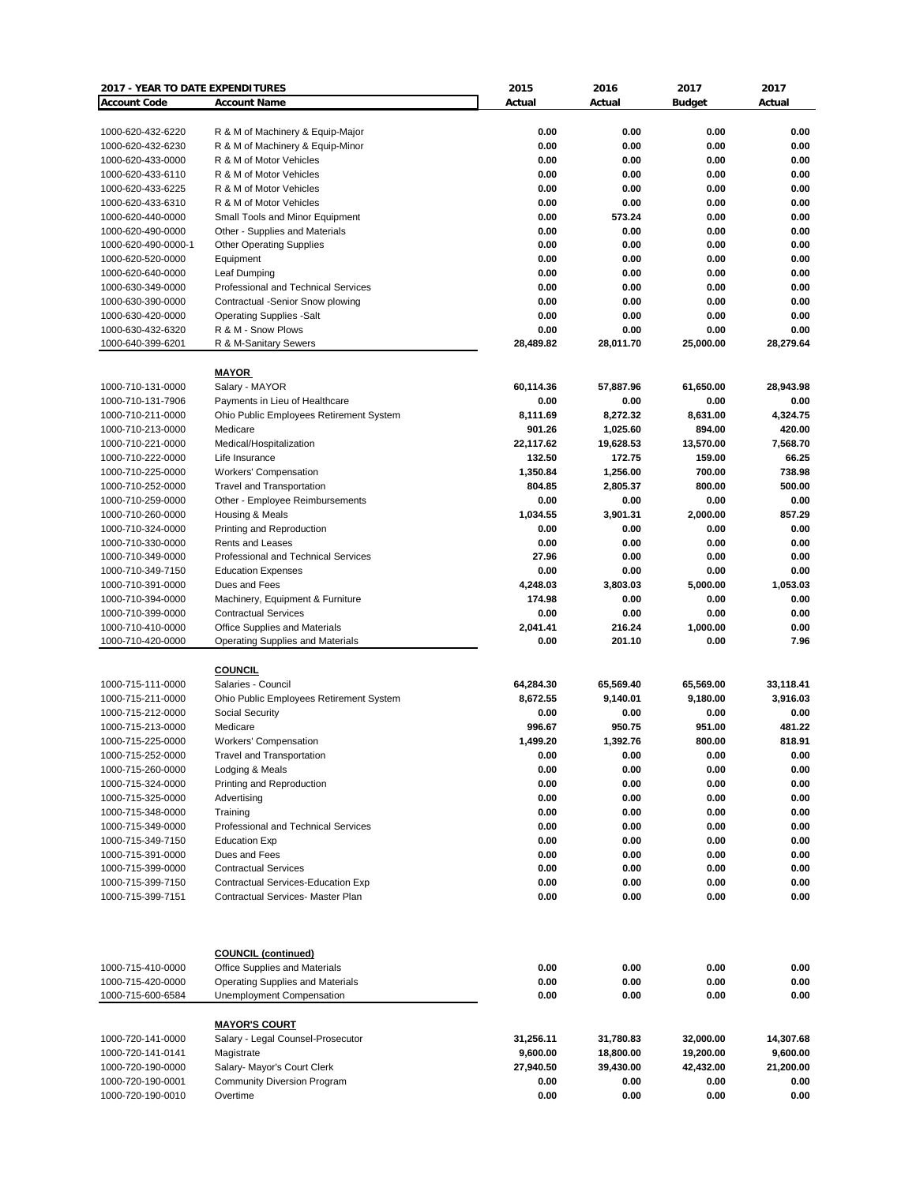| 2017 - YEAR TO DATE EXPENDITURES |                                         | 2015      | 2016      | 2017          | 2017      |
|----------------------------------|-----------------------------------------|-----------|-----------|---------------|-----------|
| <b>Account Code</b>              | <b>Account Name</b>                     | Actual    | Actual    | <b>Budget</b> | Actual    |
|                                  |                                         |           |           |               |           |
| 1000-620-432-6220                | R & M of Machinery & Equip-Major        | 0.00      | 0.00      | 0.00          | 0.00      |
| 1000-620-432-6230                | R & M of Machinery & Equip-Minor        | 0.00      | 0.00      | 0.00          | 0.00      |
| 1000-620-433-0000                | R & M of Motor Vehicles                 | 0.00      | 0.00      | 0.00          | 0.00      |
| 1000-620-433-6110                | R & M of Motor Vehicles                 | 0.00      | 0.00      | 0.00          | 0.00      |
|                                  | R & M of Motor Vehicles                 | 0.00      | 0.00      | 0.00          | 0.00      |
| 1000-620-433-6225                |                                         |           |           |               |           |
| 1000-620-433-6310                | R & M of Motor Vehicles                 | 0.00      | 0.00      | 0.00          | 0.00      |
| 1000-620-440-0000                | Small Tools and Minor Equipment         | 0.00      | 573.24    | 0.00          | 0.00      |
| 1000-620-490-0000                | Other - Supplies and Materials          | 0.00      | 0.00      | 0.00          | 0.00      |
| 1000-620-490-0000-1              | <b>Other Operating Supplies</b>         | 0.00      | 0.00      | 0.00          | 0.00      |
| 1000-620-520-0000                | Equipment                               | 0.00      | 0.00      | 0.00          | 0.00      |
| 1000-620-640-0000                | Leaf Dumping                            | 0.00      | 0.00      | 0.00          | 0.00      |
| 1000-630-349-0000                | Professional and Technical Services     | 0.00      | 0.00      | 0.00          | 0.00      |
| 1000-630-390-0000                | Contractual -Senior Snow plowing        | 0.00      | 0.00      | 0.00          | 0.00      |
| 1000-630-420-0000                | <b>Operating Supplies -Salt</b>         | 0.00      | 0.00      | 0.00          | 0.00      |
| 1000-630-432-6320                | R & M - Snow Plows                      | 0.00      | 0.00      | 0.00          | 0.00      |
| 1000-640-399-6201                | R & M-Sanitary Sewers                   | 28,489.82 | 28,011.70 | 25,000.00     | 28,279.64 |
|                                  |                                         |           |           |               |           |
|                                  |                                         |           |           |               |           |
|                                  | <b>MAYOR</b>                            |           |           |               |           |
| 1000-710-131-0000                | Salary - MAYOR                          | 60,114.36 | 57,887.96 | 61,650.00     | 28,943.98 |
| 1000-710-131-7906                | Payments in Lieu of Healthcare          | 0.00      | 0.00      | 0.00          | 0.00      |
| 1000-710-211-0000                | Ohio Public Employees Retirement System | 8,111.69  | 8,272.32  | 8,631.00      | 4,324.75  |
| 1000-710-213-0000                | Medicare                                | 901.26    | 1,025.60  | 894.00        | 420.00    |
| 1000-710-221-0000                | Medical/Hospitalization                 | 22,117.62 | 19,628.53 | 13,570.00     | 7,568.70  |
| 1000-710-222-0000                | Life Insurance                          | 132.50    | 172.75    | 159.00        | 66.25     |
| 1000-710-225-0000                | <b>Workers' Compensation</b>            | 1,350.84  | 1,256.00  | 700.00        | 738.98    |
|                                  |                                         |           |           |               |           |
| 1000-710-252-0000                | <b>Travel and Transportation</b>        | 804.85    | 2,805.37  | 800.00        | 500.00    |
| 1000-710-259-0000                | Other - Employee Reimbursements         | 0.00      | 0.00      | 0.00          | 0.00      |
| 1000-710-260-0000                | Housing & Meals                         | 1,034.55  | 3,901.31  | 2,000.00      | 857.29    |
| 1000-710-324-0000                | Printing and Reproduction               | 0.00      | 0.00      | 0.00          | 0.00      |
| 1000-710-330-0000                | <b>Rents and Leases</b>                 | 0.00      | 0.00      | 0.00          | 0.00      |
| 1000-710-349-0000                | Professional and Technical Services     | 27.96     | 0.00      | 0.00          | 0.00      |
| 1000-710-349-7150                | <b>Education Expenses</b>               | 0.00      | 0.00      | 0.00          | 0.00      |
| 1000-710-391-0000                | Dues and Fees                           | 4,248.03  | 3,803.03  | 5,000.00      | 1,053.03  |
|                                  |                                         |           |           |               |           |
| 1000-710-394-0000                | Machinery, Equipment & Furniture        | 174.98    | 0.00      | 0.00          | 0.00      |
| 1000-710-399-0000                | <b>Contractual Services</b>             | 0.00      | 0.00      | 0.00          | 0.00      |
| 1000-710-410-0000                | Office Supplies and Materials           | 2,041.41  | 216.24    | 1,000.00      | 0.00      |
| 1000-710-420-0000                | <b>Operating Supplies and Materials</b> | 0.00      | 201.10    | 0.00          | 7.96      |
|                                  |                                         |           |           |               |           |
|                                  | <b>COUNCIL</b>                          |           |           |               |           |
| 1000-715-111-0000                | Salaries - Council                      | 64,284.30 | 65,569.40 | 65,569.00     | 33,118.41 |
| 1000-715-211-0000                | Ohio Public Employees Retirement System | 8,672.55  | 9,140.01  | 9,180.00      | 3,916.03  |
| 1000-715-212-0000                | <b>Social Security</b>                  | 0.00      | 0.00      | 0.00          | 0.00      |
| 1000-715-213-0000                | Medicare                                | 996.67    | 950.75    | 951.00        | 481.22    |
|                                  |                                         |           |           |               |           |
| 1000-715-225-0000                | <b>Workers' Compensation</b>            | 1,499.20  | 1,392.76  | 800.00        | 818.91    |
| 1000-715-252-0000                | Travel and Transportation               | 0.00      | 0.00      | 0.00          | 0.00      |
| 1000-715-260-0000                | Lodging & Meals                         | 0.00      | 0.00      | 0.00          | 0.00      |
| 1000-715-324-0000                | Printing and Reproduction               | 0.00      | 0.00      | 0.00          | 0.00      |
| 1000-715-325-0000                | Advertising                             | 0.00      | 0.00      | 0.00          | 0.00      |
| 1000-715-348-0000                | Training                                | 0.00      | 0.00      | 0.00          | 0.00      |
| 1000-715-349-0000                | Professional and Technical Services     | 0.00      | 0.00      | 0.00          | 0.00      |
| 1000-715-349-7150                | <b>Education Exp</b>                    | 0.00      | 0.00      | 0.00          | 0.00      |
| 1000-715-391-0000                | Dues and Fees                           | 0.00      | 0.00      | 0.00          | 0.00      |
|                                  |                                         |           |           |               |           |
| 1000-715-399-0000                | <b>Contractual Services</b>             | 0.00      | 0.00      | 0.00          | 0.00      |
| 1000-715-399-7150                | Contractual Services-Education Exp      | 0.00      | 0.00      | 0.00          | 0.00      |
| 1000-715-399-7151                | Contractual Services- Master Plan       | 0.00      | 0.00      | 0.00          | 0.00      |
|                                  |                                         |           |           |               |           |
|                                  |                                         |           |           |               |           |
|                                  |                                         |           |           |               |           |
|                                  | <b>COUNCIL (continued)</b>              |           |           |               |           |
| 1000-715-410-0000                | Office Supplies and Materials           | 0.00      | 0.00      | 0.00          | 0.00      |
| 1000-715-420-0000                | <b>Operating Supplies and Materials</b> | 0.00      | 0.00      | 0.00          | 0.00      |
| 1000-715-600-6584                | Unemployment Compensation               | 0.00      | 0.00      | 0.00          | 0.00      |
|                                  |                                         |           |           |               |           |
|                                  |                                         |           |           |               |           |
|                                  | <b>MAYOR'S COURT</b>                    |           |           |               |           |
| 1000-720-141-0000                | Salary - Legal Counsel-Prosecutor       | 31,256.11 | 31,780.83 | 32,000.00     | 14,307.68 |
| 1000-720-141-0141                | Magistrate                              | 9,600.00  | 18,800.00 | 19,200.00     | 9,600.00  |
| 1000-720-190-0000                | Salary- Mayor's Court Clerk             | 27,940.50 | 39,430.00 | 42,432.00     | 21,200.00 |
| 1000-720-190-0001                | Community Diversion Program             | 0.00      | 0.00      | 0.00          | 0.00      |
| 1000-720-190-0010                | Overtime                                | 0.00      | 0.00      | 0.00          | 0.00      |
|                                  |                                         |           |           |               |           |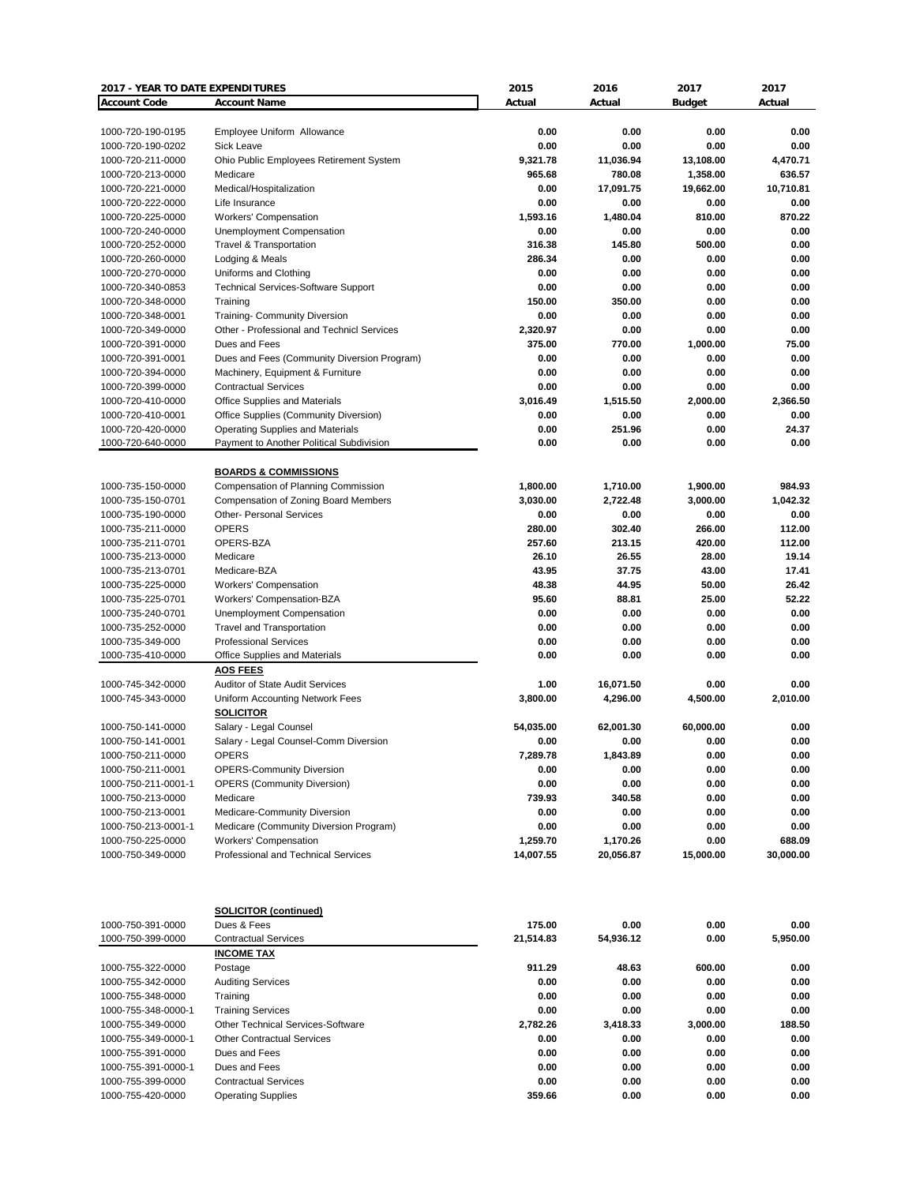| 2017 - YEAR TO DATE EXPENDITURES |                                             | 2015      | 2016      | 2017          | 2017      |
|----------------------------------|---------------------------------------------|-----------|-----------|---------------|-----------|
| <b>Account Code</b>              | <b>Account Name</b>                         | Actual    | Actual    | <b>Budget</b> | Actual    |
|                                  |                                             |           |           |               |           |
| 1000-720-190-0195                | Employee Uniform Allowance                  | 0.00      | 0.00      | 0.00          | 0.00      |
| 1000-720-190-0202                | Sick Leave                                  | 0.00      | 0.00      | 0.00          | 0.00      |
| 1000-720-211-0000                | Ohio Public Employees Retirement System     | 9,321.78  | 11,036.94 | 13,108.00     | 4,470.71  |
| 1000-720-213-0000                | Medicare                                    | 965.68    | 780.08    | 1,358.00      | 636.57    |
| 1000-720-221-0000                | Medical/Hospitalization                     | 0.00      | 17,091.75 | 19,662.00     | 10,710.81 |
| 1000-720-222-0000                | Life Insurance                              | 0.00      | 0.00      | 0.00          | 0.00      |
| 1000-720-225-0000                | Workers' Compensation                       | 1,593.16  | 1,480.04  | 810.00        | 870.22    |
| 1000-720-240-0000                | Unemployment Compensation                   | 0.00      | 0.00      | 0.00          | 0.00      |
| 1000-720-252-0000                | Travel & Transportation                     | 316.38    | 145.80    | 500.00        | 0.00      |
| 1000-720-260-0000                | Lodging & Meals                             | 286.34    | 0.00      | 0.00          | 0.00      |
| 1000-720-270-0000                | Uniforms and Clothing                       | 0.00      | 0.00      | 0.00          | 0.00      |
| 1000-720-340-0853                | <b>Technical Services-Software Support</b>  | 0.00      | 0.00      | 0.00          | 0.00      |
| 1000-720-348-0000                | Training                                    | 150.00    | 350.00    | 0.00          | 0.00      |
| 1000-720-348-0001                | <b>Training- Community Diversion</b>        | 0.00      | 0.00      | 0.00          | 0.00      |
| 1000-720-349-0000                | Other - Professional and Technicl Services  | 2,320.97  | 0.00      | 0.00          | 0.00      |
| 1000-720-391-0000                | Dues and Fees                               | 375.00    | 770.00    | 1,000.00      | 75.00     |
| 1000-720-391-0001                | Dues and Fees (Community Diversion Program) | 0.00      | 0.00      | 0.00          | 0.00      |
| 1000-720-394-0000                | Machinery, Equipment & Furniture            | 0.00      | 0.00      | 0.00          | 0.00      |
| 1000-720-399-0000                | <b>Contractual Services</b>                 | 0.00      | 0.00      | 0.00          | 0.00      |
| 1000-720-410-0000                | Office Supplies and Materials               | 3,016.49  | 1,515.50  | 2,000.00      | 2,366.50  |
| 1000-720-410-0001                | Office Supplies (Community Diversion)       | 0.00      | 0.00      | 0.00          | 0.00      |
| 1000-720-420-0000                | <b>Operating Supplies and Materials</b>     | 0.00      | 251.96    | 0.00          | 24.37     |
| 1000-720-640-0000                | Payment to Another Political Subdivision    | 0.00      | 0.00      | 0.00          | 0.00      |
|                                  |                                             |           |           |               |           |
|                                  | <b>BOARDS &amp; COMMISSIONS</b>             |           |           |               |           |
| 1000-735-150-0000                | Compensation of Planning Commission         | 1,800.00  | 1,710.00  | 1,900.00      | 984.93    |
| 1000-735-150-0701                | <b>Compensation of Zoning Board Members</b> | 3,030.00  | 2,722.48  | 3,000.00      | 1,042.32  |
|                                  |                                             |           |           | 0.00          |           |
| 1000-735-190-0000                | <b>Other- Personal Services</b>             | 0.00      | 0.00      |               | 0.00      |
| 1000-735-211-0000                | <b>OPERS</b>                                | 280.00    | 302.40    | 266.00        | 112.00    |
| 1000-735-211-0701                | OPERS-BZA                                   | 257.60    | 213.15    | 420.00        | 112.00    |
| 1000-735-213-0000                | Medicare                                    | 26.10     | 26.55     | 28.00         | 19.14     |
| 1000-735-213-0701                | Medicare-BZA                                | 43.95     | 37.75     | 43.00         | 17.41     |
| 1000-735-225-0000                | Workers' Compensation                       | 48.38     | 44.95     | 50.00         | 26.42     |
| 1000-735-225-0701                | Workers' Compensation-BZA                   | 95.60     | 88.81     | 25.00         | 52.22     |
| 1000-735-240-0701                | Unemployment Compensation                   | 0.00      | 0.00      | 0.00          | 0.00      |
| 1000-735-252-0000                | <b>Travel and Transportation</b>            | 0.00      | 0.00      | 0.00          | 0.00      |
| 1000-735-349-000                 | <b>Professional Services</b>                | 0.00      | 0.00      | 0.00          | 0.00      |
| 1000-735-410-0000                | Office Supplies and Materials               | 0.00      | 0.00      | 0.00          | 0.00      |
|                                  | <b>AOS FEES</b>                             |           |           |               |           |
| 1000-745-342-0000                | <b>Auditor of State Audit Services</b>      | 1.00      | 16,071.50 | 0.00          | 0.00      |
| 1000-745-343-0000                | Uniform Accounting Network Fees             | 3,800.00  | 4,296.00  | 4,500.00      | 2,010.00  |
|                                  | <b>SOLICITOR</b>                            |           |           |               |           |
| 1000-750-141-0000                | Salary - Legal Counsel                      | 54,035.00 | 62,001.30 | 60,000.00     | 0.00      |
| 1000-750-141-0001                | Salary - Legal Counsel-Comm Diversion       | 0.00      | 0.00      | 0.00          | 0.00      |
| 1000-750-211-0000                | <b>OPERS</b>                                | 7,289.78  | 1,843.89  | 0.00          | 0.00      |
| 1000-750-211-0001                | <b>OPERS-Community Diversion</b>            | 0.00      | 0.00      | 0.00          | 0.00      |
| 1000-750-211-0001-1              | <b>OPERS (Community Diversion)</b>          | 0.00      | 0.00      | 0.00          | 0.00      |
| 1000-750-213-0000                | Medicare                                    | 739.93    | 340.58    | 0.00          | 0.00      |
| 1000-750-213-0001                | Medicare-Community Diversion                | 0.00      | 0.00      | 0.00          | 0.00      |
| 1000-750-213-0001-1              | Medicare (Community Diversion Program)      | 0.00      | 0.00      | 0.00          | 0.00      |
| 1000-750-225-0000                | Workers' Compensation                       | 1,259.70  | 1,170.26  | 0.00          | 688.09    |
| 1000-750-349-0000                | Professional and Technical Services         | 14,007.55 | 20,056.87 | 15,000.00     | 30,000.00 |
|                                  |                                             |           |           |               |           |
|                                  |                                             |           |           |               |           |
|                                  |                                             |           |           |               |           |
|                                  | <b>SOLICITOR (continued)</b>                |           |           |               |           |
| 1000-750-391-0000                | Dues & Fees                                 | 175.00    | 0.00      | 0.00          | 0.00      |
| 1000-750-399-0000                | <b>Contractual Services</b>                 | 21,514.83 | 54,936.12 | 0.00          | 5,950.00  |
|                                  | <b>INCOME TAX</b>                           |           |           |               |           |
| 1000-755-322-0000                | Postage                                     | 911.29    | 48.63     | 600.00        | 0.00      |
| 1000-755-342-0000                | <b>Auditing Services</b>                    | 0.00      | 0.00      | 0.00          | 0.00      |
| 1000-755-348-0000                |                                             | 0.00      | 0.00      | 0.00          | 0.00      |
|                                  | Training                                    | 0.00      | 0.00      | 0.00          | 0.00      |
| 1000-755-348-0000-1              | <b>Training Services</b>                    |           |           |               |           |
| 1000-755-349-0000                | <b>Other Technical Services-Software</b>    | 2,782.26  | 3,418.33  | 3,000.00      | 188.50    |
| 1000-755-349-0000-1              | <b>Other Contractual Services</b>           | 0.00      | 0.00      | 0.00          | 0.00      |
| 1000-755-391-0000                | Dues and Fees                               | 0.00      | 0.00      | 0.00          | 0.00      |
| 1000-755-391-0000-1              | Dues and Fees                               | 0.00      | 0.00      | 0.00          | 0.00      |
| 1000-755-399-0000                | <b>Contractual Services</b>                 | 0.00      | 0.00      | 0.00          | 0.00      |
| 1000-755-420-0000                | <b>Operating Supplies</b>                   | 359.66    | 0.00      | 0.00          | 0.00      |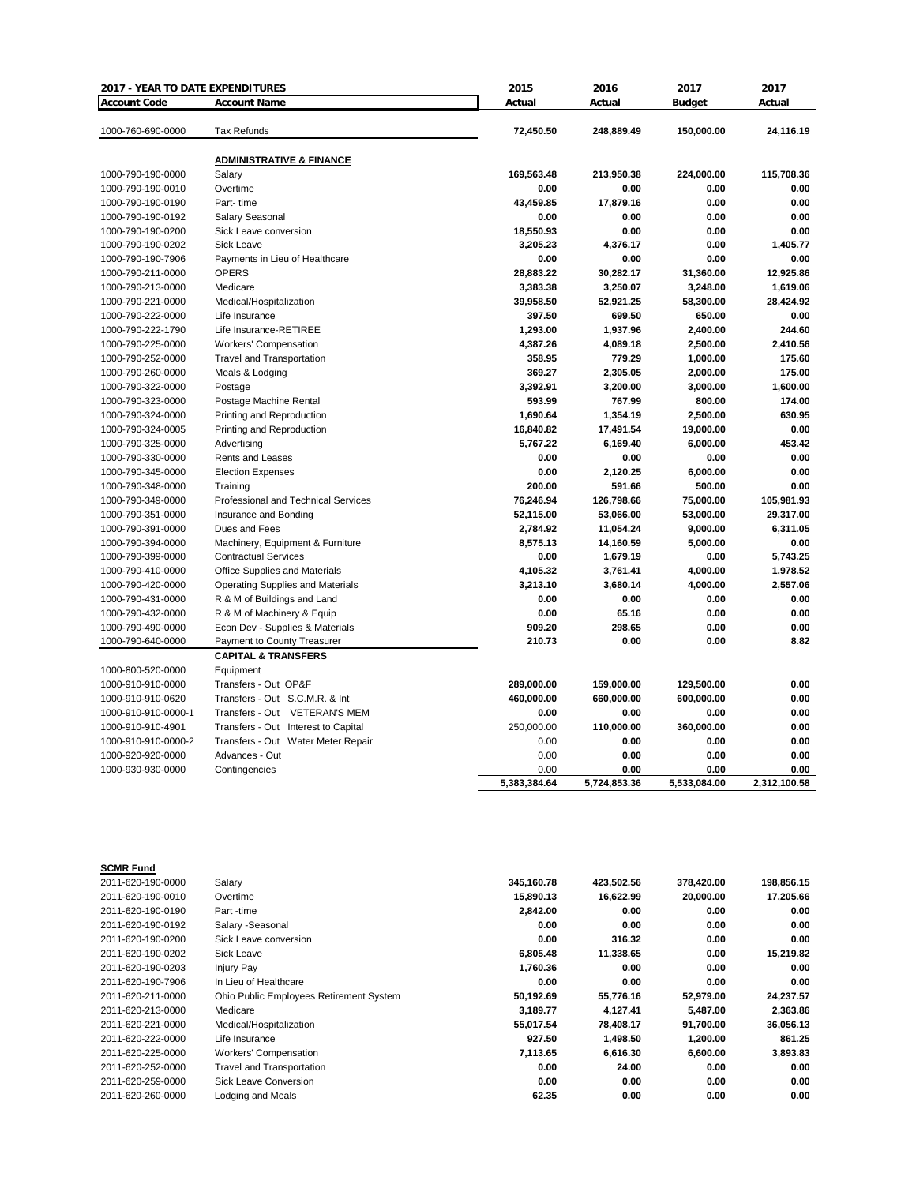| 2017 - YEAR TO DATE EXPENDITURES |                                         | 2015         | 2016         | 2017          | 2017         |
|----------------------------------|-----------------------------------------|--------------|--------------|---------------|--------------|
| <b>Account Code</b>              | <b>Account Name</b>                     | Actual       | Actual       | <b>Budget</b> | Actual       |
| 1000-760-690-0000                | <b>Tax Refunds</b>                      | 72,450.50    | 248,889.49   | 150,000.00    | 24,116.19    |
|                                  | <b>ADMINISTRATIVE &amp; FINANCE</b>     |              |              |               |              |
| 1000-790-190-0000                | Salary                                  | 169,563.48   | 213,950.38   | 224,000.00    | 115,708.36   |
| 1000-790-190-0010                | Overtime                                | 0.00         | 0.00         | 0.00          | 0.00         |
| 1000-790-190-0190                | Part-time                               | 43,459.85    | 17,879.16    | 0.00          | 0.00         |
| 1000-790-190-0192                | Salary Seasonal                         | 0.00         | 0.00         | 0.00          | 0.00         |
| 1000-790-190-0200                | Sick Leave conversion                   | 18,550.93    | 0.00         | 0.00          | 0.00         |
| 1000-790-190-0202                | Sick Leave                              | 3,205.23     | 4,376.17     | 0.00          | 1.405.77     |
| 1000-790-190-7906                | Payments in Lieu of Healthcare          | 0.00         | 0.00         | 0.00          | 0.00         |
| 1000-790-211-0000                | <b>OPERS</b>                            | 28,883.22    | 30,282.17    | 31,360.00     | 12,925.86    |
| 1000-790-213-0000                | Medicare                                | 3,383.38     | 3,250.07     | 3,248.00      | 1,619.06     |
| 1000-790-221-0000                | Medical/Hospitalization                 | 39,958.50    | 52,921.25    | 58,300.00     | 28,424.92    |
| 1000-790-222-0000                | Life Insurance                          | 397.50       | 699.50       | 650.00        | 0.00         |
| 1000-790-222-1790                | Life Insurance-RETIREE                  | 1,293.00     | 1,937.96     | 2,400.00      | 244.60       |
| 1000-790-225-0000                | <b>Workers' Compensation</b>            | 4,387.26     | 4,089.18     | 2,500.00      | 2.410.56     |
| 1000-790-252-0000                | <b>Travel and Transportation</b>        | 358.95       | 779.29       | 1,000.00      | 175.60       |
| 1000-790-260-0000                | Meals & Lodging                         | 369.27       | 2,305.05     | 2,000.00      | 175.00       |
| 1000-790-322-0000                | Postage                                 | 3,392.91     | 3,200.00     | 3,000.00      | 1,600.00     |
| 1000-790-323-0000                | Postage Machine Rental                  | 593.99       | 767.99       | 800.00        | 174.00       |
| 1000-790-324-0000                | Printing and Reproduction               | 1,690.64     | 1,354.19     | 2,500.00      | 630.95       |
| 1000-790-324-0005                | Printing and Reproduction               | 16,840.82    | 17,491.54    | 19,000.00     | 0.00         |
| 1000-790-325-0000                | Advertising                             | 5,767.22     | 6,169.40     | 6,000.00      | 453.42       |
| 1000-790-330-0000                | Rents and Leases                        | 0.00         | 0.00         | 0.00          | 0.00         |
| 1000-790-345-0000                | <b>Election Expenses</b>                | 0.00         | 2,120.25     | 6,000.00      | 0.00         |
| 1000-790-348-0000                | Training                                | 200.00       | 591.66       | 500.00        | 0.00         |
| 1000-790-349-0000                | Professional and Technical Services     | 76,246.94    | 126,798.66   | 75,000.00     | 105,981.93   |
| 1000-790-351-0000                | Insurance and Bonding                   | 52,115.00    | 53,066.00    | 53,000.00     | 29,317.00    |
| 1000-790-391-0000                | Dues and Fees                           | 2,784.92     | 11,054.24    | 9,000.00      | 6,311.05     |
| 1000-790-394-0000                | Machinery, Equipment & Furniture        | 8,575.13     | 14,160.59    | 5,000.00      | 0.00         |
| 1000-790-399-0000                | <b>Contractual Services</b>             | 0.00         | 1,679.19     | 0.00          | 5,743.25     |
| 1000-790-410-0000                | Office Supplies and Materials           | 4,105.32     | 3,761.41     | 4,000.00      | 1,978.52     |
| 1000-790-420-0000                | <b>Operating Supplies and Materials</b> | 3,213.10     | 3,680.14     | 4,000.00      | 2,557.06     |
| 1000-790-431-0000                | R & M of Buildings and Land             | 0.00         | 0.00         | 0.00          | 0.00         |
| 1000-790-432-0000                | R & M of Machinery & Equip              | 0.00         | 65.16        | 0.00          | 0.00         |
| 1000-790-490-0000                | Econ Dev - Supplies & Materials         | 909.20       | 298.65       | 0.00          | 0.00         |
| 1000-790-640-0000                | Payment to County Treasurer             | 210.73       | 0.00         | 0.00          | 8.82         |
|                                  | <b>CAPITAL &amp; TRANSFERS</b>          |              |              |               |              |
| 1000-800-520-0000                | Equipment                               |              |              |               |              |
| 1000-910-910-0000                | Transfers - Out OP&F                    | 289,000.00   | 159,000.00   | 129,500.00    | 0.00         |
| 1000-910-910-0620                | Transfers - Out S.C.M.R. & Int          | 460,000.00   | 660,000.00   | 600,000.00    | 0.00         |
| 1000-910-910-0000-1              | Transfers - Out VETERAN'S MEM           | 0.00         | 0.00         | 0.00          | 0.00         |
| 1000-910-910-4901                | Transfers - Out Interest to Capital     | 250,000.00   | 110,000.00   | 360,000.00    | 0.00         |
| 1000-910-910-0000-2              | Transfers - Out Water Meter Repair      | 0.00         | 0.00         | 0.00          | 0.00         |
| 1000-920-920-0000                | Advances - Out                          | 0.00         | 0.00         | 0.00          | 0.00         |
| 1000-930-930-0000                | Contingencies                           | 0.00         | 0.00         | 0.00          | 0.00         |
|                                  |                                         | 5,383,384.64 | 5,724,853.36 | 5,533,084.00  | 2,312,100.58 |

| <b>SCMR Fund</b>  |                                         |            |            |            |            |
|-------------------|-----------------------------------------|------------|------------|------------|------------|
| 2011-620-190-0000 | Salary                                  | 345,160.78 | 423,502.56 | 378,420.00 | 198,856.15 |
| 2011-620-190-0010 | Overtime                                | 15,890.13  | 16,622.99  | 20,000.00  | 17,205.66  |
| 2011-620-190-0190 | Part -time                              | 2,842.00   | 0.00       | 0.00       | 0.00       |
| 2011-620-190-0192 | Salary -Seasonal                        | 0.00       | 0.00       | 0.00       | 0.00       |
| 2011-620-190-0200 | Sick Leave conversion                   | 0.00       | 316.32     | 0.00       | 0.00       |
| 2011-620-190-0202 | Sick Leave                              | 6,805.48   | 11,338.65  | 0.00       | 15,219.82  |
| 2011-620-190-0203 | Injury Pay                              | 1,760.36   | 0.00       | 0.00       | 0.00       |
| 2011-620-190-7906 | In Lieu of Healthcare                   | 0.00       | 0.00       | 0.00       | 0.00       |
| 2011-620-211-0000 | Ohio Public Employees Retirement System | 50,192.69  | 55,776.16  | 52,979.00  | 24,237.57  |
| 2011-620-213-0000 | Medicare                                | 3,189.77   | 4,127.41   | 5,487.00   | 2,363.86   |
| 2011-620-221-0000 | Medical/Hospitalization                 | 55.017.54  | 78,408.17  | 91,700.00  | 36,056.13  |
| 2011-620-222-0000 | Life Insurance                          | 927.50     | 1,498.50   | 1,200.00   | 861.25     |
| 2011-620-225-0000 | Workers' Compensation                   | 7,113.65   | 6,616.30   | 6,600.00   | 3,893.83   |
| 2011-620-252-0000 | Travel and Transportation               | 0.00       | 24.00      | 0.00       | 0.00       |
| 2011-620-259-0000 | Sick Leave Conversion                   | 0.00       | 0.00       | 0.00       | 0.00       |
| 2011-620-260-0000 | Lodging and Meals                       | 62.35      | 0.00       | 0.00       | 0.00       |
|                   |                                         |            |            |            |            |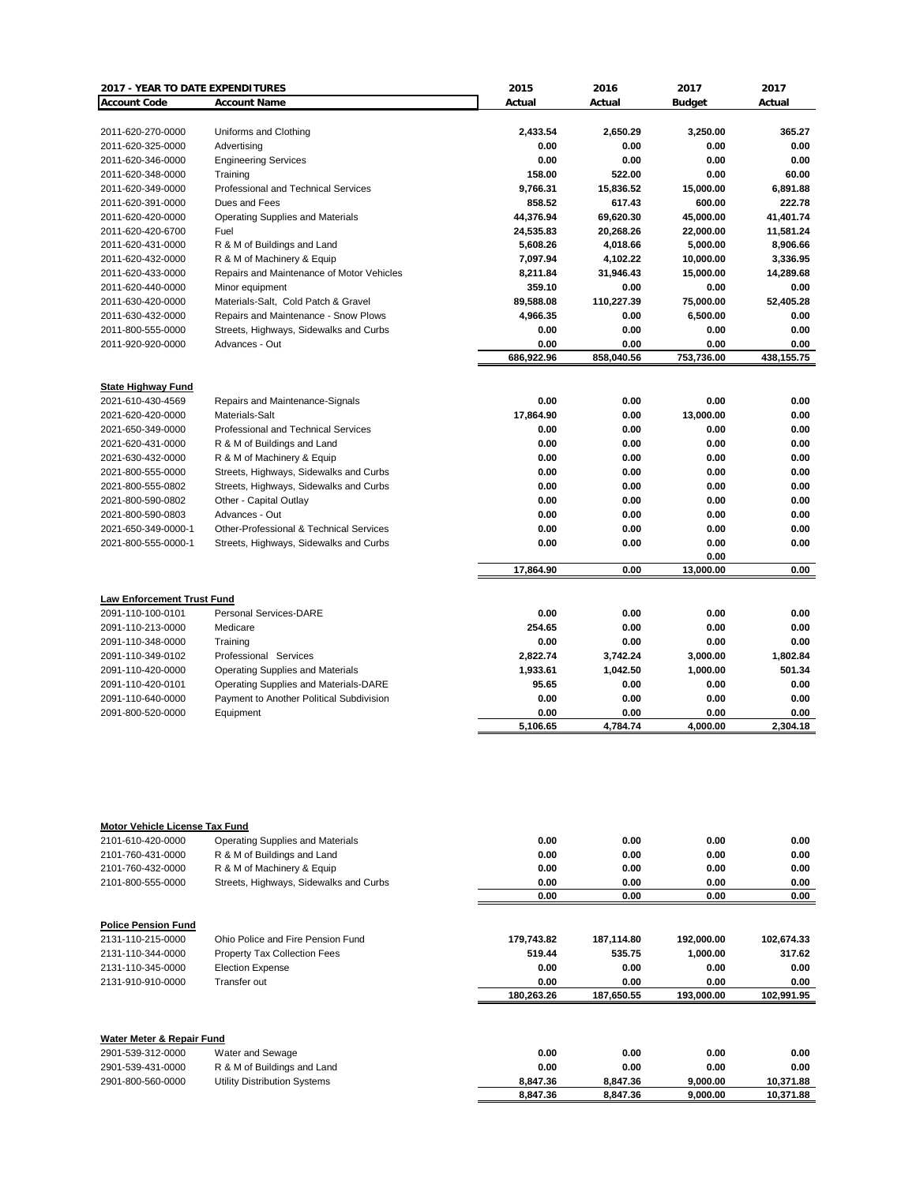| 2017 - YEAR TO DATE EXPENDITURES  |                                           | 2015       | 2016       | 2017          | 2017       |
|-----------------------------------|-------------------------------------------|------------|------------|---------------|------------|
| <b>Account Code</b>               | <b>Account Name</b>                       | Actual     | Actual     | <b>Budget</b> | Actual     |
|                                   |                                           |            |            |               |            |
| 2011-620-270-0000                 | Uniforms and Clothing                     | 2,433.54   | 2,650.29   | 3,250.00      | 365.27     |
| 2011-620-325-0000                 | Advertising                               | 0.00       | 0.00       | 0.00          | 0.00       |
| 2011-620-346-0000                 | <b>Engineering Services</b>               | 0.00       | 0.00       | 0.00          | 0.00       |
| 2011-620-348-0000                 | Training                                  | 158.00     | 522.00     | 0.00          | 60.00      |
| 2011-620-349-0000                 | Professional and Technical Services       | 9,766.31   | 15,836.52  | 15,000.00     | 6,891.88   |
| 2011-620-391-0000                 | Dues and Fees                             | 858.52     | 617.43     | 600.00        | 222.78     |
| 2011-620-420-0000                 | <b>Operating Supplies and Materials</b>   | 44,376.94  | 69,620.30  | 45,000.00     | 41.401.74  |
| 2011-620-420-6700                 | Fuel                                      | 24,535.83  | 20,268.26  | 22,000.00     | 11,581.24  |
| 2011-620-431-0000                 | R & M of Buildings and Land               | 5,608.26   | 4,018.66   | 5,000.00      | 8,906.66   |
| 2011-620-432-0000                 | R & M of Machinery & Equip                | 7,097.94   | 4,102.22   | 10,000.00     | 3,336.95   |
| 2011-620-433-0000                 | Repairs and Maintenance of Motor Vehicles | 8,211.84   | 31,946.43  | 15,000.00     | 14,289.68  |
| 2011-620-440-0000                 | Minor equipment                           | 359.10     | 0.00       | 0.00          | 0.00       |
| 2011-630-420-0000                 | Materials-Salt, Cold Patch & Gravel       | 89,588.08  | 110,227.39 | 75,000.00     | 52,405.28  |
| 2011-630-432-0000                 | Repairs and Maintenance - Snow Plows      | 4,966.35   | 0.00       | 6,500.00      | 0.00       |
| 2011-800-555-0000                 | Streets, Highways, Sidewalks and Curbs    | 0.00       | 0.00       | 0.00          | 0.00       |
| 2011-920-920-0000                 | Advances - Out                            | 0.00       | 0.00       | 0.00          | 0.00       |
|                                   |                                           | 686,922.96 | 858,040.56 | 753,736.00    | 438,155.75 |
|                                   |                                           |            |            |               |            |
| <b>State Highway Fund</b>         |                                           |            |            |               |            |
| 2021-610-430-4569                 | Repairs and Maintenance-Signals           | 0.00       | 0.00       | 0.00          | 0.00       |
| 2021-620-420-0000                 | Materials-Salt                            | 17,864.90  | 0.00       | 13,000.00     | 0.00       |
| 2021-650-349-0000                 | Professional and Technical Services       | 0.00       | 0.00       | 0.00          | 0.00       |
| 2021-620-431-0000                 | R & M of Buildings and Land               | 0.00       | 0.00       | 0.00          | 0.00       |
| 2021-630-432-0000                 | R & M of Machinery & Equip                | 0.00       | 0.00       | 0.00          | 0.00       |
| 2021-800-555-0000                 | Streets, Highways, Sidewalks and Curbs    | 0.00       | 0.00       | 0.00          | 0.00       |
| 2021-800-555-0802                 | Streets, Highways, Sidewalks and Curbs    | 0.00       | 0.00       | 0.00          | 0.00       |
| 2021-800-590-0802                 | Other - Capital Outlay                    | 0.00       | 0.00       | 0.00          | 0.00       |
| 2021-800-590-0803                 | Advances - Out                            | 0.00       | 0.00       | 0.00          | 0.00       |
| 2021-650-349-0000-1               | Other-Professional & Technical Services   | 0.00       | 0.00       | 0.00          | 0.00       |
| 2021-800-555-0000-1               | Streets, Highways, Sidewalks and Curbs    | 0.00       | 0.00       | 0.00          | 0.00       |
|                                   |                                           |            |            | 0.00          |            |
|                                   |                                           | 17,864.90  | 0.00       | 13.000.00     | 0.00       |
|                                   |                                           |            |            |               |            |
| <b>Law Enforcement Trust Fund</b> |                                           |            |            |               |            |
| 2091-110-100-0101                 | Personal Services-DARE                    | 0.00       | 0.00       | 0.00          | 0.00       |
| 2091-110-213-0000                 | Medicare                                  | 254.65     | 0.00       | 0.00          | 0.00       |
| 2091-110-348-0000                 | Training                                  | 0.00       | 0.00       | 0.00          | 0.00       |
| 2091-110-349-0102                 | Professional Services                     | 2,822.74   | 3,742.24   | 3,000.00      | 1,802.84   |
| 2091-110-420-0000                 | <b>Operating Supplies and Materials</b>   | 1,933.61   | 1,042.50   | 1,000.00      | 501.34     |
| 2091-110-420-0101                 | Operating Supplies and Materials-DARE     | 95.65      | 0.00       | 0.00          | 0.00       |
| 2091-110-640-0000                 | Payment to Another Political Subdivision  | 0.00       | 0.00       | 0.00          | 0.00       |
| 2091-800-520-0000                 | Equipment                                 | 0.00       | 0.00       | 0.00          | 0.00       |
|                                   |                                           | 5,106.65   | 4,784.74   | 4,000.00      | 2,304.18   |
|                                   |                                           |            |            |               |            |
|                                   |                                           |            |            |               |            |
|                                   |                                           |            |            |               |            |
|                                   |                                           |            |            |               |            |
|                                   |                                           |            |            |               |            |
|                                   |                                           |            |            |               |            |

| <b>Motor Vehicle License Tax Fund</b> |                                        |            |            |            |            |
|---------------------------------------|----------------------------------------|------------|------------|------------|------------|
| 2101-610-420-0000                     | Operating Supplies and Materials       | 0.00       | 0.00       | 0.00       | 0.00       |
| 2101-760-431-0000                     | R & M of Buildings and Land            | 0.00       | 0.00       | 0.00       | 0.00       |
| 2101-760-432-0000                     | R & M of Machinery & Equip             | 0.00       | 0.00       | 0.00       | 0.00       |
| 2101-800-555-0000                     | Streets, Highways, Sidewalks and Curbs | 0.00       | 0.00       | 0.00       | 0.00       |
|                                       |                                        | 0.00       | 0.00       | 0.00       | 0.00       |
| <b>Police Pension Fund</b>            |                                        |            |            |            |            |
| 2131-110-215-0000                     | Ohio Police and Fire Pension Fund      | 179.743.82 | 187,114.80 | 192.000.00 | 102.674.33 |
| 2131-110-344-0000                     | Property Tax Collection Fees           | 519.44     | 535.75     | 1,000.00   | 317.62     |
| 2131-110-345-0000                     | <b>Election Expense</b>                | 0.00       | 0.00       | 0.00       | 0.00       |
| 2131-910-910-0000                     | Transfer out                           | 0.00       | 0.00       | 0.00       | 0.00       |
|                                       |                                        | 180,263.26 | 187,650.55 | 193,000.00 | 102,991.95 |
| Water Meter & Repair Fund             |                                        |            |            |            |            |
| 2901-539-312-0000                     | Water and Sewage                       | 0.00       | 0.00       | 0.00       | 0.00       |
| 2901-539-431-0000                     | R & M of Buildings and Land            | 0.00       | 0.00       | 0.00       | 0.00       |
| 2901-800-560-0000                     | <b>Utility Distribution Systems</b>    | 8,847.36   | 8,847.36   | 9,000.00   | 10,371.88  |
|                                       |                                        | 8,847.36   | 8,847.36   | 9,000.00   | 10,371.88  |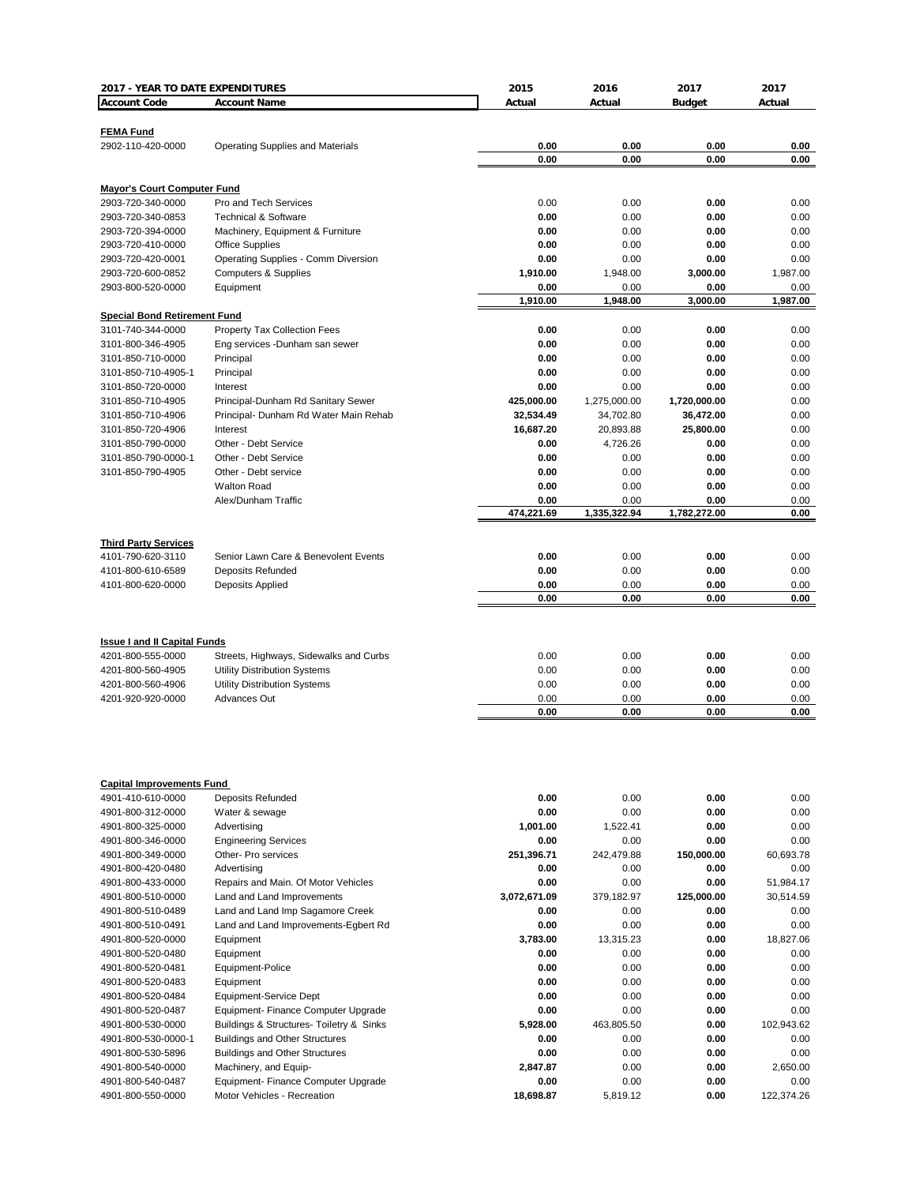| 2017 - YEAR TO DATE EXPENDITURES    |                                          | 2015         | 2016         | 2017          | 2017       |
|-------------------------------------|------------------------------------------|--------------|--------------|---------------|------------|
| <b>Account Code</b>                 | <b>Account Name</b>                      | Actual       | Actual       | <b>Budget</b> | Actual     |
|                                     |                                          |              |              |               |            |
| <b>FEMA Fund</b>                    |                                          |              |              |               |            |
| 2902-110-420-0000                   | <b>Operating Supplies and Materials</b>  | 0.00         | 0.00         | 0.00          | 0.00       |
|                                     |                                          | 0.00         | 0.00         | 0.00          | 0.00       |
|                                     |                                          |              |              |               |            |
| <b>Mayor's Court Computer Fund</b>  |                                          |              |              |               |            |
| 2903-720-340-0000                   | Pro and Tech Services                    | 0.00         | 0.00         | 0.00          | 0.00       |
| 2903-720-340-0853                   | <b>Technical &amp; Software</b>          | 0.00         | 0.00         | 0.00          | 0.00       |
| 2903-720-394-0000                   | Machinery, Equipment & Furniture         | 0.00         | 0.00         | 0.00          | 0.00       |
| 2903-720-410-0000                   | <b>Office Supplies</b>                   | 0.00         | 0.00         | 0.00          | 0.00       |
| 2903-720-420-0001                   | Operating Supplies - Comm Diversion      | 0.00         | 0.00         | 0.00          | 0.00       |
|                                     |                                          |              |              |               |            |
| 2903-720-600-0852                   | <b>Computers &amp; Supplies</b>          | 1,910.00     | 1,948.00     | 3,000.00      | 1,987.00   |
| 2903-800-520-0000                   | Equipment                                | 0.00         | 0.00         | 0.00          | 0.00       |
|                                     |                                          | 1,910.00     | 1,948.00     | 3,000.00      | 1,987.00   |
| <b>Special Bond Retirement Fund</b> |                                          |              |              |               |            |
| 3101-740-344-0000                   | <b>Property Tax Collection Fees</b>      | 0.00         | 0.00         | 0.00          | 0.00       |
| 3101-800-346-4905                   | Eng services - Dunham san sewer          | 0.00         | 0.00         | 0.00          | 0.00       |
| 3101-850-710-0000                   | Principal                                | 0.00         | 0.00         | 0.00          | 0.00       |
| 3101-850-710-4905-1                 | Principal                                | 0.00         | 0.00         | 0.00          | 0.00       |
| 3101-850-720-0000                   | Interest                                 | 0.00         | 0.00         | 0.00          | 0.00       |
| 3101-850-710-4905                   | Principal-Dunham Rd Sanitary Sewer       | 425,000.00   | 1,275,000.00 | 1,720,000.00  | 0.00       |
| 3101-850-710-4906                   | Principal- Dunham Rd Water Main Rehab    | 32,534.49    | 34,702.80    | 36,472.00     | 0.00       |
| 3101-850-720-4906                   | Interest                                 | 16,687.20    | 20,893.88    | 25,800.00     | 0.00       |
| 3101-850-790-0000                   | Other - Debt Service                     | 0.00         | 4,726.26     | 0.00          | 0.00       |
| 3101-850-790-0000-1                 | Other - Debt Service                     | 0.00         | 0.00         | 0.00          | 0.00       |
| 3101-850-790-4905                   | Other - Debt service                     | 0.00         | 0.00         | 0.00          | 0.00       |
|                                     | <b>Walton Road</b>                       | 0.00         | 0.00         | 0.00          | 0.00       |
|                                     | Alex/Dunham Traffic                      | 0.00         | 0.00         | 0.00          | 0.00       |
|                                     |                                          | 474,221.69   | 1,335,322.94 | 1,782,272.00  | 0.00       |
|                                     |                                          |              |              |               |            |
|                                     |                                          |              |              |               |            |
| <b>Third Party Services</b>         |                                          |              |              |               |            |
| 4101-790-620-3110                   | Senior Lawn Care & Benevolent Events     | 0.00         | 0.00         | 0.00          | 0.00       |
| 4101-800-610-6589                   | Deposits Refunded                        | 0.00         | 0.00         | 0.00          | 0.00       |
| 4101-800-620-0000                   | Deposits Applied                         | 0.00         | 0.00         | 0.00          | 0.00       |
|                                     |                                          | 0.00         | 0.00         | 0.00          | 0.00       |
|                                     |                                          |              |              |               |            |
|                                     |                                          |              |              |               |            |
| <b>Issue I and II Capital Funds</b> |                                          |              |              |               |            |
| 4201-800-555-0000                   | Streets, Highways, Sidewalks and Curbs   | 0.00         | 0.00         | 0.00          | 0.00       |
| 4201-800-560-4905                   | Utility Distribution Systems             | 0.00         | 0.00         | 0.00          | 0.00       |
| 4201-800-560-4906                   | Utility Distribution Systems             | 0.00         | 0.00         | 0.00          | 0.00       |
| 4201-920-920-0000                   | <b>Advances Out</b>                      | 0.00         | 0.00         | 0.00          | 0.00       |
|                                     |                                          | 0.00         | 0.00         | 0.00          | 0.00       |
|                                     |                                          |              |              |               |            |
|                                     |                                          |              |              |               |            |
|                                     |                                          |              |              |               |            |
|                                     |                                          |              |              |               |            |
| <b>Capital Improvements Fund</b>    |                                          |              |              |               |            |
| 4901-410-610-0000                   | <b>Deposits Refunded</b>                 | 0.00         | 0.00         | 0.00          | 0.00       |
| 4901-800-312-0000                   | Water & sewage                           | 0.00         | 0.00         | 0.00          | 0.00       |
| 4901-800-325-0000                   |                                          |              |              |               | 0.00       |
|                                     | Advertising                              | 1,001.00     | 1,522.41     | 0.00          |            |
| 4901-800-346-0000                   | <b>Engineering Services</b>              | 0.00         | 0.00         | 0.00          | 0.00       |
| 4901-800-349-0000                   | Other- Pro services                      | 251,396.71   | 242,479.88   | 150,000.00    | 60,693.78  |
| 4901-800-420-0480                   | Advertisina                              | 0.00         | 0.00         | 0.00          | 0.00       |
| 4901-800-433-0000                   | Repairs and Main. Of Motor Vehicles      | 0.00         | 0.00         | 0.00          | 51,984.17  |
| 4901-800-510-0000                   | Land and Land Improvements               | 3,072,671.09 | 379,182.97   | 125,000.00    | 30,514.59  |
| 4901-800-510-0489                   | Land and Land Imp Sagamore Creek         | 0.00         | 0.00         | 0.00          | 0.00       |
| 4901-800-510-0491                   | Land and Land Improvements-Egbert Rd     | 0.00         | 0.00         | 0.00          | 0.00       |
| 4901-800-520-0000                   | Equipment                                | 3.783.00     | 13,315.23    | 0.00          | 18,827.06  |
| 4901-800-520-0480                   | Equipment                                | 0.00         | 0.00         | 0.00          | 0.00       |
| 4901-800-520-0481                   | Equipment-Police                         | 0.00         | 0.00         | 0.00          | 0.00       |
| 4901-800-520-0483                   | Equipment                                | 0.00         | 0.00         | 0.00          | 0.00       |
| 4901-800-520-0484                   | Equipment-Service Dept                   | 0.00         | 0.00         | 0.00          | 0.00       |
| 4901-800-520-0487                   | Equipment- Finance Computer Upgrade      | 0.00         | 0.00         | 0.00          | 0.00       |
|                                     |                                          |              |              |               |            |
| 4901-800-530-0000                   | Buildings & Structures- Toiletry & Sinks | 5,928.00     | 463,805.50   | 0.00          | 102,943.62 |
| 4901-800-530-0000-1                 | <b>Buildings and Other Structures</b>    | 0.00         | 0.00         | 0.00          | 0.00       |
| 4901-800-530-5896                   | <b>Buildings and Other Structures</b>    | 0.00         | 0.00         | 0.00          | 0.00       |
| 4901-800-540-0000                   | Machinery, and Equip-                    | 2,847.87     | 0.00         | 0.00          | 2,650.00   |
| 4901-800-540-0487                   | Equipment- Finance Computer Upgrade      | 0.00         | 0.00         | 0.00          | 0.00       |
| 4901-800-550-0000                   | Motor Vehicles - Recreation              | 18,698.87    | 5,819.12     | 0.00          | 122,374.26 |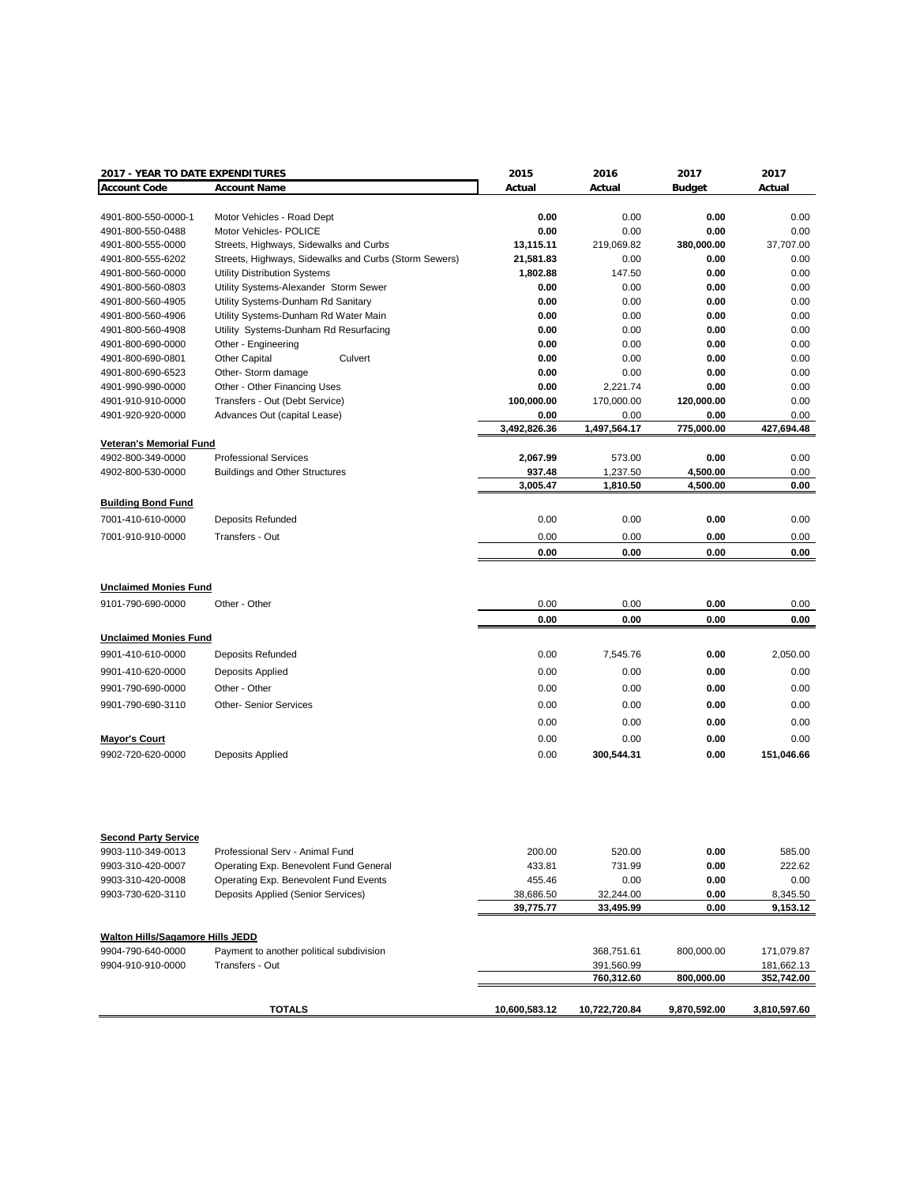| 2017 - YEAR TO DATE EXPENDITURES        |                                                                           | 2015             | 2016             | 2017         | 2017             |
|-----------------------------------------|---------------------------------------------------------------------------|------------------|------------------|--------------|------------------|
| <b>Account Code</b>                     | <b>Account Name</b>                                                       | Actual           | Actual           | Budget       | Actual           |
| 4901-800-550-0000-1                     | Motor Vehicles - Road Dept                                                | 0.00             | 0.00             | 0.00         | 0.00             |
| 4901-800-550-0488                       | Motor Vehicles- POLICE                                                    | 0.00             | 0.00             | 0.00         | 0.00             |
| 4901-800-555-0000                       | Streets, Highways, Sidewalks and Curbs                                    | 13,115.11        | 219,069.82       | 380,000.00   | 37,707.00        |
| 4901-800-555-6202                       | Streets, Highways, Sidewalks and Curbs (Storm Sewers)                     | 21,581.83        | 0.00             | 0.00         | 0.00             |
| 4901-800-560-0000                       | <b>Utility Distribution Systems</b>                                       | 1,802.88         | 147.50           | 0.00         | 0.00             |
| 4901-800-560-0803                       | Utility Systems-Alexander Storm Sewer                                     | 0.00             | 0.00             | 0.00         | 0.00             |
| 4901-800-560-4905                       | Utility Systems-Dunham Rd Sanitary                                        | 0.00             | 0.00             | 0.00         | 0.00             |
| 4901-800-560-4906                       | Utility Systems-Dunham Rd Water Main                                      | 0.00             | 0.00             | 0.00         | 0.00             |
| 4901-800-560-4908                       | Utility Systems-Dunham Rd Resurfacing                                     | 0.00             | 0.00             | 0.00         | 0.00             |
| 4901-800-690-0000                       | Other - Engineering                                                       | 0.00             | 0.00             | 0.00         | 0.00             |
| 4901-800-690-0801                       | <b>Other Capital</b><br>Culvert                                           | 0.00             | 0.00             | 0.00         | 0.00             |
| 4901-800-690-6523                       | Other-Storm damage                                                        | 0.00             | 0.00             | 0.00         | 0.00             |
| 4901-990-990-0000                       | Other - Other Financing Uses                                              | 0.00             | 2,221.74         | 0.00         | 0.00             |
| 4901-910-910-0000                       | Transfers - Out (Debt Service)                                            | 100,000.00       | 170,000.00       | 120,000.00   | 0.00             |
| 4901-920-920-0000                       | Advances Out (capital Lease)                                              | 0.00             | 0.00             | 0.00         | 0.00             |
|                                         |                                                                           | 3,492,826.36     | 1,497,564.17     | 775,000.00   | 427,694.48       |
| <b>Veteran's Memorial Fund</b>          |                                                                           |                  |                  |              |                  |
| 4902-800-349-0000                       | <b>Professional Services</b>                                              | 2,067.99         | 573.00           | 0.00         | 0.00             |
| 4902-800-530-0000                       | <b>Buildings and Other Structures</b>                                     | 937.48           | 1,237.50         | 4,500.00     | 0.00             |
|                                         |                                                                           | 3,005.47         | 1,810.50         | 4,500.00     | 0.00             |
| <b>Building Bond Fund</b>               |                                                                           |                  |                  |              |                  |
| 7001-410-610-0000                       | <b>Deposits Refunded</b>                                                  | 0.00             | 0.00             | 0.00         | 0.00             |
| 7001-910-910-0000                       | Transfers - Out                                                           | 0.00             | 0.00             | 0.00         | 0.00             |
|                                         |                                                                           | 0.00             | 0.00             | 0.00         | 0.00             |
|                                         |                                                                           |                  |                  |              |                  |
| <b>Unclaimed Monies Fund</b>            |                                                                           |                  |                  |              |                  |
| 9101-790-690-0000                       | Other - Other                                                             | 0.00             | 0.00             | 0.00         | 0.00             |
|                                         |                                                                           | 0.00             | 0.00             | 0.00         | 0.00             |
| <b>Unclaimed Monies Fund</b>            |                                                                           |                  |                  |              |                  |
| 9901-410-610-0000                       | <b>Deposits Refunded</b>                                                  | 0.00             | 7,545.76         | 0.00         | 2,050.00         |
| 9901-410-620-0000                       | Deposits Applied                                                          | 0.00             | 0.00             | 0.00         | 0.00             |
|                                         |                                                                           |                  |                  |              |                  |
| 9901-790-690-0000                       | Other - Other                                                             | 0.00             | 0.00             | 0.00         | 0.00             |
| 9901-790-690-3110                       | <b>Other-Senior Services</b>                                              | 0.00             | 0.00             | 0.00         | 0.00             |
|                                         |                                                                           | 0.00             | 0.00             | 0.00         | 0.00             |
| <b>Mayor's Court</b>                    |                                                                           | 0.00             | 0.00             | 0.00         | 0.00             |
| 9902-720-620-0000                       | Deposits Applied                                                          | 0.00             | 300,544.31       | 0.00         | 151,046.66       |
|                                         |                                                                           |                  |                  |              |                  |
| <b>Second Party Service</b>             |                                                                           |                  |                  |              |                  |
| 9903-110-349-0013<br>9903-310-420-0007  | Professional Serv - Animal Fund<br>Operating Exp. Benevolent Fund General | 200.00<br>433.81 | 520.00<br>731.99 | 0.00<br>0.00 | 585.00<br>222.62 |
|                                         |                                                                           |                  |                  |              |                  |
| 9903-310-420-0008                       | Operating Exp. Benevolent Fund Events                                     | 455.46           | 0.00             | 0.00         | 0.00             |
| 9903-730-620-3110                       | Deposits Applied (Senior Services)                                        | 38,686.50        | 32,244.00        | 0.00<br>0.00 | 8,345.50         |
|                                         |                                                                           | 39,775.77        | 33,495.99        |              | 9,153.12         |
| <b>Walton Hills/Sagamore Hills JEDD</b> |                                                                           |                  |                  |              |                  |
| 9904-790-640-0000                       | Payment to another political subdivision                                  |                  | 368,751.61       | 800,000.00   | 171,079.87       |
| 9904-910-910-0000                       | Transfers - Out                                                           |                  | 391,560.99       |              | 181,662.13       |
|                                         |                                                                           |                  | 760,312.60       | 800,000.00   | 352,742.00       |
|                                         | <b>TOTALS</b>                                                             | 10,600,583.12    | 10,722,720.84    | 9,870,592.00 |                  |
|                                         |                                                                           |                  |                  |              | 3,810,597.60     |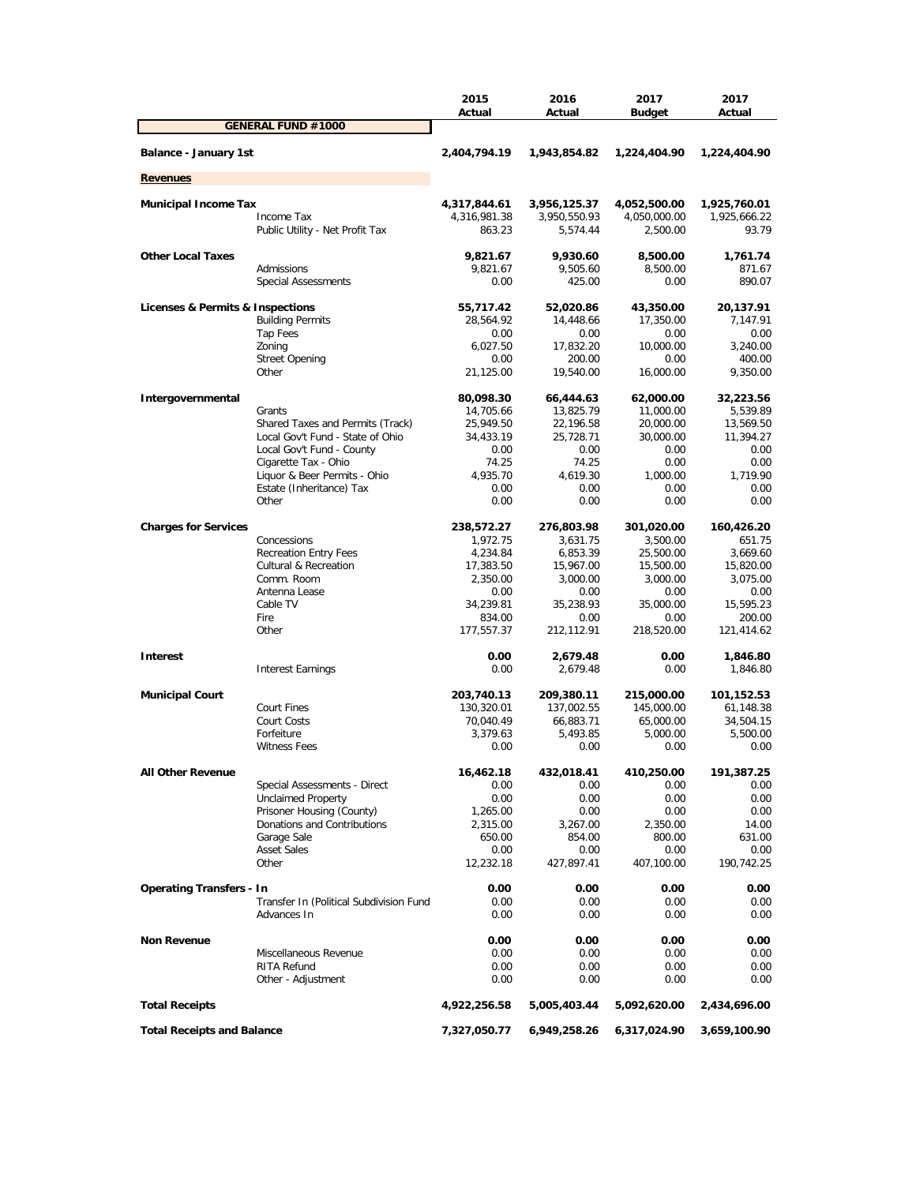|                                   |                                                          | 2015<br>Actual         | 2016<br>Actual         | 2017<br><b>Budget</b>  | 2017<br>Actual         |
|-----------------------------------|----------------------------------------------------------|------------------------|------------------------|------------------------|------------------------|
|                                   | <b>GENERAL FUND #1000</b>                                |                        |                        |                        |                        |
| <b>Balance - January 1st</b>      |                                                          | 2,404,794.19           | 1,943,854.82           | 1,224,404.90           | 1,224,404.90           |
| <b>Revenues</b>                   |                                                          |                        |                        |                        |                        |
| <b>Municipal Income Tax</b>       |                                                          | 4,317,844.61           | 3,956,125.37           | 4,052,500.00           | 1,925,760.01           |
|                                   | Income Tax                                               | 4,316,981.38           | 3,950,550.93           | 4,050,000.00           | 1,925,666.22           |
|                                   | Public Utility - Net Profit Tax                          | 863.23                 | 5,574.44               | 2,500.00               | 93.79                  |
| <b>Other Local Taxes</b>          |                                                          | 9,821.67               | 9,930.60               | 8,500.00               | 1,761.74               |
|                                   | Admissions<br><b>Special Assessments</b>                 | 9,821.67<br>0.00       | 9,505.60<br>425.00     | 8,500.00<br>0.00       | 871.67<br>890.07       |
| Licenses & Permits & Inspections  |                                                          | 55,717.42              | 52,020.86              | 43,350.00              | 20,137.91              |
|                                   | <b>Building Permits</b>                                  | 28,564.92              | 14,448.66              | 17,350.00              | 7,147.91               |
|                                   | Tap Fees                                                 | 0.00                   | 0.00                   | 0.00                   | 0.00                   |
|                                   | Zoning                                                   | 6,027.50               | 17,832.20              | 10,000.00              | 3,240.00               |
|                                   | <b>Street Opening</b>                                    | 0.00                   | 200.00                 | 0.00                   | 400.00                 |
|                                   | Other                                                    | 21,125.00              | 19,540.00              | 16,000.00              | 9,350.00               |
| Intergovernmental                 |                                                          | 80,098.30              | 66,444.63              | 62,000.00              | 32,223.56              |
|                                   | Grants<br>Shared Taxes and Permits (Track)               | 14,705.66              | 13,825.79              | 11,000.00              | 5,539.89               |
|                                   | Local Gov't Fund - State of Ohio                         | 25,949.50<br>34,433.19 | 22,196.58<br>25,728.71 | 20,000.00<br>30,000.00 | 13,569.50<br>11,394.27 |
|                                   | Local Gov't Fund - County                                | 0.00                   | 0.00                   | 0.00                   | 0.00                   |
|                                   | Cigarette Tax - Ohio                                     | 74.25                  | 74.25                  | 0.00                   | 0.00                   |
|                                   | Liquor & Beer Permits - Ohio                             | 4.935.70               | 4,619.30               | 1,000.00               | 1,719.90               |
|                                   | Estate (Inheritance) Tax                                 | 0.00                   | 0.00                   | 0.00                   | 0.00                   |
|                                   | Other                                                    | 0.00                   | 0.00                   | 0.00                   | 0.00                   |
| <b>Charges for Services</b>       |                                                          | 238,572.27             | 276,803.98             | 301,020.00             | 160,426.20             |
|                                   | Concessions                                              | 1,972.75               | 3,631.75               | 3,500.00               | 651.75                 |
|                                   | <b>Recreation Entry Fees</b>                             | 4,234.84               | 6,853.39               | 25,500.00              | 3,669.60               |
|                                   | Cultural & Recreation<br>Comm. Room                      | 17,383.50<br>2,350.00  | 15,967.00              | 15,500.00<br>3,000.00  | 15,820.00<br>3,075.00  |
|                                   | Antenna Lease                                            | 0.00                   | 3,000.00<br>0.00       | 0.00                   | 0.00                   |
|                                   | Cable TV                                                 | 34,239.81              | 35,238.93              | 35,000.00              | 15,595.23              |
|                                   | Fire                                                     | 834.00                 | 0.00                   | 0.00                   | 200.00                 |
|                                   | Other                                                    | 177,557.37             | 212,112.91             | 218,520.00             | 121,414.62             |
| <b>Interest</b>                   |                                                          | 0.00                   | 2,679.48               | 0.00                   | 1,846.80               |
|                                   | <b>Interest Earnings</b>                                 | 0.00                   | 2,679.48               | 0.00                   | 1,846.80               |
| <b>Municipal Court</b>            |                                                          | 203,740.13             | 209,380.11             | 215,000.00             | 101,152.53             |
|                                   | <b>Court Fines</b>                                       | 130,320.01             | 137,002.55             | 145,000.00             | 61,148.38              |
|                                   | Court Costs                                              | 70,040.49              | 66,883.71              | 65,000.00              | 34,504.15              |
|                                   | Forfeiture                                               | 3,379.63               | 5,493.85               | 5,000.00               | 5,500.00               |
|                                   | <b>Witness Fees</b>                                      | 0.00                   | 0.00                   | 0.00                   | 0.00                   |
| <b>All Other Revenue</b>          |                                                          | 16,462.18              | 432,018.41             | 410,250.00             | 191,387.25             |
|                                   | Special Assessments - Direct                             | 0.00                   | 0.00                   | 0.00                   | 0.00                   |
|                                   | <b>Unclaimed Property</b>                                | 0.00                   | 0.00                   | 0.00                   | 0.00                   |
|                                   | Prisoner Housing (County)<br>Donations and Contributions | 1,265.00               | 0.00<br>3,267.00       | 0.00                   | 0.00                   |
|                                   | Garage Sale                                              | 2,315.00<br>650.00     | 854.00                 | 2,350.00<br>800.00     | 14.00<br>631.00        |
|                                   | <b>Asset Sales</b>                                       | 0.00                   | 0.00                   | 0.00                   | 0.00                   |
|                                   | Other                                                    | 12,232.18              | 427,897.41             | 407,100.00             | 190,742.25             |
| <b>Operating Transfers - In</b>   |                                                          | 0.00                   | 0.00                   | 0.00                   | 0.00                   |
|                                   | Transfer In (Political Subdivision Fund                  | 0.00                   | 0.00                   | 0.00                   | 0.00                   |
|                                   | Advances In                                              | 0.00                   | 0.00                   | 0.00                   | 0.00                   |
| <b>Non Revenue</b>                |                                                          | 0.00                   | 0.00                   | 0.00                   | 0.00                   |
|                                   | Miscellaneous Revenue                                    | 0.00                   | 0.00                   | 0.00                   | 0.00                   |
|                                   | <b>RITA Refund</b><br>Other - Adjustment                 | 0.00<br>0.00           | 0.00<br>0.00           | 0.00<br>0.00           | 0.00<br>0.00           |
|                                   |                                                          |                        |                        |                        |                        |
| <b>Total Receipts</b>             |                                                          | 4,922,256.58           | 5,005,403.44           | 5,092,620.00           | 2,434,696.00           |
| <b>Total Receipts and Balance</b> |                                                          | 7,327,050.77           | 6,949,258.26           | 6,317,024.90           | 3,659,100.90           |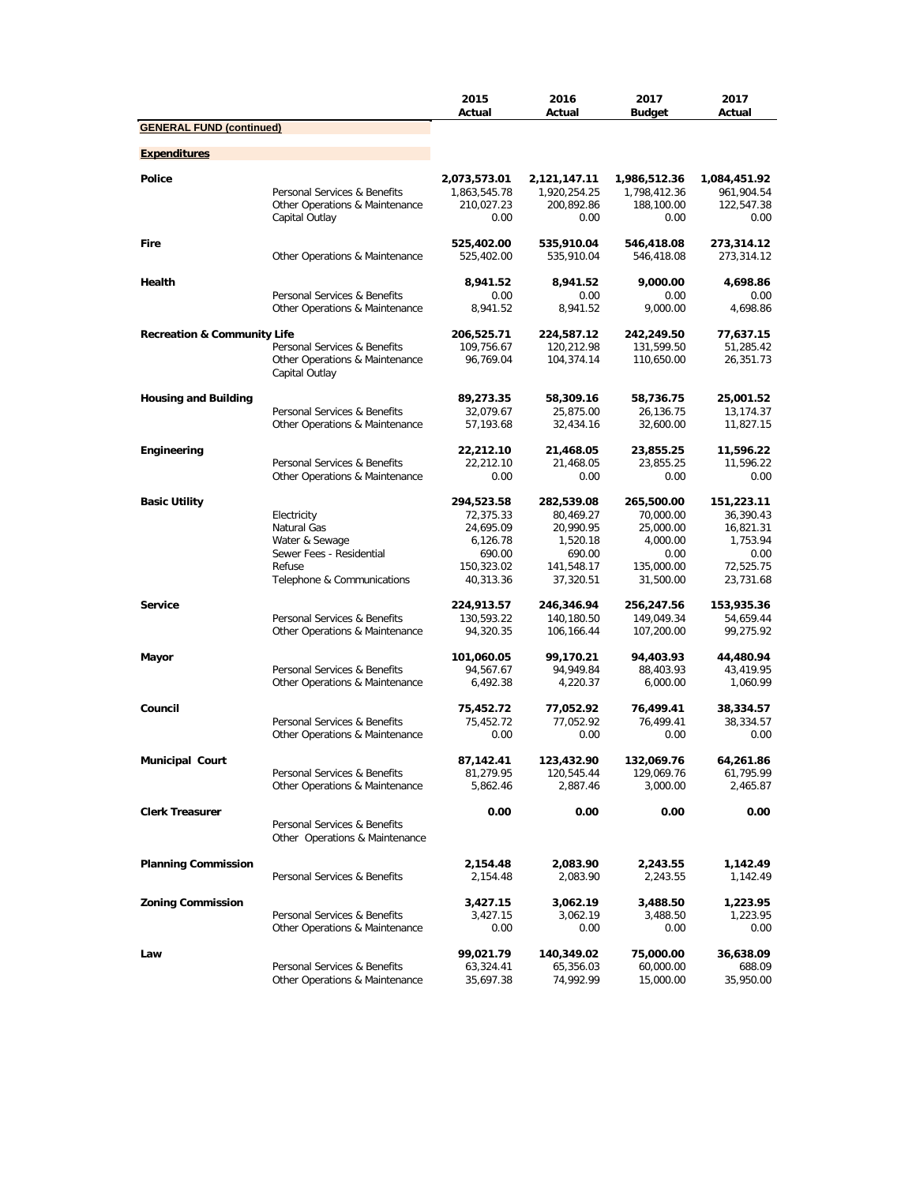|                                        |                                                                | 2015<br>Actual           | 2016<br>Actual           | 2017<br><b>Budget</b>    | 2017<br>Actual           |
|----------------------------------------|----------------------------------------------------------------|--------------------------|--------------------------|--------------------------|--------------------------|
| <b>GENERAL FUND (continued)</b>        |                                                                |                          |                          |                          |                          |
| <b>Expenditures</b>                    |                                                                |                          |                          |                          |                          |
| Police                                 |                                                                | 2,073,573.01             | 2,121,147.11             | 1,986,512.36             | 1,084,451.92             |
|                                        | Personal Services & Benefits                                   | 1,863,545.78             | 1,920,254.25             | 1,798,412.36             | 961,904.54               |
|                                        | Other Operations & Maintenance<br>Capital Outlay               | 210,027.23<br>0.00       | 200,892.86<br>0.00       | 188,100.00<br>0.00       | 122,547.38<br>0.00       |
| Fire                                   | Other Operations & Maintenance                                 | 525,402.00<br>525,402.00 | 535,910.04<br>535,910.04 | 546,418.08<br>546,418.08 | 273,314.12<br>273,314.12 |
|                                        |                                                                |                          |                          | 9.000.00                 |                          |
| Health                                 | Personal Services & Benefits                                   | 8,941.52<br>0.00         | 8,941.52<br>0.00         | 0.00                     | 4,698.86<br>0.00         |
|                                        | Other Operations & Maintenance                                 | 8,941.52                 | 8,941.52                 | 9.000.00                 | 4,698.86                 |
| <b>Recreation &amp; Community Life</b> |                                                                | 206,525.71               |                          |                          |                          |
|                                        | Personal Services & Benefits                                   | 109,756.67               | 224,587.12<br>120,212.98 | 242,249.50<br>131,599.50 | 77,637.15<br>51,285.42   |
|                                        | Other Operations & Maintenance                                 | 96,769.04                | 104,374.14               | 110,650.00               | 26,351.73                |
|                                        | Capital Outlay                                                 |                          |                          |                          |                          |
| <b>Housing and Building</b>            |                                                                | 89,273.35                | 58,309.16                | 58,736.75                | 25,001.52                |
|                                        | Personal Services & Benefits                                   | 32,079.67                | 25,875.00                | 26,136.75                | 13,174.37                |
|                                        | Other Operations & Maintenance                                 | 57,193.68                | 32,434.16                | 32,600.00                | 11,827.15                |
| Engineering                            |                                                                | 22,212.10                | 21,468.05                | 23,855.25                | 11,596.22                |
|                                        | Personal Services & Benefits                                   | 22,212.10                | 21,468.05                | 23,855.25                | 11,596.22                |
|                                        | Other Operations & Maintenance                                 | 0.00                     | 0.00                     | 0.00                     | 0.00                     |
| <b>Basic Utility</b>                   |                                                                | 294,523.58               | 282,539.08               | 265,500.00               | 151,223.11               |
|                                        | Electricity                                                    | 72,375.33                | 80,469.27                | 70,000.00                | 36,390.43                |
|                                        | Natural Gas                                                    | 24,695.09                | 20,990.95                | 25,000.00                | 16,821.31                |
|                                        | Water & Sewage                                                 | 6,126.78                 | 1,520.18                 | 4,000.00                 | 1,753.94                 |
|                                        | Sewer Fees - Residential                                       | 690.00                   | 690.00                   | 0.00                     | 0.00                     |
|                                        | Refuse<br>Telephone & Communications                           | 150,323.02<br>40,313.36  | 141,548.17<br>37,320.51  | 135,000.00<br>31,500.00  | 72,525.75<br>23,731.68   |
|                                        |                                                                |                          |                          |                          |                          |
| <b>Service</b>                         | Personal Services & Benefits                                   | 224,913.57               | 246,346.94               | 256,247.56               | 153,935.36               |
|                                        | Other Operations & Maintenance                                 | 130,593.22<br>94,320.35  | 140,180.50<br>106,166.44 | 149,049.34<br>107,200.00 | 54,659.44<br>99,275.92   |
| Mayor                                  |                                                                | 101,060.05               | 99,170.21                | 94,403.93                | 44,480.94                |
|                                        | Personal Services & Benefits                                   | 94,567.67                | 94,949.84                | 88,403.93                | 43,419.95                |
|                                        | Other Operations & Maintenance                                 | 6,492.38                 | 4,220.37                 | 6,000.00                 | 1,060.99                 |
| Council                                |                                                                | 75,452.72                | 77,052.92                | 76,499.41                | 38,334.57                |
|                                        | Personal Services & Benefits                                   | 75,452.72                | 77,052.92                | 76,499.41                | 38,334.57                |
|                                        | Other Operations & Maintenance                                 | 0.00                     | 0.00                     | 0.00                     | 0.00                     |
| <b>Municipal Court</b>                 |                                                                | 87,142.41                | 123,432.90               | 132,069.76               | 64,261.86                |
|                                        | Personal Services & Benefits                                   | 81,279.95                | 120,545.44               | 129,069.76               | 61,795.99                |
|                                        | Other Operations & Maintenance                                 | 5,862.46                 | 2,887.46                 | 3,000.00                 | 2,465.87                 |
| <b>Clerk Treasurer</b>                 |                                                                | 0.00                     | 0.00                     | 0.00                     | 0.00                     |
|                                        | Personal Services & Benefits<br>Other Operations & Maintenance |                          |                          |                          |                          |
| <b>Planning Commission</b>             |                                                                | 2,154.48                 | 2,083.90                 | 2,243.55                 | 1,142.49                 |
|                                        | Personal Services & Benefits                                   | 2,154.48                 | 2,083.90                 | 2,243.55                 | 1,142.49                 |
| <b>Zoning Commission</b>               |                                                                | 3,427.15                 | 3,062.19                 | 3,488.50                 | 1,223.95                 |
|                                        | Personal Services & Benefits                                   | 3,427.15                 | 3,062.19                 | 3,488.50                 | 1,223.95                 |
|                                        | Other Operations & Maintenance                                 | 0.00                     | 0.00                     | 0.00                     | 0.00                     |
| Law                                    |                                                                | 99,021.79                | 140,349.02               | 75,000.00                | 36,638.09                |
|                                        | Personal Services & Benefits                                   | 63,324.41                | 65,356.03                | 60,000.00                | 688.09                   |
|                                        | Other Operations & Maintenance                                 | 35,697.38                | 74,992.99                | 15,000.00                | 35,950.00                |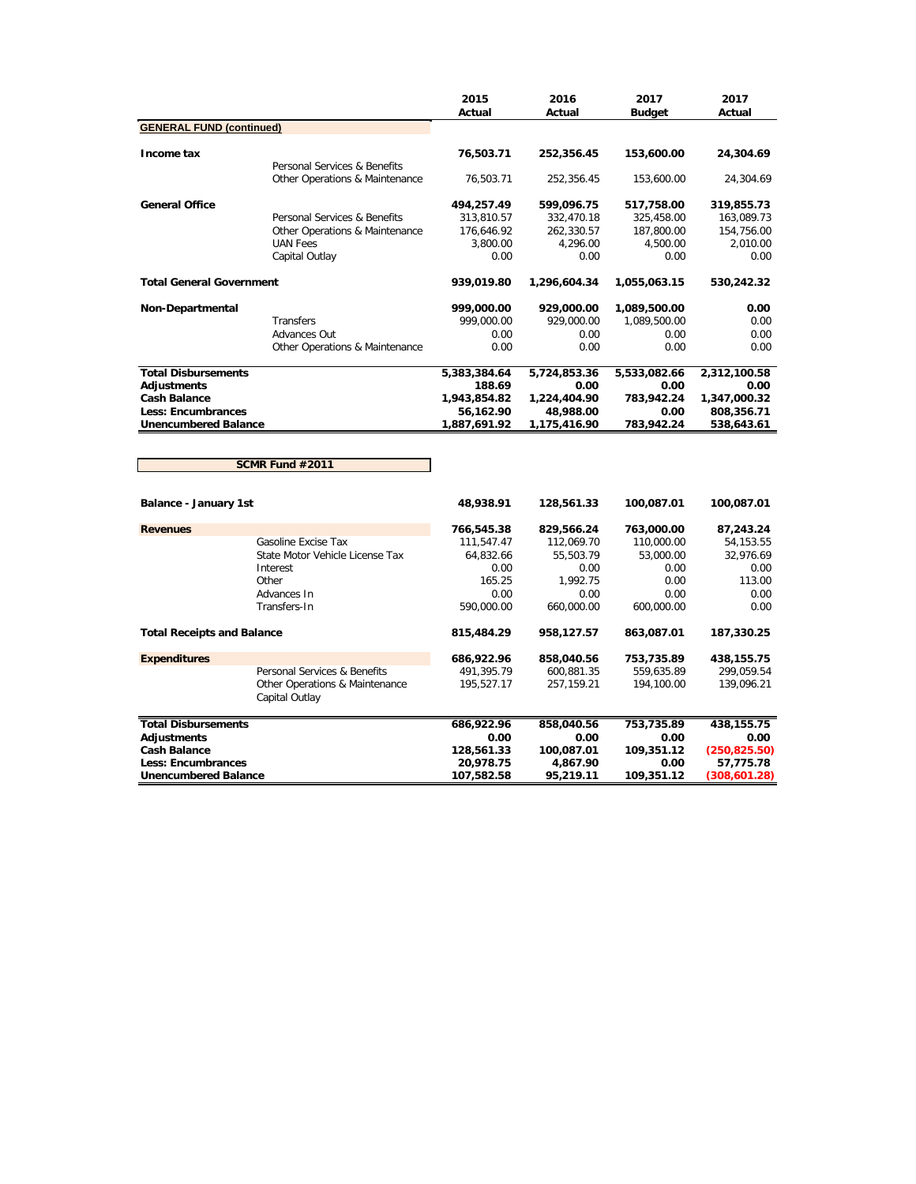|                                   |                                                  | 2015<br>Actual | 2016<br>Actual | 2017<br><b>Budget</b> | 2017<br>Actual |
|-----------------------------------|--------------------------------------------------|----------------|----------------|-----------------------|----------------|
| <b>GENERAL FUND (continued)</b>   |                                                  |                |                |                       |                |
| Income tax                        |                                                  | 76,503.71      | 252,356.45     | 153,600.00            | 24,304.69      |
|                                   | Personal Services & Benefits                     |                |                |                       |                |
|                                   | Other Operations & Maintenance                   | 76,503.71      | 252,356.45     | 153,600.00            | 24,304.69      |
| <b>General Office</b>             |                                                  | 494,257.49     | 599,096.75     | 517,758.00            | 319,855.73     |
|                                   | Personal Services & Benefits                     | 313,810.57     | 332,470.18     | 325,458.00            | 163,089.73     |
|                                   | Other Operations & Maintenance                   | 176,646.92     | 262,330.57     | 187,800.00            | 154,756.00     |
|                                   | <b>UAN Fees</b>                                  | 3,800.00       | 4,296.00       | 4,500.00              | 2,010.00       |
|                                   | Capital Outlay                                   | 0.00           | 0.00           | 0.00                  | 0.00           |
| <b>Total General Government</b>   |                                                  | 939,019.80     | 1,296,604.34   | 1,055,063.15          | 530,242.32     |
| Non-Departmental                  |                                                  | 999,000.00     | 929,000.00     | 1,089,500.00          | 0.00           |
|                                   | <b>Transfers</b>                                 | 999,000.00     | 929,000.00     | 1,089,500.00          | 0.00           |
|                                   | Advances Out                                     | 0.00           | 0.00           | 0.00                  | 0.00           |
|                                   | Other Operations & Maintenance                   | 0.00           | 0.00           | 0.00                  | 0.00           |
| <b>Total Disbursements</b>        |                                                  | 5,383,384.64   | 5,724,853.36   | 5,533,082.66          | 2,312,100.58   |
| <b>Adjustments</b>                |                                                  | 188.69         | 0.00           | 0.00                  | 0.00           |
| <b>Cash Balance</b>               |                                                  | 1,943,854.82   | 1,224,404.90   | 783,942.24            | 1,347,000.32   |
| <b>Less: Encumbrances</b>         |                                                  | 56,162.90      | 48,988.00      | 0.00                  | 808,356.71     |
| <b>Unencumbered Balance</b>       |                                                  | 1,887,691.92   | 1,175,416.90   | 783,942.24            | 538,643.61     |
|                                   | SCMR Fund #2011                                  |                |                |                       |                |
| <b>Balance - January 1st</b>      |                                                  | 48,938.91      | 128,561.33     | 100,087.01            | 100,087.01     |
| <b>Revenues</b>                   |                                                  | 766,545.38     | 829,566.24     | 763,000.00            | 87,243.24      |
|                                   | Gasoline Excise Tax                              | 111,547.47     | 112,069.70     | 110,000.00            | 54, 153. 55    |
|                                   | State Motor Vehicle License Tax                  | 64,832.66      | 55,503.79      | 53,000.00             | 32,976.69      |
|                                   | Interest                                         | 0.00           | 0.00           | 0.00                  | 0.00           |
|                                   | Other                                            | 165.25         | 1,992.75       | 0.00                  | 113.00         |
|                                   | Advances In                                      | 0.00           | 0.00           | 0.00                  | 0.00           |
|                                   | Transfers-In                                     | 590,000.00     | 660,000.00     | 600,000.00            | 0.00           |
| <b>Total Receipts and Balance</b> |                                                  | 815,484.29     | 958,127.57     | 863,087.01            | 187,330.25     |
| <b>Expenditures</b>               |                                                  | 686,922.96     | 858,040.56     | 753,735.89            | 438,155.75     |
|                                   | Personal Services & Benefits                     | 491,395.79     | 600,881.35     | 559,635.89            | 299,059.54     |
|                                   | Other Operations & Maintenance<br>Capital Outlay | 195,527.17     | 257, 159. 21   | 194,100.00            | 139,096.21     |
| <b>Total Disbursements</b>        |                                                  | 686,922.96     | 858,040.56     | 753,735.89            | 438,155.75     |
| <b>Adjustments</b>                |                                                  | 0.00           | 0.00           | 0.00                  | 0.00           |
| <b>Cash Balance</b>               |                                                  | 128,561.33     | 100,087.01     | 109,351.12            | (250, 825.50)  |
| Less: Encumbrances                |                                                  | 20,978.75      | 4,867.90       | 0.00                  | 57,775.78      |
| <b>Unencumbered Balance</b>       |                                                  | 107,582.58     | 95,219.11      | 109,351.12            | (308, 601.28)  |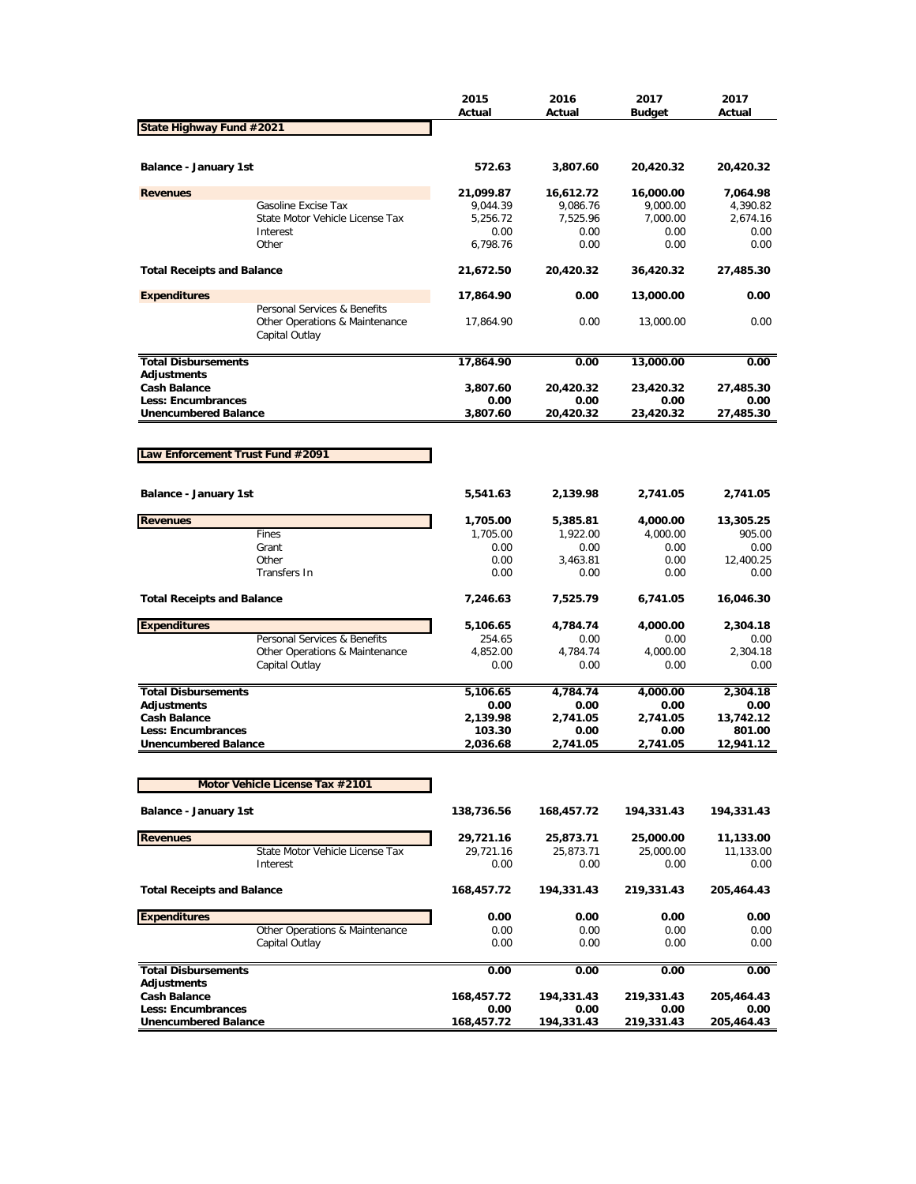|                                                  |                                                                                  | 2015<br>Actual       | 2016<br>Actual       | 2017<br><b>Budget</b> | 2017<br>Actual       |
|--------------------------------------------------|----------------------------------------------------------------------------------|----------------------|----------------------|-----------------------|----------------------|
| State Highway Fund #2021                         |                                                                                  |                      |                      |                       |                      |
|                                                  |                                                                                  |                      |                      |                       |                      |
| Balance - January 1st                            |                                                                                  | 572.63               | 3,807.60             | 20,420.32             | 20,420.32            |
| <b>Revenues</b>                                  |                                                                                  | 21,099.87            | 16,612.72            | 16,000.00             | 7,064.98             |
|                                                  | Gasoline Excise Tax<br>State Motor Vehicle License Tax                           | 9,044.39<br>5,256.72 | 9,086.76<br>7,525.96 | 9,000.00<br>7,000.00  | 4,390.82<br>2,674.16 |
|                                                  | Interest                                                                         | 0.00                 | 0.00                 | 0.00                  | 0.00                 |
|                                                  | Other                                                                            | 6,798.76             | 0.00                 | 0.00                  | 0.00                 |
| <b>Total Receipts and Balance</b>                |                                                                                  | 21,672.50            | 20,420.32            | 36,420.32             | 27,485.30            |
| <b>Expenditures</b>                              |                                                                                  | 17,864.90            | 0.00                 | 13,000.00             | 0.00                 |
|                                                  | Personal Services & Benefits<br>Other Operations & Maintenance<br>Capital Outlay | 17,864.90            | 0.00                 | 13,000.00             | 0.00                 |
| <b>Total Disbursements</b>                       |                                                                                  | 17,864.90            | 0.00                 | 13,000.00             | 0.00                 |
| Adjustments<br><b>Cash Balance</b>               |                                                                                  | 3,807.60             | 20,420.32            | 23,420.32             | 27,485.30            |
| <b>Less: Encumbrances</b>                        |                                                                                  | 0.00                 | 0.00                 | 0.00                  | 0.00                 |
| <b>Unencumbered Balance</b>                      |                                                                                  | 3,807.60             | 20,420.32            | 23,420.32             | 27,485.30            |
|                                                  |                                                                                  |                      |                      |                       |                      |
| Law Enforcement Trust Fund #2091                 |                                                                                  |                      |                      |                       |                      |
|                                                  |                                                                                  |                      |                      |                       |                      |
| Balance - January 1st                            |                                                                                  | 5,541.63             | 2,139.98             | 2,741.05              | 2,741.05             |
| <b>Revenues</b>                                  |                                                                                  | 1,705.00             | 5,385.81             | 4,000.00              | 13,305.25            |
|                                                  | Fines                                                                            | 1,705.00             | 1,922.00             | 4,000.00              | 905.00               |
|                                                  | Grant<br>Other                                                                   | 0.00<br>0.00         | 0.00<br>3,463.81     | 0.00<br>0.00          | 0.00<br>12,400.25    |
|                                                  | Transfers In                                                                     | 0.00                 | 0.00                 | 0.00                  | 0.00                 |
| <b>Total Receipts and Balance</b>                |                                                                                  | 7,246.63             | 7,525.79             | 6,741.05              | 16,046.30            |
| <b>Expenditures</b>                              |                                                                                  | 5,106.65             | 4,784.74             | 4,000.00              | 2,304.18             |
|                                                  | Personal Services & Benefits                                                     | 254.65               | 0.00                 | 0.00                  | 0.00                 |
|                                                  | Other Operations & Maintenance                                                   | 4,852.00             | 4,784.74             | 4,000.00              | 2,304.18             |
|                                                  | Capital Outlay                                                                   | 0.00                 | 0.00                 | 0.00                  | 0.00                 |
| <b>Total Disbursements</b>                       |                                                                                  | 5,106.65             | 4,784.74             | 4,000.00              | 2,304.18             |
| <b>Adjustments</b>                               |                                                                                  | 0.00                 | 0.00                 | 0.00                  | 0.00                 |
| <b>Cash Balance</b>                              |                                                                                  | 2,139.98             | 2,741.05             | 2,741.05              | 13,742.12            |
| Less: Encumbrances                               |                                                                                  | 103.30               | 0.00                 | 0.00                  | 801.00               |
| <b>Unencumbered Balance</b>                      |                                                                                  | 2,036.68             | 2,741.05             | 2,741.05              | 12.941.12            |
|                                                  | Motor Vehicle License Tax #2101                                                  |                      |                      |                       |                      |
| Balance - January 1st                            |                                                                                  | 138,736.56           | 168,457.72           | 194,331.43            | 194,331.43           |
| <b>Revenues</b>                                  |                                                                                  | 29,721.16            | 25,873.71            | 25,000.00             | 11,133.00            |
|                                                  | State Motor Vehicle License Tax                                                  | 29,721.16            | 25,873.71            | 25,000.00             | 11,133.00            |
|                                                  | Interest                                                                         | 0.00                 | 0.00                 | 0.00                  | 0.00                 |
| <b>Total Receipts and Balance</b>                |                                                                                  | 168,457.72           | 194,331.43           | 219,331.43            | 205,464.43           |
| <b>Expenditures</b>                              |                                                                                  | 0.00                 | 0.00                 | 0.00                  | 0.00                 |
|                                                  | Other Operations & Maintenance                                                   | 0.00                 | 0.00                 | 0.00                  | 0.00                 |
|                                                  | Capital Outlay                                                                   | 0.00                 | 0.00                 | 0.00                  | 0.00                 |
| <b>Total Disbursements</b><br><b>Adjustments</b> |                                                                                  | 0.00                 | 0.00                 | 0.00                  | 0.00                 |
| <b>Cash Balance</b>                              |                                                                                  | 168,457.72           | 194,331.43           | 219,331.43            | 205,464.43           |
| Less: Encumbrances                               |                                                                                  | 0.00                 | 0.00                 | 0.00                  | 0.00                 |
| <b>Unencumbered Balance</b>                      |                                                                                  | 168,457.72           | 194,331.43           | 219,331.43            | 205,464.43           |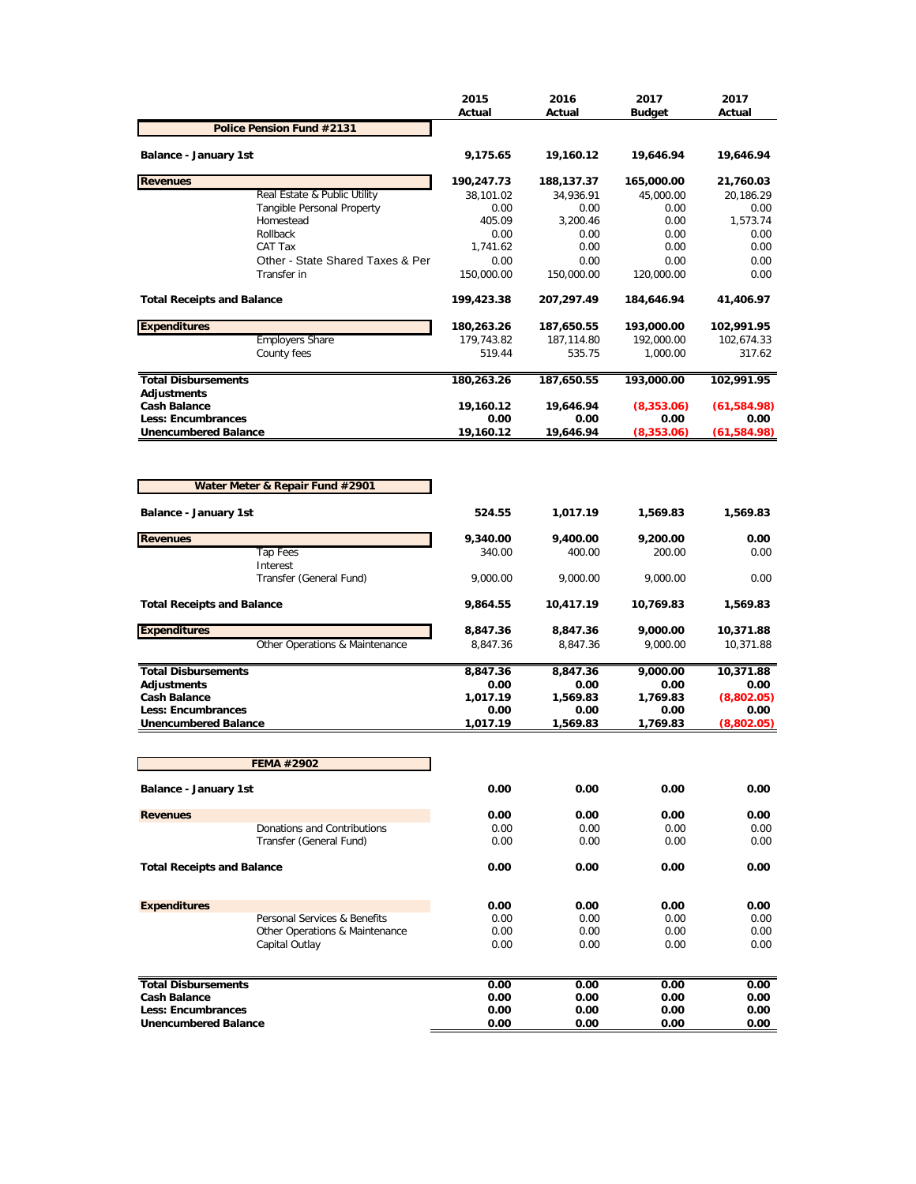|                                                   |                                                  | 2015<br>Actual     | 2016<br>Actual     | 2017<br><b>Budget</b> | 2017<br>Actual     |
|---------------------------------------------------|--------------------------------------------------|--------------------|--------------------|-----------------------|--------------------|
|                                                   | Police Pension Fund #2131                        |                    |                    |                       |                    |
| <b>Balance - January 1st</b>                      |                                                  | 9,175.65           | 19,160.12          | 19,646.94             | 19,646.94          |
| <b>Revenues</b>                                   |                                                  | 190,247.73         | 188,137.37         | 165,000.00            | 21,760.03          |
|                                                   | Real Estate & Public Utility                     | 38,101.02          | 34,936.91          | 45,000.00             | 20,186.29          |
|                                                   | Tangible Personal Property<br>Homestead          | 0.00<br>405.09     | 0.00<br>3,200.46   | 0.00<br>0.00          | 0.00<br>1,573.74   |
|                                                   | Rollback                                         | 0.00               | 0.00               | 0.00                  | 0.00               |
|                                                   | CAT Tax                                          | 1,741.62           | 0.00               | 0.00                  | 0.00               |
|                                                   | Other - State Shared Taxes & Per<br>Transfer in  | 0.00<br>150,000.00 | 0.00<br>150,000.00 | 0.00<br>120,000.00    | 0.00<br>0.00       |
| <b>Total Receipts and Balance</b>                 |                                                  | 199,423.38         | 207,297.49         | 184,646.94            | 41,406.97          |
| <b>Expenditures</b>                               |                                                  | 180,263.26         | 187,650.55         | 193,000.00            | 102,991.95         |
|                                                   | <b>Employers Share</b>                           | 179,743.82         | 187,114.80         | 192,000.00            | 102,674.33         |
|                                                   | County fees                                      | 519.44             | 535.75             | 1,000.00              | 317.62             |
| <b>Total Disbursements</b>                        |                                                  | 180,263.26         | 187,650.55         | 193,000.00            | 102,991.95         |
| <b>Adjustments</b><br><b>Cash Balance</b>         |                                                  | 19,160.12          | 19,646.94          | (8,353.06)            | (61, 584.98)       |
| <b>Less: Encumbrances</b>                         |                                                  | 0.00               | 0.00               | 0.00                  | 0.00               |
| <b>Unencumbered Balance</b>                       |                                                  | 19,160.12          | 19,646.94          | (8,353.06)            | (61, 584.98)       |
| Balance - January 1st                             | Water Meter & Repair Fund #2901                  | 524.55             | 1,017.19           | 1,569.83              | 1,569.83           |
|                                                   |                                                  |                    |                    |                       |                    |
| <b>Revenues</b>                                   | <b>Tap Fees</b>                                  | 9,340.00<br>340.00 | 9,400.00<br>400.00 | 9,200.00<br>200.00    | 0.00<br>0.00       |
|                                                   | Interest<br>Transfer (General Fund)              | 9,000.00           | 9,000.00           | 9,000.00              | 0.00               |
| <b>Total Receipts and Balance</b>                 |                                                  | 9,864.55           | 10,417.19          | 10,769.83             | 1,569.83           |
| <b>Expenditures</b>                               |                                                  | 8,847.36           | 8,847.36           | 9,000.00              | 10,371.88          |
|                                                   | Other Operations & Maintenance                   | 8,847.36           | 8,847.36           | 9,000.00              | 10,371.88          |
| <b>Total Disbursements</b>                        |                                                  | 8,847.36           | 8,847.36           | 9,000.00              | 10,371.88          |
| <b>Adjustments</b>                                |                                                  | 0.00               | 0.00               | 0.00                  | 0.00               |
| <b>Cash Balance</b>                               |                                                  | 1,017.19           | 1,569.83           | 1,769.83              | (8,802.05)         |
| Less: Encumbrances<br><b>Unencumbered Balance</b> |                                                  | 0.00<br>1,017.19   | 0.00<br>1,569.83   | 0.00<br>1,769.83      | 0.00<br>(8,802.05) |
|                                                   |                                                  |                    |                    |                       |                    |
|                                                   | FEMA #2902                                       |                    |                    |                       |                    |
| <b>Balance - January 1st</b>                      |                                                  | 0.00               | 0.00               | 0.00                  | 0.00               |
| <b>Revenues</b>                                   |                                                  | 0.00               | 0.00               | 0.00                  | 0.00               |
|                                                   | Donations and Contributions                      | 0.00               | 0.00               | 0.00                  | 0.00               |
|                                                   | Transfer (General Fund)                          | 0.00               | 0.00               | 0.00                  | 0.00               |
| <b>Total Receipts and Balance</b>                 |                                                  | 0.00               | 0.00               | 0.00                  | 0.00               |
| <b>Expenditures</b>                               |                                                  | 0.00               | 0.00               | 0.00                  | 0.00               |
|                                                   | Personal Services & Benefits                     | 0.00               | 0.00               | 0.00                  | 0.00               |
|                                                   | Other Operations & Maintenance<br>Capital Outlay | 0.00<br>0.00       | 0.00<br>0.00       | 0.00<br>0.00          | 0.00<br>0.00       |
|                                                   |                                                  |                    |                    |                       |                    |
| <b>Total Disbursements</b>                        |                                                  | 0.00               | 0.00               | 0.00                  | 0.00               |
| <b>Cash Balance</b><br>Less: Encumbrances         |                                                  | 0.00<br>0.00       | 0.00<br>0.00       | 0.00<br>0.00          | 0.00<br>0.00       |
| <b>Unencumbered Balance</b>                       |                                                  | 0.00               | 0.00               | 0.00                  | 0.00               |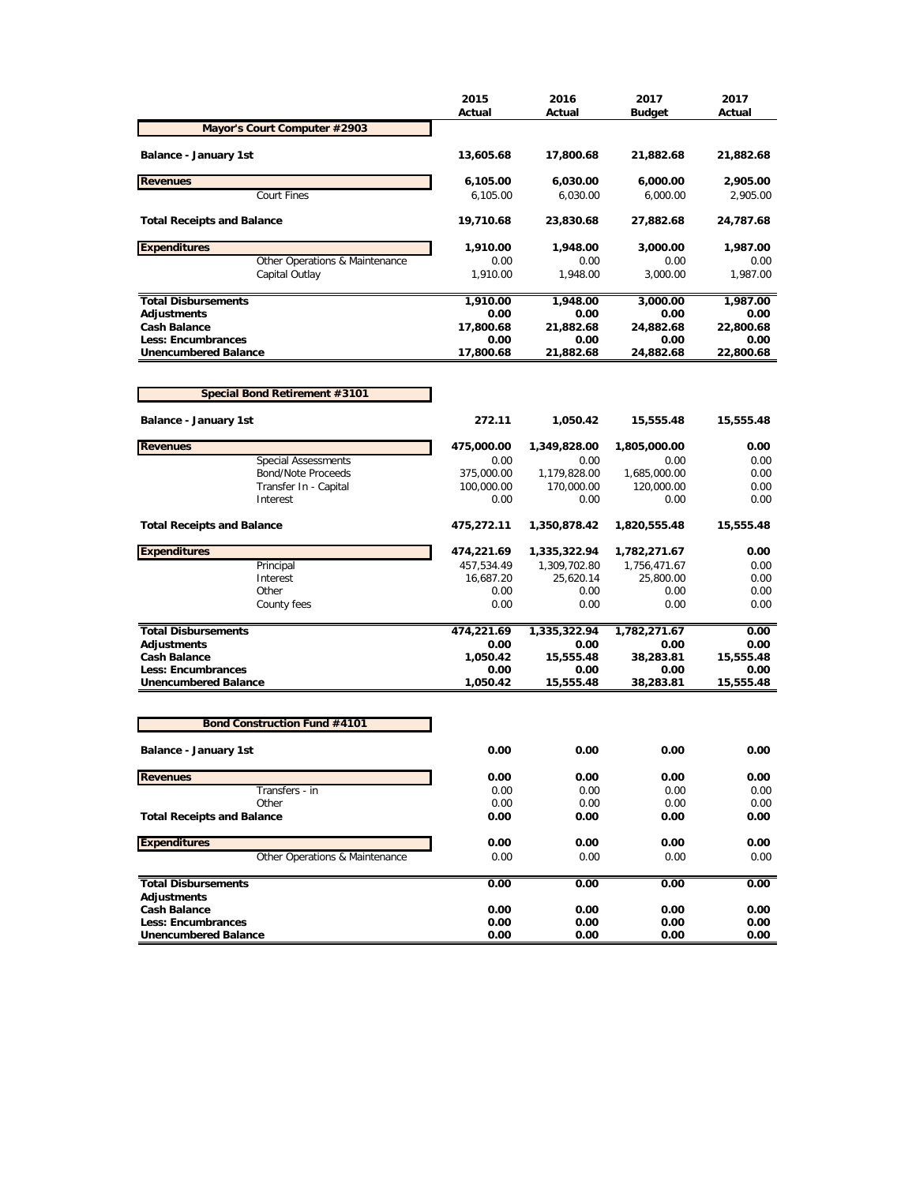|                                                          | 2015<br>Actual   | 2016<br>Actual    | 2017<br><b>Budget</b> | 2017<br>Actual    |
|----------------------------------------------------------|------------------|-------------------|-----------------------|-------------------|
| Mayor's Court Computer #2903                             |                  |                   |                       |                   |
| <b>Balance - January 1st</b>                             | 13,605.68        | 17,800.68         | 21,882.68             | 21,882.68         |
| <b>Revenues</b>                                          | 6,105.00         | 6,030.00          | 6,000.00              | 2,905.00          |
| <b>Court Fines</b>                                       | 6,105.00         | 6,030.00          | 6,000.00              | 2,905.00          |
|                                                          |                  |                   |                       |                   |
| <b>Total Receipts and Balance</b>                        | 19,710.68        | 23,830.68         | 27,882.68             | 24,787.68         |
| <b>Expenditures</b>                                      | 1,910.00         | 1,948.00          | 3,000.00              | 1,987.00          |
| Other Operations & Maintenance                           | 0.00             | 0.00              | 0.00                  | 0.00              |
| Capital Outlay                                           | 1,910.00         | 1,948.00          | 3,000.00              | 1,987.00          |
| <b>Total Disbursements</b>                               | 1,910.00         | 1,948.00          | 3,000.00              | 1,987.00          |
| <b>Adjustments</b>                                       | 0.00             | 0.00              | 0.00                  | 0.00              |
| <b>Cash Balance</b>                                      | 17,800.68        | 21,882.68         | 24,882.68             | 22,800.68         |
| <b>Less: Encumbrances</b><br><b>Unencumbered Balance</b> | 0.00             | 0.00              | 0.00                  | 0.00              |
|                                                          | 17,800.68        | 21,882.68         | 24,882.68             | 22,800.68         |
| Special Bond Retirement #3101                            |                  |                   |                       |                   |
| Balance - January 1st                                    | 272.11           | 1,050.42          | 15,555.48             | 15,555.48         |
| <b>Revenues</b>                                          | 475,000.00       | 1,349,828.00      | 1,805,000.00          | 0.00              |
| <b>Special Assessments</b>                               | 0.00             | 0.00              | 0.00                  | 0.00              |
| Bond/Note Proceeds                                       | 375,000.00       | 1,179,828.00      | 1,685,000.00          | 0.00              |
| Transfer In - Capital                                    | 100,000.00       | 170,000.00        | 120,000.00            | 0.00              |
| Interest                                                 | 0.00             | 0.00              | 0.00                  | 0.00              |
| <b>Total Receipts and Balance</b>                        | 475,272.11       | 1,350,878.42      | 1,820,555.48          | 15,555.48         |
| <b>Expenditures</b>                                      | 474,221.69       | 1,335,322.94      | 1,782,271.67          | 0.00              |
| Principal                                                | 457,534.49       | 1,309,702.80      | 1,756,471.67          | 0.00              |
| Interest                                                 | 16,687.20        | 25,620.14         | 25,800.00             | 0.00              |
| Other                                                    | 0.00             | 0.00              | 0.00                  | 0.00              |
| County fees                                              | 0.00             | 0.00              | 0.00                  | 0.00              |
| <b>Total Disbursements</b>                               | 474,221.69       | 1,335,322.94      | 1,782,271.67          | 0.00              |
| <b>Adjustments</b>                                       | 0.00             | 0.00              | 0.00                  | 0.00              |
| <b>Cash Balance</b>                                      | 1,050.42         | 15,555.48         | 38,283.81             | 15,555.48         |
| Less: Encumbrances<br><b>Unencumbered Balance</b>        | 0.00<br>1,050.42 | 0.00<br>15,555.48 | 0.00<br>38,283.81     | 0.00<br>15,555.48 |
|                                                          |                  |                   |                       |                   |
| <b>Bond Construction Fund #4101</b>                      |                  |                   |                       |                   |
| <b>Balance - January 1st</b>                             | 0.00             | 0.00              | 0.00                  | 0.00              |
| <b>Revenues</b>                                          | 0.00             | 0.00              | 0.00                  | 0.00              |
| Transfers - in                                           | 0.00             | 0.00              | 0.00                  | 0.00              |
| Other<br><b>Total Receipts and Balance</b>               | 0.00<br>0.00     | 0.00<br>0.00      | 0.00<br>0.00          | 0.00<br>0.00      |
|                                                          |                  |                   |                       |                   |
| <b>Expenditures</b>                                      | 0.00             | 0.00              | 0.00                  | 0.00              |
| Other Operations & Maintenance                           | 0.00             | 0.00              | 0.00                  | 0.00              |
| <b>Total Disbursements</b>                               | 0.00             | 0.00              | 0.00                  | 0.00              |
| <b>Adjustments</b>                                       |                  |                   |                       |                   |
| <b>Cash Balance</b>                                      | 0.00             | 0.00              | 0.00                  | 0.00              |
| <b>Less: Encumbrances</b>                                | 0.00             | 0.00              | 0.00                  | 0.00              |
| <b>Unencumbered Balance</b>                              | 0.00             | 0.00              | 0.00                  | 0.00              |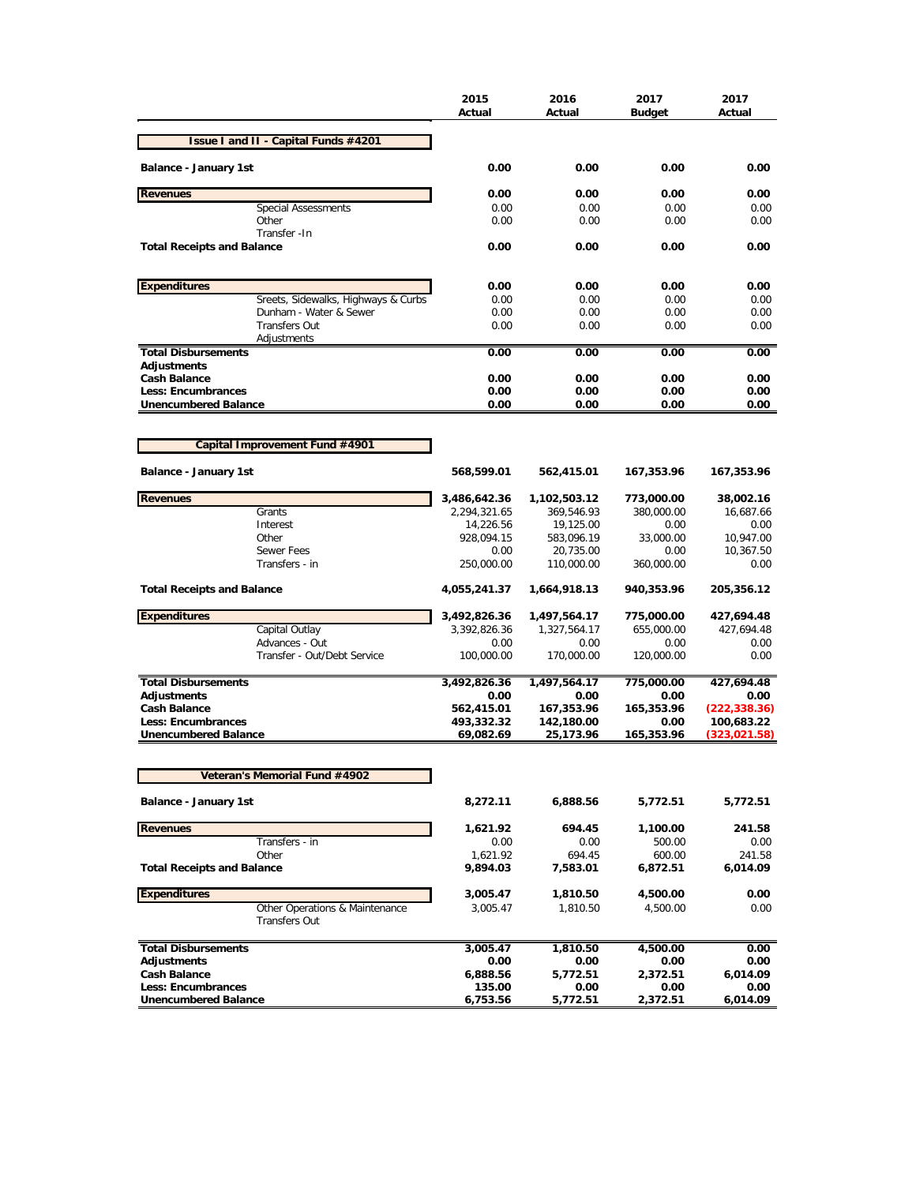|                                                          | 2015<br>Actual     | 2016<br>Actual          | 2017<br><b>Budget</b> | 2017<br>Actual         |
|----------------------------------------------------------|--------------------|-------------------------|-----------------------|------------------------|
| Issue I and II - Capital Funds #4201                     |                    |                         |                       |                        |
| Balance - January 1st                                    | 0.00               | 0.00                    | 0.00                  | 0.00                   |
| <b>Revenues</b>                                          | 0.00               | 0.00                    | 0.00                  | 0.00                   |
| <b>Special Assessments</b>                               | 0.00               | 0.00                    | 0.00                  | 0.00                   |
| Other                                                    | 0.00               | 0.00                    | 0.00                  | 0.00                   |
| Transfer - In<br><b>Total Receipts and Balance</b>       | 0.00               | 0.00                    | 0.00                  | 0.00                   |
| <b>Expenditures</b>                                      | 0.00               | 0.00                    | 0.00                  | 0.00                   |
| Sreets, Sidewalks, Highways & Curbs                      | 0.00               | 0.00                    | 0.00                  | 0.00                   |
| Dunham - Water & Sewer                                   | 0.00               | 0.00                    | 0.00                  | 0.00                   |
| <b>Transfers Out</b>                                     | 0.00               | 0.00                    | 0.00                  | 0.00                   |
| Adjustments                                              |                    |                         |                       |                        |
| <b>Total Disbursements</b>                               | 0.00               | 0.00                    | 0.00                  | 0.00                   |
| <b>Adjustments</b>                                       |                    |                         |                       |                        |
| <b>Cash Balance</b>                                      | 0.00               | 0.00                    | 0.00                  | 0.00                   |
| <b>Less: Encumbrances</b><br><b>Unencumbered Balance</b> | 0.00<br>0.00       | 0.00<br>0.00            | 0.00<br>0.00          | 0.00<br>0.00           |
|                                                          |                    |                         |                       |                        |
| Capital Improvement Fund #4901                           |                    |                         |                       |                        |
|                                                          |                    |                         |                       |                        |
| <b>Balance - January 1st</b>                             | 568,599.01         | 562,415.01              | 167,353.96            | 167,353.96             |
| <b>Revenues</b>                                          | 3,486,642.36       | 1,102,503.12            | 773,000.00            | 38,002.16              |
| Grants                                                   | 2,294,321.65       | 369,546.93              | 380,000.00            | 16,687.66              |
| Interest                                                 | 14,226.56          | 19,125.00               | 0.00                  | 0.00                   |
| Other<br>Sewer Fees                                      | 928,094.15<br>0.00 | 583,096.19<br>20,735.00 | 33,000.00<br>0.00     | 10,947.00<br>10,367.50 |
| Transfers - in                                           | 250,000.00         | 110,000.00              | 360,000.00            | 0.00                   |
| <b>Total Receipts and Balance</b>                        | 4,055,241.37       | 1,664,918.13            | 940,353.96            | 205,356.12             |
| <b>Expenditures</b>                                      | 3,492,826.36       | 1,497,564.17            | 775,000.00            | 427,694.48             |
| Capital Outlay                                           | 3,392,826.36       | 1,327,564.17            | 655,000.00            | 427,694.48             |
| Advances - Out                                           | 0.00               | 0.00                    | 0.00                  | 0.00                   |
| Transfer - Out/Debt Service                              | 100,000.00         | 170,000.00              | 120,000.00            | 0.00                   |
| <b>Total Disbursements</b>                               | 3,492,826.36       | 1,497,564.17            | 775,000.00            | 427,694.48             |
| <b>Adjustments</b>                                       | 0.00               | 0.00                    | 0.00                  | 0.00                   |
| <b>Cash Balance</b>                                      | 562,415.01         | 167,353.96              | 165,353.96            | (222, 338.36)          |
| <b>Less: Encumbrances</b>                                | 493,332.32         | 142,180.00              | 0.00                  | 100,683.22             |
| <b>Unencumbered Balance</b>                              | 69,082.69          | 25,173.96               | 165,353.96            | (323, 021.58)          |
| <b>Veteran's Memorial Fund #4902</b>                     |                    |                         |                       |                        |
|                                                          |                    |                         |                       |                        |
| <b>Balance - January 1st</b>                             | 8,272.11           | 6,888.56                | 5,772.51              | 5,772.51               |
| <b>Revenues</b>                                          | 1,621.92           | 694.45                  | 1,100.00              | 241.58                 |
| Transfers - in                                           | 0.00               | 0.00                    | 500.00                | 0.00                   |
| Other                                                    | 1,621.92           | 694.45                  | 600.00                | 241.58                 |
| <b>Total Receipts and Balance</b>                        | 9,894.03           | 7,583.01                | 6,872.51              | 6,014.09               |
| <b>Expenditures</b>                                      | 3,005.47           | 1,810.50                | 4,500.00              | 0.00                   |
| Other Operations & Maintenance<br><b>Transfers Out</b>   | 3,005.47           | 1,810.50                | 4,500.00              | 0.00                   |
|                                                          |                    |                         |                       |                        |
| <b>Total Disbursements</b>                               | 3,005.47           | 1,810.50                | 4,500.00              | 0.00                   |
| <b>Adjustments</b>                                       | 0.00               | 0.00                    | 0.00                  | 0.00                   |
| <b>Cash Balance</b>                                      | 6,888.56           | 5,772.51                | 2,372.51              | 6,014.09               |
| Less: Encumbrances<br><b>Unencumbered Balance</b>        | 135.00<br>6,753.56 | 0.00<br>5,772.51        | 0.00<br>2,372.51      | 0.00<br>6,014.09       |
|                                                          |                    |                         |                       |                        |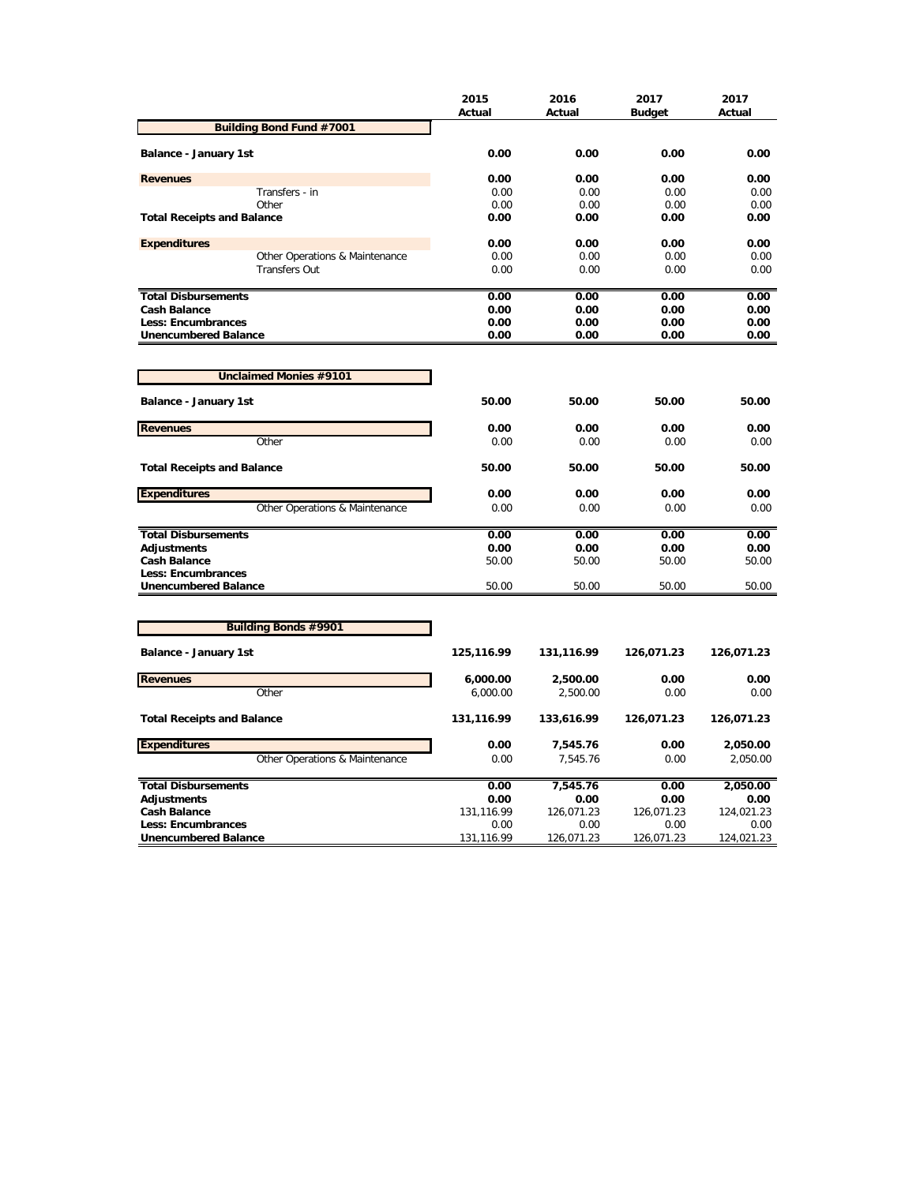|                                   | 2015<br>Actual | 2016<br>Actual | 2017<br><b>Budget</b> | 2017<br>Actual |
|-----------------------------------|----------------|----------------|-----------------------|----------------|
| <b>Building Bond Fund #7001</b>   |                |                |                       |                |
| Balance - January 1st             | 0.00           | 0.00           | 0.00                  | 0.00           |
| <b>Revenues</b>                   | 0.00           | 0.00           | 0.00                  | 0.00           |
| Transfers - in                    | 0.00           | 0.00           | 0.00                  | 0.00           |
| Other                             | 0.00           | 0.00           | 0.00                  | 0.00           |
| <b>Total Receipts and Balance</b> | 0.00           | 0.00           | 0.00                  | 0.00           |
| <b>Expenditures</b>               | 0.00           | 0.00           | 0.00                  | 0.00           |
| Other Operations & Maintenance    | 0.00           | 0.00           | 0.00                  | 0.00           |
| <b>Transfers Out</b>              | 0.00           | 0.00           | 0.00                  | 0.00           |
| <b>Total Disbursements</b>        | 0.00           | 0.00           | 0.00                  | 0.00           |
| <b>Cash Balance</b>               | 0.00           | 0.00           | 0.00                  | 0.00           |
| <b>Less: Encumbrances</b>         | 0.00           | 0.00           | 0.00                  | 0.00           |
| <b>Unencumbered Balance</b>       | 0.00           | 0.00           | 0.00                  | 0.00           |
| <b>Unclaimed Monies #9101</b>     |                |                |                       |                |
|                                   |                |                |                       |                |
| Balance - January 1st             | 50.00          | 50.00          | 50.00                 | 50.00          |
| <b>Revenues</b>                   | 0.00           | 0.00           | 0.00                  | 0.00           |
| Other                             | 0.00           | 0.00           | 0.00                  | 0.00           |
| <b>Total Receipts and Balance</b> | 50.00          | 50.00          | 50.00                 | 50.00          |
| <b>Expenditures</b>               | 0.00           | 0.00           | 0.00                  | 0.00           |
| Other Operations & Maintenance    | 0.00           | 0.00           | 0.00                  | 0.00           |
| <b>Total Disbursements</b>        | 0.00           | 0.00           | 0.00                  | 0.00           |
| <b>Adjustments</b>                | 0.00           | 0.00           | 0.00                  | 0.00           |
| <b>Cash Balance</b>               | 50.00          | 50.00          | 50.00                 | 50.00          |
| Less: Encumbrances                |                |                |                       |                |
| <b>Unencumbered Balance</b>       | 50.00          | 50.00          | 50.00                 | 50.00          |
|                                   |                |                |                       |                |
| <b>Building Bonds #9901</b>       |                |                |                       |                |
| Balance - January 1st             | 125,116.99     | 131,116.99     | 126,071.23            | 126,071.23     |
| <b>Revenues</b>                   | 6,000.00       | 2,500.00       | 0.00                  | 0.00           |
| Other                             | 6,000.00       | 2,500.00       | 0.00                  | 0.00           |
| <b>Total Receipts and Balance</b> | 131,116.99     | 133,616.99     | 126,071.23            | 126,071.23     |
| <b>Expenditures</b>               | 0.00           | 7,545.76       | 0.00                  | 2,050.00       |
| Other Operations & Maintenance    | 0.00           | 7,545.76       | 0.00                  | 2,050.00       |
| <b>Total Disbursements</b>        | 0.00           | 7,545.76       | 0.00                  | 2,050.00       |
| <b>Adjustments</b>                | 0.00           | 0.00           | 0.00                  | 0.00           |
| <b>Cash Balance</b>               | 131,116.99     | 126,071.23     | 126,071.23            | 124,021.23     |
| <b>Less: Encumbrances</b>         | 0.00           | 0.00           | 0.00                  | 0.00           |
| <b>Unencumbered Balance</b>       | 131,116.99     | 126,071.23     | 126,071.23            | 124,021.23     |